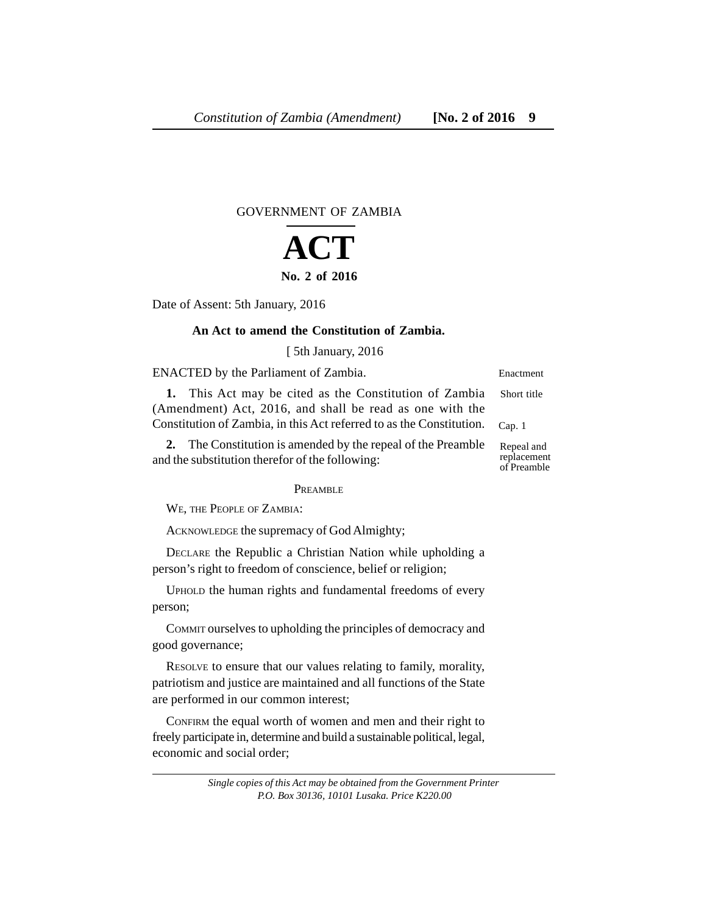# GOVERNMENT OF ZAMBIA

# **ACT No. 2 of 2016**

Date of Assent: 5th January, 2016

# **An Act to amend the Constitution of Zambia.**

[ 5th January, 2016

ENACTED by the Parliament of Zambia.

**1.** This Act may be cited as the Constitution of Zambia (Amendment) Act, 2016, and shall be read as one with the Constitution of Zambia, in this Act referred to as the Constitution. Short title Cap. 1

**2.** The Constitution is amended by the repeal of the Preamble and the substitution therefor of the following:

PREAMBLE

WE, THE PEOPLE OF ZAMBIA:

ACKNOWLEDGE the supremacy of God Almighty;

DECLARE the Republic a Christian Nation while upholding a person's right to freedom of conscience, belief or religion;

UPHOLD the human rights and fundamental freedoms of every person;

COMMIT ourselves to upholding the principles of democracy and good governance;

RESOLVE to ensure that our values relating to family, morality, patriotism and justice are maintained and all functions of the State are performed in our common interest;

CONFIRM the equal worth of women and men and their right to freely participate in, determine and build a sustainable political, legal, economic and social order;

Repeal and replacement of Preamble

Enactment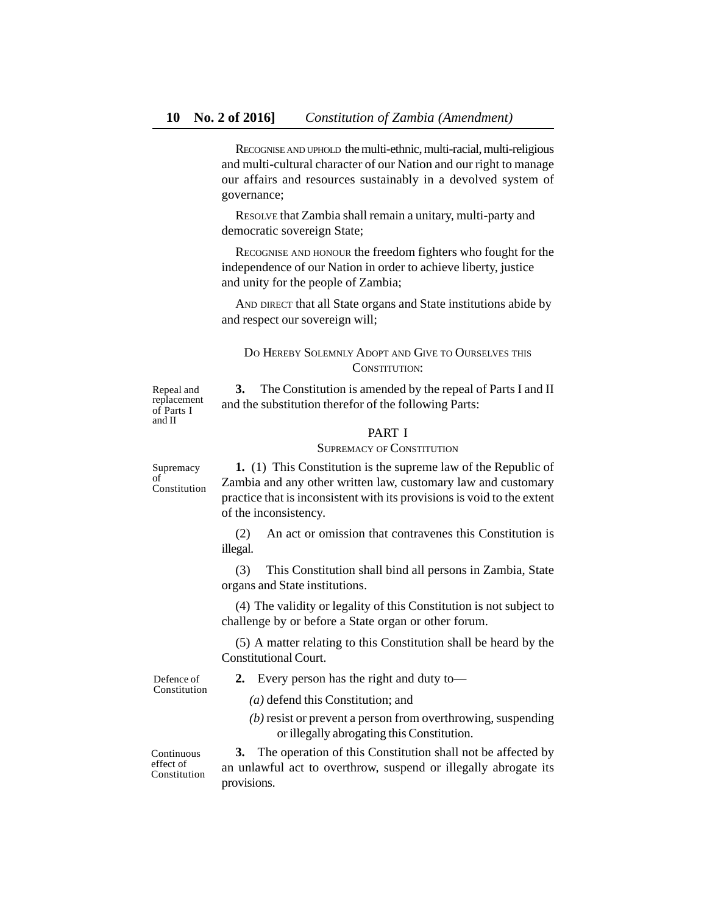RECOGNISE AND UPHOLD the multi-ethnic, multi-racial, multi-religious and multi-cultural character of our Nation and our right to manage our affairs and resources sustainably in a devolved system of governance;

RESOLVE that Zambia shall remain a unitary, multi-party and democratic sovereign State;

RECOGNISE AND HONOUR the freedom fighters who fought for the independence of our Nation in order to achieve liberty, justice and unity for the people of Zambia;

AND DIRECT that all State organs and State institutions abide by and respect our sovereign will;

# DO HEREBY SOLEMNLY ADOPT AND GIVE TO OURSELVES THIS CONSTITUTION:

**3.** The Constitution is amended by the repeal of Parts I and II and the substitution therefor of the following Parts:

### PART I

#### SUPREMACY OF CONSTITUTION

Supremacy of Constitution

Repeal and replacement of Parts I and II

> **1.** (1) This Constitution is the supreme law of the Republic of Zambia and any other written law, customary law and customary practice that is inconsistent with its provisions is void to the extent of the inconsistency.

(2) An act or omission that contravenes this Constitution is illegal.

(3) This Constitution shall bind all persons in Zambia, State organs and State institutions.

(4) The validity or legality of this Constitution is not subject to challenge by or before a State organ or other forum.

(5) A matter relating to this Constitution shall be heard by the Constitutional Court.

Defence of Constitution **2.** Every person has the right and duty to—

*(a)* defend this Constitution; and

*(b)* resist or prevent a person from overthrowing, suspending or illegally abrogating this Constitution.

Continuous effect of Constitution

**3.** The operation of this Constitution shall not be affected by an unlawful act to overthrow, suspend or illegally abrogate its provisions.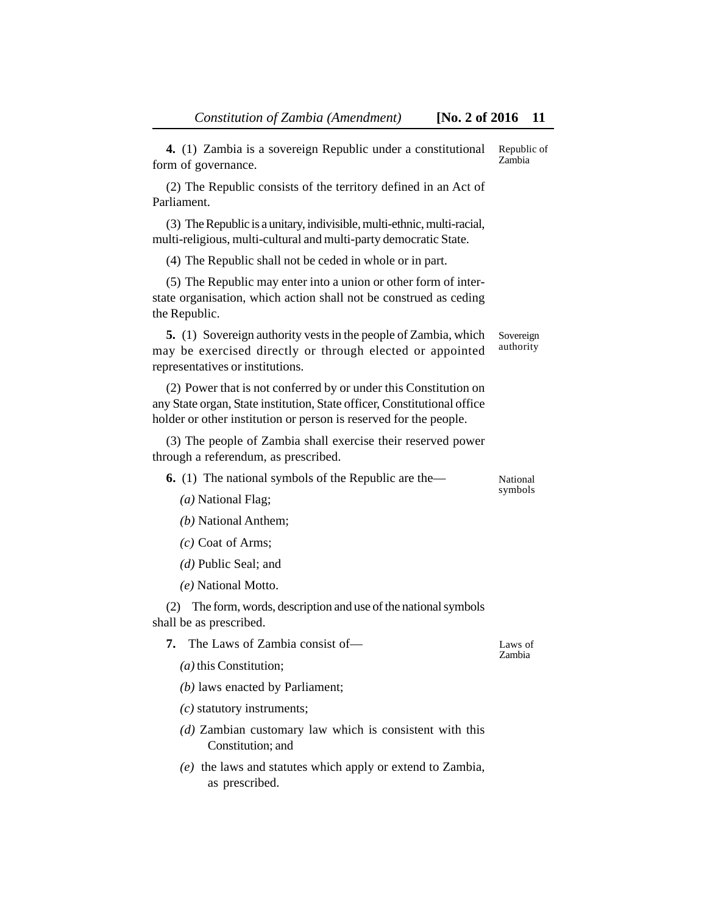| 4. (1) Zambia is a sovereign Republic under a constitutional<br>form of governance.                                                                                                                               | Republic of<br>Zambia  |
|-------------------------------------------------------------------------------------------------------------------------------------------------------------------------------------------------------------------|------------------------|
| (2) The Republic consists of the territory defined in an Act of<br>Parliament.                                                                                                                                    |                        |
| (3) The Republic is a unitary, indivisible, multi-ethnic, multi-racial,<br>multi-religious, multi-cultural and multi-party democratic State.                                                                      |                        |
| (4) The Republic shall not be ceded in whole or in part.                                                                                                                                                          |                        |
| (5) The Republic may enter into a union or other form of inter-<br>state organisation, which action shall not be construed as ceding<br>the Republic.                                                             |                        |
| <b>5.</b> (1) Sovereign authority vests in the people of Zambia, which<br>may be exercised directly or through elected or appointed<br>representatives or institutions.                                           | Sovereign<br>authority |
| (2) Power that is not conferred by or under this Constitution on<br>any State organ, State institution, State officer, Constitutional office<br>holder or other institution or person is reserved for the people. |                        |
| (3) The people of Zambia shall exercise their reserved power<br>through a referendum, as prescribed.                                                                                                              |                        |
| <b>6.</b> (1) The national symbols of the Republic are the—                                                                                                                                                       | National               |
| $(a)$ National Flag;                                                                                                                                                                                              | symbols                |
| (b) National Anthem;                                                                                                                                                                                              |                        |
| $(c)$ Coat of Arms;                                                                                                                                                                                               |                        |
| $(d)$ Public Seal; and                                                                                                                                                                                            |                        |
| (e) National Motto.                                                                                                                                                                                               |                        |
| The form, words, description and use of the national symbols<br>(2)<br>shall be as prescribed.                                                                                                                    |                        |
| The Laws of Zambia consist of-<br>7.                                                                                                                                                                              | Laws of                |
| $(a)$ this Constitution;                                                                                                                                                                                          | Zambia                 |
| $(b)$ laws enacted by Parliament;                                                                                                                                                                                 |                        |
| $(c)$ statutory instruments;                                                                                                                                                                                      |                        |
| (d) Zambian customary law which is consistent with this<br>Constitution; and                                                                                                                                      |                        |
| $(e)$ the laws and statutes which apply or extend to Zambia,<br>as prescribed.                                                                                                                                    |                        |
|                                                                                                                                                                                                                   |                        |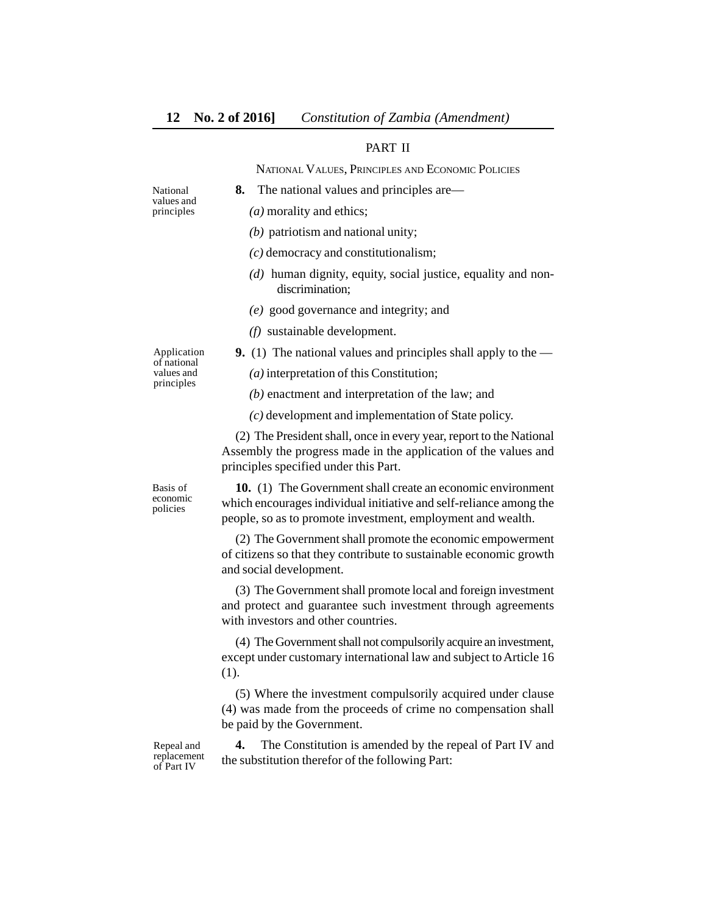# PART II

NATIONAL VALUES, PRINCIPLES AND ECONOMIC POLICIES

- National values and principles
- *(a)* morality and ethics;
- *(b)* patriotism and national unity;
- *(c)* democracy and constitutionalism;

**8.** The national values and principles are—

- *(d)* human dignity, equity, social justice, equality and nondiscrimination;
- *(e)* good governance and integrity; and
- *(f)* sustainable development.
- **9.** (1) The national values and principles shall apply to the —

of national values and principles

Application

- *(a)* interpretation of this Constitution;
- *(b)* enactment and interpretation of the law; and
- *(c)* development and implementation of State policy.

(2) The President shall, once in every year, report to the National Assembly the progress made in the application of the values and principles specified under this Part.

Basis of economic policies

**10.** (1) The Government shall create an economic environment which encourages individual initiative and self-reliance among the people, so as to promote investment, employment and wealth.

(2) The Government shall promote the economic empowerment of citizens so that they contribute to sustainable economic growth and social development.

(3) The Government shall promote local and foreign investment and protect and guarantee such investment through agreements with investors and other countries.

(4) The Government shall not compulsorily acquire an investment, except under customary international law and subject to Article 16 (1).

(5) Where the investment compulsorily acquired under clause (4) was made from the proceeds of crime no compensation shall be paid by the Government.

Repeal and replacement of Part IV

**4.** The Constitution is amended by the repeal of Part IV and the substitution therefor of the following Part: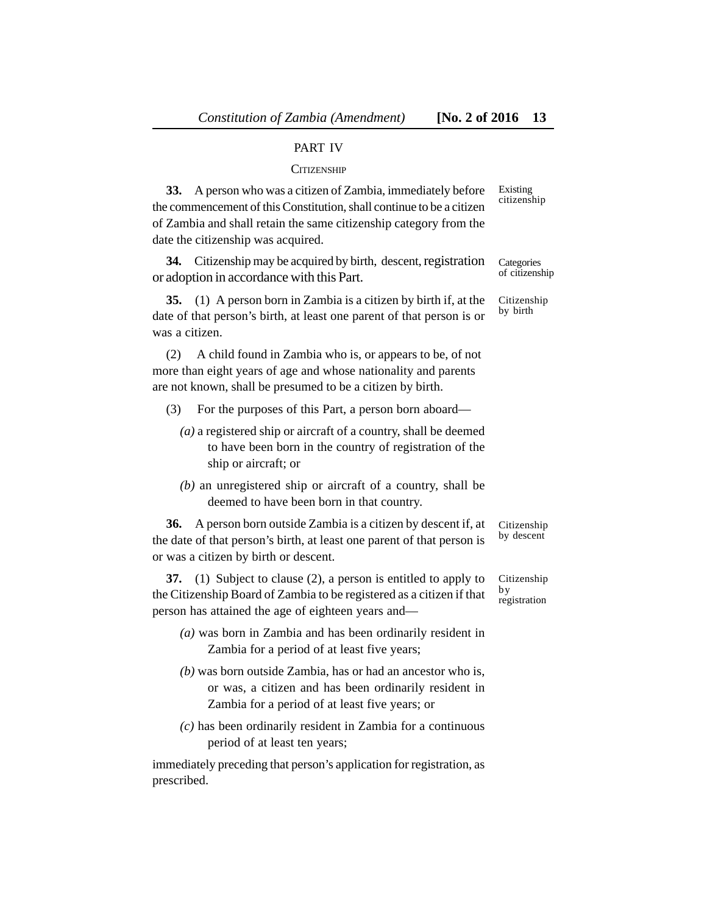# PART IV

#### **CITIZENSHIP**

**33.** A person who was a citizen of Zambia, immediately before the commencement of this Constitution, shall continue to be a citizen of Zambia and shall retain the same citizenship category from the date the citizenship was acquired. Existing citizenship

**34.** Citizenship may be acquired by birth, descent, registration or adoption in accordance with this Part. **Categories** of citizenship

**35.** (1) A person born in Zambia is a citizen by birth if, at the date of that person's birth, at least one parent of that person is or was a citizen.

(2) A child found in Zambia who is, or appears to be, of not more than eight years of age and whose nationality and parents are not known, shall be presumed to be a citizen by birth.

- (3) For the purposes of this Part, a person born aboard—
	- *(a)* a registered ship or aircraft of a country, shall be deemed to have been born in the country of registration of the ship or aircraft; or
	- *(b)* an unregistered ship or aircraft of a country, shall be deemed to have been born in that country.

**36.** A person born outside Zambia is a citizen by descent if, at the date of that person's birth, at least one parent of that person is or was a citizen by birth or descent.

**37.** (1) Subject to clause (2), a person is entitled to apply to the Citizenship Board of Zambia to be registered as a citizen if that person has attained the age of eighteen years and by

- *(a)* was born in Zambia and has been ordinarily resident in Zambia for a period of at least five years;
- *(b)* was born outside Zambia, has or had an ancestor who is, or was, a citizen and has been ordinarily resident in Zambia for a period of at least five years; or
- *(c)* has been ordinarily resident in Zambia for a continuous period of at least ten years;

immediately preceding that person's application for registration, as prescribed.

Citizenship by birth

Citizenship by descent

Citizenship registration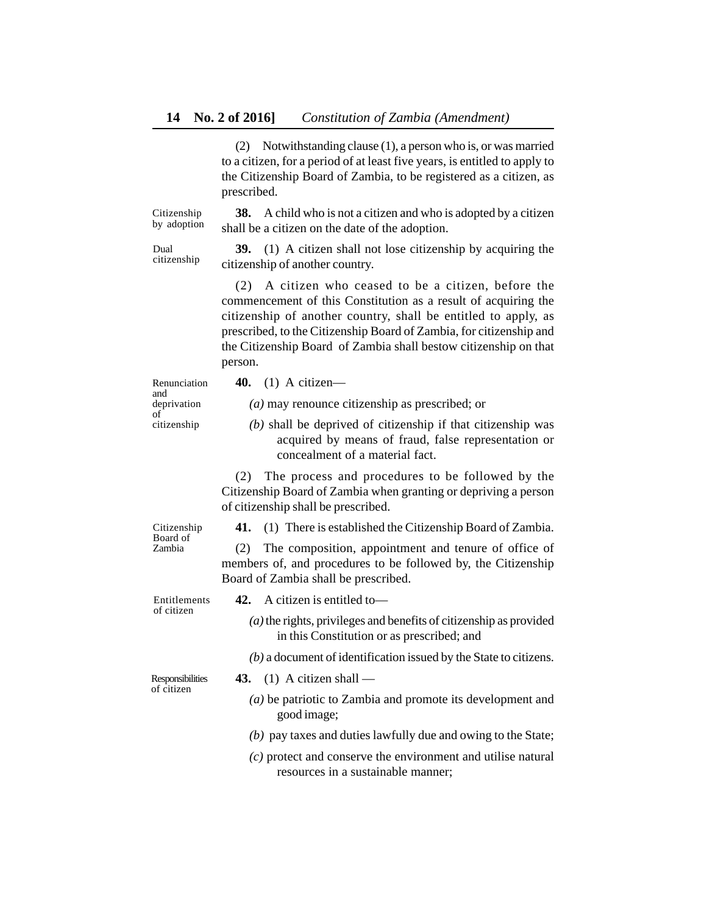(2) Notwithstanding clause (1), a person who is, or was married to a citizen, for a period of at least five years, is entitled to apply to the Citizenship Board of Zambia, to be registered as a citizen, as prescribed.

**38.** A child who is not a citizen and who is adopted by a citizen shall be a citizen on the date of the adoption. Citizenship by adoption

Dual citizenship

**39.** (1) A citizen shall not lose citizenship by acquiring the citizenship of another country.

(2) A citizen who ceased to be a citizen, before the commencement of this Constitution as a result of acquiring the citizenship of another country, shall be entitled to apply, as prescribed, to the Citizenship Board of Zambia, for citizenship and the Citizenship Board of Zambia shall bestow citizenship on that person.

Renunciation and deprivation of citizenship

**40.** (1) A citizen—

*(a)* may renounce citizenship as prescribed; or

*(b)* shall be deprived of citizenship if that citizenship was acquired by means of fraud, false representation or concealment of a material fact.

(2) The process and procedures to be followed by the Citizenship Board of Zambia when granting or depriving a person of citizenship shall be prescribed.

Citizenship Board of Zambia

**41.** (1) There is established the Citizenship Board of Zambia.

(2) The composition, appointment and tenure of office of members of, and procedures to be followed by, the Citizenship Board of Zambia shall be prescribed.

Entitlements of citizen

- **42.** A citizen is entitled to—
	- *(a)* the rights, privileges and benefits of citizenship as provided in this Constitution or as prescribed; and
	- *(b)* a document of identification issued by the State to citizens.

Responsibilities of citizen

- **43.** (1) A citizen shall
	- *(a)* be patriotic to Zambia and promote its development and good image;
	- *(b)* pay taxes and duties lawfully due and owing to the State;
	- *(c)* protect and conserve the environment and utilise natural resources in a sustainable manner;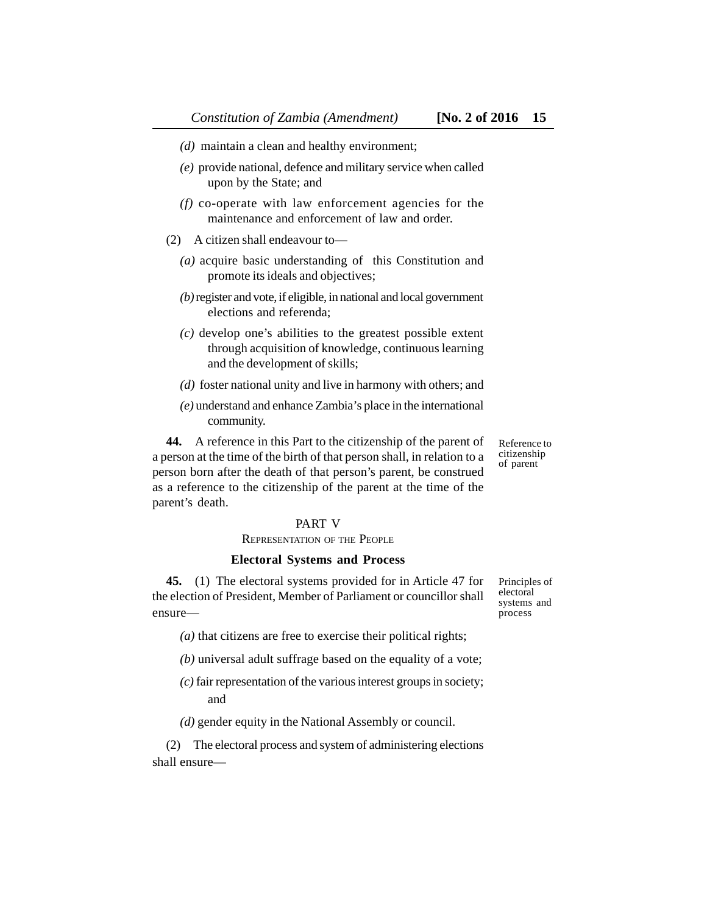- *(e)* provide national, defence and military service when called upon by the State; and
- *(f)* co-operate with law enforcement agencies for the maintenance and enforcement of law and order.
- (2) A citizen shall endeavour to—
	- *(a)* acquire basic understanding of this Constitution and promote its ideals and objectives;
	- *(b)* register and vote, if eligible, in national and local government elections and referenda;
	- *(c)* develop one's abilities to the greatest possible extent through acquisition of knowledge, continuous learning and the development of skills;
	- *(d)* foster national unity and live in harmony with others; and
	- *(e)* understand and enhance Zambia's place in the international community.

**44.** A reference in this Part to the citizenship of the parent of a person at the time of the birth of that person shall, in relation to a person born after the death of that person's parent, be construed as a reference to the citizenship of the parent at the time of the parent's death.

# PART V

# REPRESENTATION OF THE PEOPLE

#### **Electoral Systems and Process**

**45.** (1) The electoral systems provided for in Article 47 for the election of President, Member of Parliament or councillor shall ensure—

*(a)* that citizens are free to exercise their political rights;

- *(b)* universal adult suffrage based on the equality of a vote;
- *(c)* fair representation of the various interest groups in society; and

*(d)* gender equity in the National Assembly or council.

(2) The electoral process and system of administering elections shall ensure—

Principles of electoral systems and process

Reference to citizenship of parent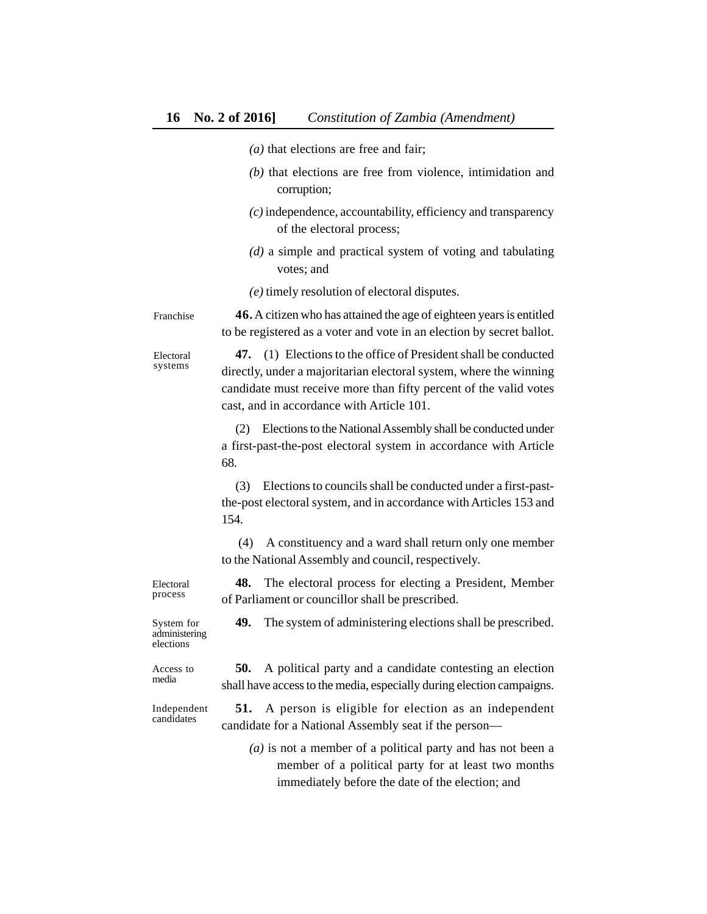- *(a)* that elections are free and fair;
- *(b)* that elections are free from violence, intimidation and corruption;
- *(c)* independence, accountability, efficiency and transparency of the electoral process;
- *(d)* a simple and practical system of voting and tabulating votes; and
- *(e)* timely resolution of electoral disputes.

**46.**A citizen who has attained the age of eighteen years is entitled to be registered as a voter and vote in an election by secret ballot. Franchise

> **47.** (1) Elections to the office of President shall be conducted directly, under a majoritarian electoral system, where the winning candidate must receive more than fifty percent of the valid votes cast, and in accordance with Article 101.

(2) Elections to the National Assembly shall be conducted under a first-past-the-post electoral system in accordance with Article 68.

(3) Elections to councils shall be conducted under a first-pastthe-post electoral system, and in accordance with Articles 153 and 154.

 (4) A constituency and a ward shall return only one member to the National Assembly and council, respectively.

**48.** The electoral process for electing a President, Member of Parliament or councillor shall be prescribed.

**49.** The system of administering elections shall be prescribed.

System for administering elections

Access to media

**50.** A political party and a candidate contesting an election shall have access to the media, especially during election campaigns.

Independent candidates

**51.** A person is eligible for election as an independent candidate for a National Assembly seat if the person—

*(a)* is not a member of a political party and has not been a member of a political party for at least two months immediately before the date of the election; and

process

Electoral

Electoral systems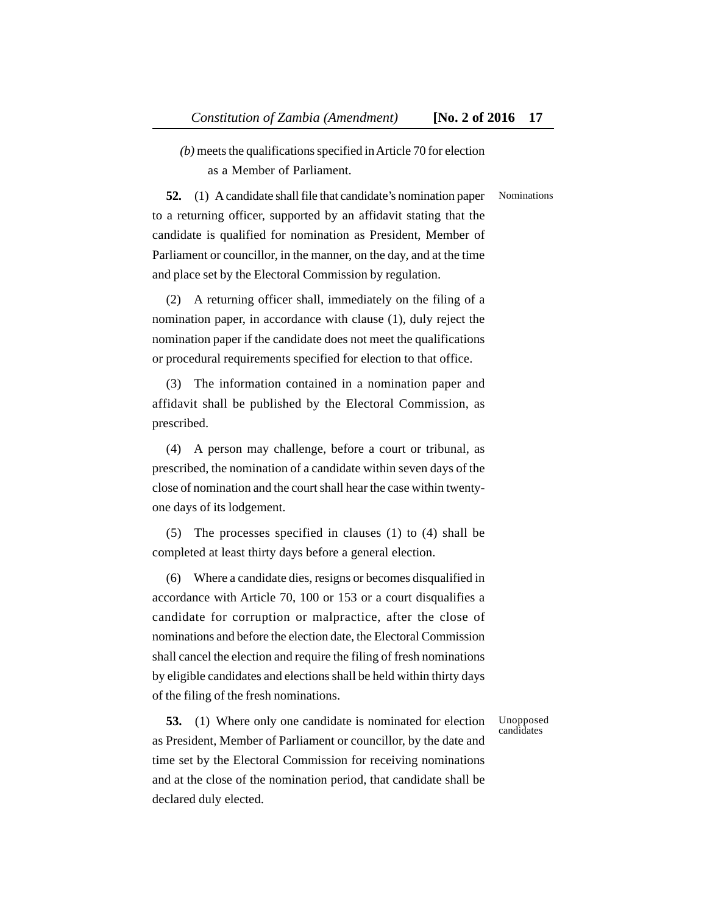*(b)* meets the qualifications specified in Article 70 for election as a Member of Parliament.

#### Nominations

**52.** (1) A candidate shall file that candidate's nomination paper to a returning officer, supported by an affidavit stating that the candidate is qualified for nomination as President, Member of Parliament or councillor, in the manner, on the day, and at the time and place set by the Electoral Commission by regulation.

(2) A returning officer shall, immediately on the filing of a nomination paper, in accordance with clause (1), duly reject the nomination paper if the candidate does not meet the qualifications or procedural requirements specified for election to that office.

(3) The information contained in a nomination paper and affidavit shall be published by the Electoral Commission, as prescribed.

(4) A person may challenge, before a court or tribunal, as prescribed, the nomination of a candidate within seven days of the close of nomination and the court shall hear the case within twentyone days of its lodgement.

(5) The processes specified in clauses (1) to (4) shall be completed at least thirty days before a general election.

(6) Where a candidate dies, resigns or becomes disqualified in accordance with Article 70, 100 or 153 or a court disqualifies a candidate for corruption or malpractice, after the close of nominations and before the election date, the Electoral Commission shall cancel the election and require the filing of fresh nominations by eligible candidates and elections shall be held within thirty days of the filing of the fresh nominations.

**53.** (1) Where only one candidate is nominated for election as President, Member of Parliament or councillor, by the date and time set by the Electoral Commission for receiving nominations and at the close of the nomination period, that candidate shall be declared duly elected.

Unopposed candidates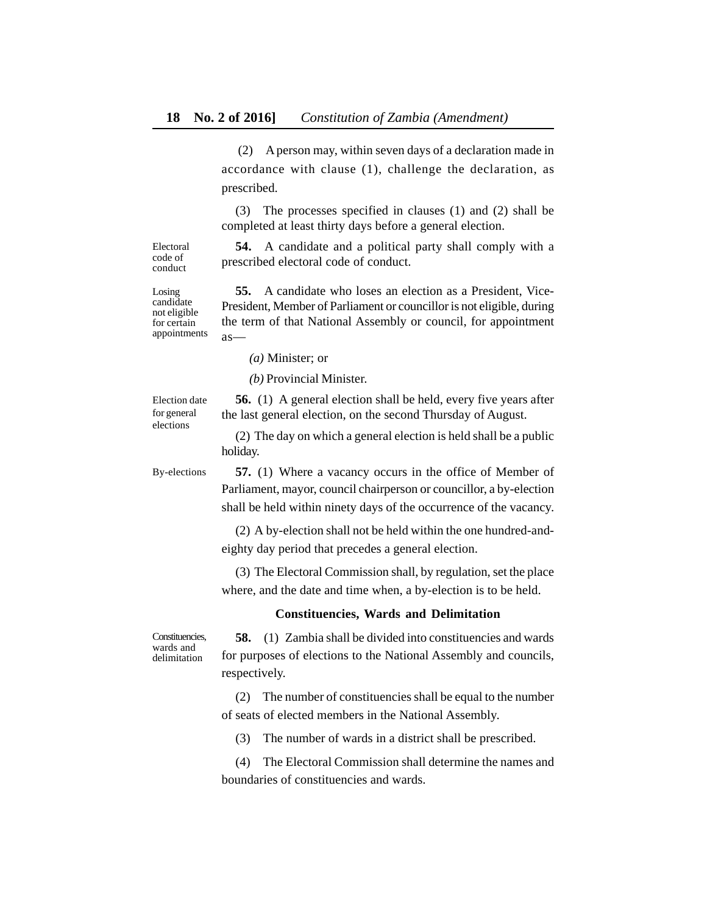(2) A person may, within seven days of a declaration made in accordance with clause (1), challenge the declaration, as prescribed.

(3) The processes specified in clauses (1) and (2) shall be completed at least thirty days before a general election.

**54.** A candidate and a political party shall comply with a prescribed electoral code of conduct.

Electoral code of conduct

Losing candidate not eligible for certain appointments

**55.** A candidate who loses an election as a President, Vice-President, Member of Parliament or councillor is not eligible, during the term of that National Assembly or council, for appointment as—

*(a)* Minister; or

*(b)* Provincial Minister.

Election date for general elections

**56.** (1) A general election shall be held, every five years after the last general election, on the second Thursday of August.

(2) The day on which a general election is held shall be a public holiday.

By-elections

**57.** (1) Where a vacancy occurs in the office of Member of Parliament, mayor, council chairperson or councillor, a by-election shall be held within ninety days of the occurrence of the vacancy.

(2) A by-election shall not be held within the one hundred-andeighty day period that precedes a general election.

(3) The Electoral Commission shall, by regulation, set the place where, and the date and time when, a by-election is to be held.

#### **Constituencies, Wards and Delimitation**

Constituencies, wards and delimitation

**58.** (1) Zambia shall be divided into constituencies and wards for purposes of elections to the National Assembly and councils, respectively.

(2) The number of constituencies shall be equal to the number of seats of elected members in the National Assembly.

(3) The number of wards in a district shall be prescribed.

(4) The Electoral Commission shall determine the names and boundaries of constituencies and wards.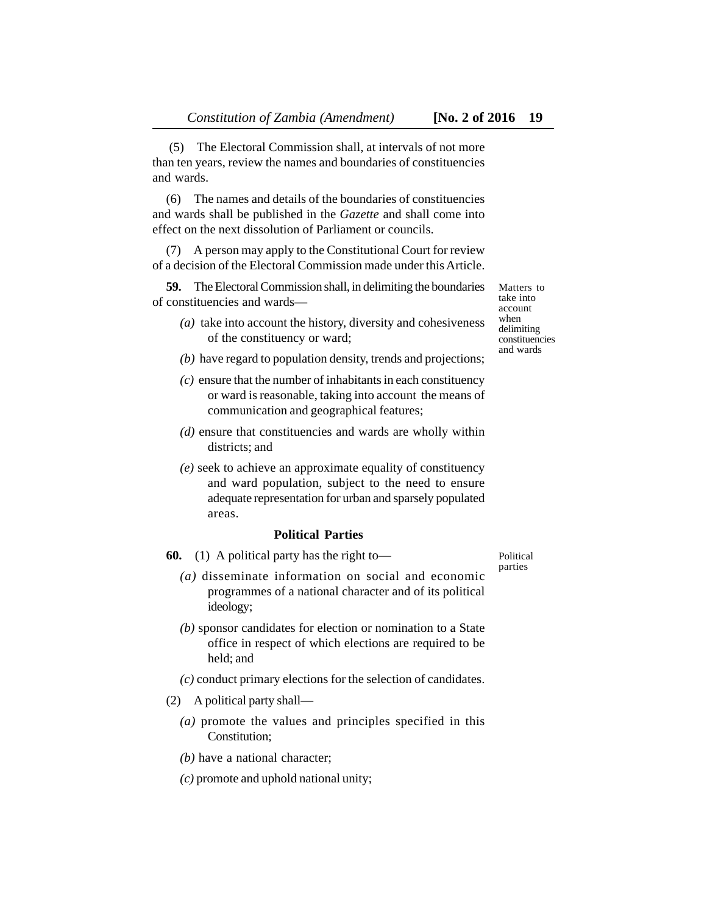(5) The Electoral Commission shall, at intervals of not more than ten years, review the names and boundaries of constituencies and wards.

(6) The names and details of the boundaries of constituencies and wards shall be published in the *Gazette* and shall come into effect on the next dissolution of Parliament or councils.

(7) A person may apply to the Constitutional Court for review of a decision of the Electoral Commission made under this Article.

**59.** The Electoral Commission shall, in delimiting the boundaries of constituencies and wards—

- *(a)* take into account the history, diversity and cohesiveness of the constituency or ward;
- *(b)* have regard to population density, trends and projections;
- *(c)* ensure that the number of inhabitants in each constituency or ward is reasonable, taking into account the means of communication and geographical features;
- *(d)* ensure that constituencies and wards are wholly within districts; and
- *(e)* seek to achieve an approximate equality of constituency and ward population, subject to the need to ensure adequate representation for urban and sparsely populated areas.

# **Political Parties**

- **60.** (1) A political party has the right to—
	- *(a)* disseminate information on social and economic programmes of a national character and of its political ideology;
	- *(b)* sponsor candidates for election or nomination to a State office in respect of which elections are required to be held; and
	- *(c)* conduct primary elections for the selection of candidates.
- (2) A political party shall—
	- *(a)* promote the values and principles specified in this Constitution;
	- *(b)* have a national character;
	- *(c)* promote and uphold national unity;

Matters to take into account when delimiting constituencies and wards

Political parties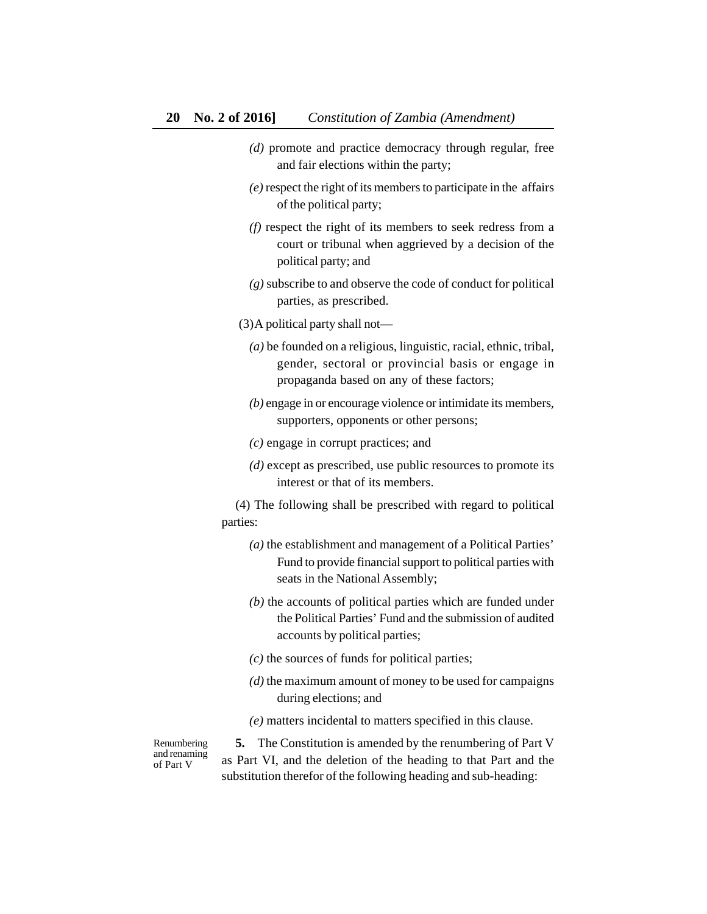- *(d)* promote and practice democracy through regular, free and fair elections within the party;
- *(e)* respect the right of its members to participate in the affairs of the political party;
- *(f)* respect the right of its members to seek redress from a court or tribunal when aggrieved by a decision of the political party; and
- *(g)* subscribe to and observe the code of conduct for political parties, as prescribed.
- (3)A political party shall not—
	- *(a)* be founded on a religious, linguistic, racial, ethnic, tribal, gender, sectoral or provincial basis or engage in propaganda based on any of these factors;
	- *(b)* engage in or encourage violence or intimidate its members, supporters, opponents or other persons;
	- *(c)* engage in corrupt practices; and
	- *(d)* except as prescribed, use public resources to promote its interest or that of its members.

(4) The following shall be prescribed with regard to political parties:

- *(a)* the establishment and management of a Political Parties' Fund to provide financial support to political parties with seats in the National Assembly;
- *(b)* the accounts of political parties which are funded under the Political Parties' Fund and the submission of audited accounts by political parties;
- *(c)* the sources of funds for political parties;
- *(d)* the maximum amount of money to be used for campaigns during elections; and
- *(e)* matters incidental to matters specified in this clause.

Renumbering and renaming of Part V

**5.** The Constitution is amended by the renumbering of Part V as Part VI, and the deletion of the heading to that Part and the substitution therefor of the following heading and sub-heading: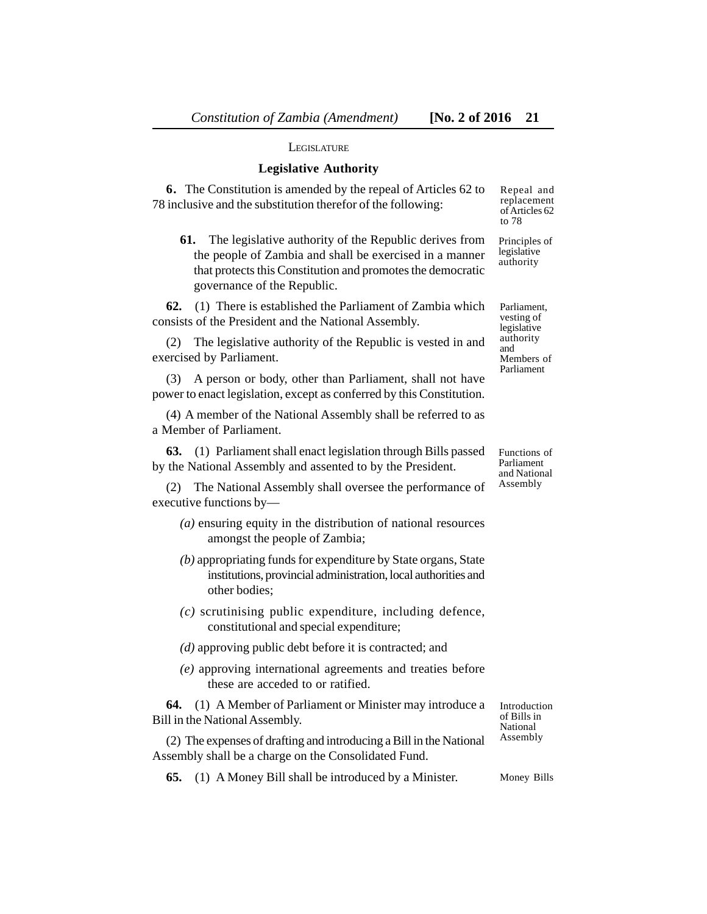to 78

#### **LEGISLATURE**

#### **Legislative Authority**

**6.** The Constitution is amended by the repeal of Articles 62 to 78 inclusive and the substitution therefor of the following: Repeal and replacement of Articles 62

**61.** The legislative authority of the Republic derives from the people of Zambia and shall be exercised in a manner that protects this Constitution and promotes the democratic governance of the Republic. Principles of legislative authority

**62.** (1) There is established the Parliament of Zambia which consists of the President and the National Assembly.

(2) The legislative authority of the Republic is vested in and exercised by Parliament.

(3) A person or body, other than Parliament, shall not have power to enact legislation, except as conferred by this Constitution.

(4) A member of the National Assembly shall be referred to as a Member of Parliament.

**63.** (1) Parliament shall enact legislation through Bills passed by the National Assembly and assented to by the President.

(2) The National Assembly shall oversee the performance of executive functions by—

- *(a)* ensuring equity in the distribution of national resources amongst the people of Zambia;
- *(b)* appropriating funds for expenditure by State organs, State institutions, provincial administration, local authorities and other bodies;
- *(c)* scrutinising public expenditure, including defence, constitutional and special expenditure;
- *(d)* approving public debt before it is contracted; and
- *(e)* approving international agreements and treaties before these are acceded to or ratified.

**64.** (1) A Member of Parliament or Minister may introduce a Bill in the National Assembly.

(2) The expenses of drafting and introducing a Bill in the National Assembly shall be a charge on the Consolidated Fund.

Introduction of Bills in National Assembly

**65.** (1) A Money Bill shall be introduced by a Minister. Money Bills

Functions of Parliament

and National Assembly

Parliament, vesting of legislative authority and Members of Parliament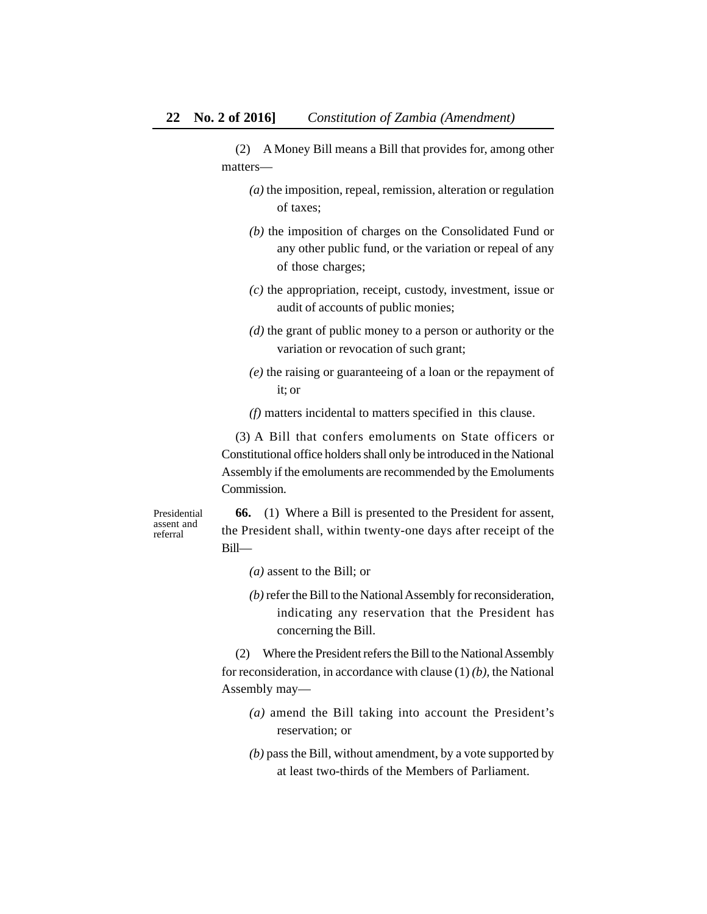(2) A Money Bill means a Bill that provides for, among other matters—

- *(a)* the imposition, repeal, remission, alteration or regulation of taxes;
- *(b)* the imposition of charges on the Consolidated Fund or any other public fund, or the variation or repeal of any of those charges;
- *(c)* the appropriation, receipt, custody, investment, issue or audit of accounts of public monies;
- *(d)* the grant of public money to a person or authority or the variation or revocation of such grant;
- *(e)* the raising or guaranteeing of a loan or the repayment of it; or
- *(f)* matters incidental to matters specified in this clause.

(3) A Bill that confers emoluments on State officers or Constitutional office holders shall only be introduced in the National Assembly if the emoluments are recommended by the Emoluments Commission.

Presidential assent and referral

**66.** (1) Where a Bill is presented to the President for assent, the President shall, within twenty-one days after receipt of the Bill—

- *(a)* assent to the Bill; or
- *(b)* refer the Bill to the National Assembly for reconsideration, indicating any reservation that the President has concerning the Bill.

(2) Where the President refers the Bill to the National Assembly for reconsideration, in accordance with clause (1) *(b),* the National Assembly may—

- *(a)* amend the Bill taking into account the President's reservation; or
- *(b)* pass the Bill, without amendment, by a vote supported by at least two-thirds of the Members of Parliament.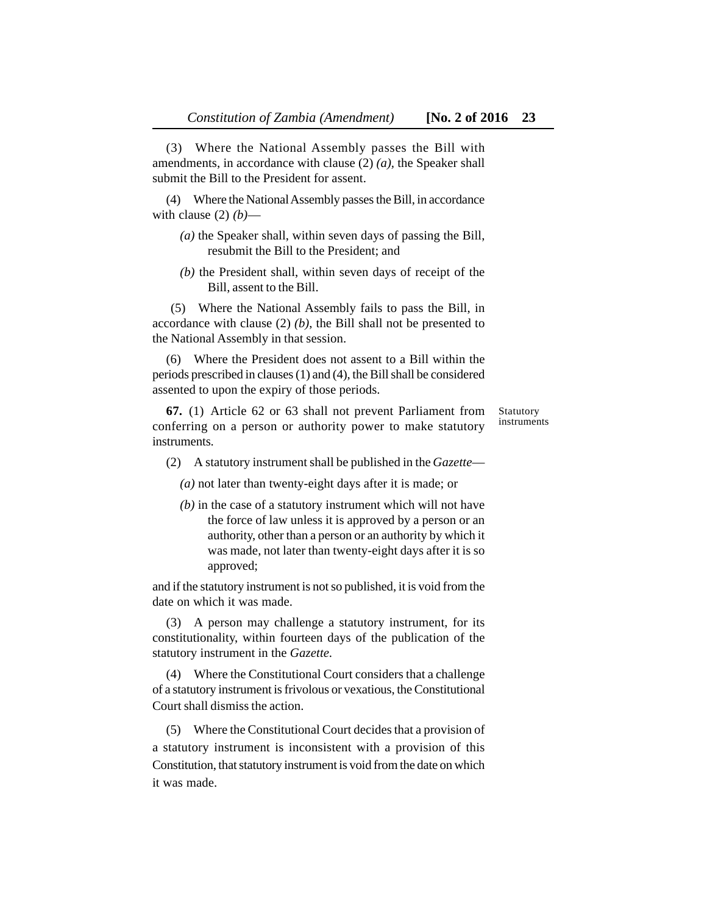(3) Where the National Assembly passes the Bill with amendments, in accordance with clause (2) *(a),* the Speaker shall submit the Bill to the President for assent.

(4) Where the National Assembly passes the Bill, in accordance with clause  $(2)$   $(b)$ —

- *(a)* the Speaker shall, within seven days of passing the Bill, resubmit the Bill to the President; and
- *(b)* the President shall, within seven days of receipt of the Bill, assent to the Bill.

 (5) Where the National Assembly fails to pass the Bill, in accordance with clause (2) *(b)*, the Bill shall not be presented to the National Assembly in that session.

(6) Where the President does not assent to a Bill within the periods prescribed in clauses (1) and (4), the Bill shall be considered assented to upon the expiry of those periods.

**67.** (1) Article 62 or 63 shall not prevent Parliament from conferring on a person or authority power to make statutory instruments.

Statutory instruments

(2) A statutory instrument shall be published in the *Gazette*—

*(a)* not later than twenty-eight days after it is made; or

*(b)* in the case of a statutory instrument which will not have the force of law unless it is approved by a person or an authority, other than a person or an authority by which it was made, not later than twenty-eight days after it is so approved;

and if the statutory instrument is not so published, it is void from the date on which it was made.

(3) A person may challenge a statutory instrument, for its constitutionality, within fourteen days of the publication of the statutory instrument in the *Gazette.*

(4) Where the Constitutional Court considers that a challenge of a statutory instrument is frivolous or vexatious, the Constitutional Court shall dismiss the action.

(5) Where the Constitutional Court decides that a provision of a statutory instrument is inconsistent with a provision of this Constitution, that statutory instrument is void from the date on which it was made.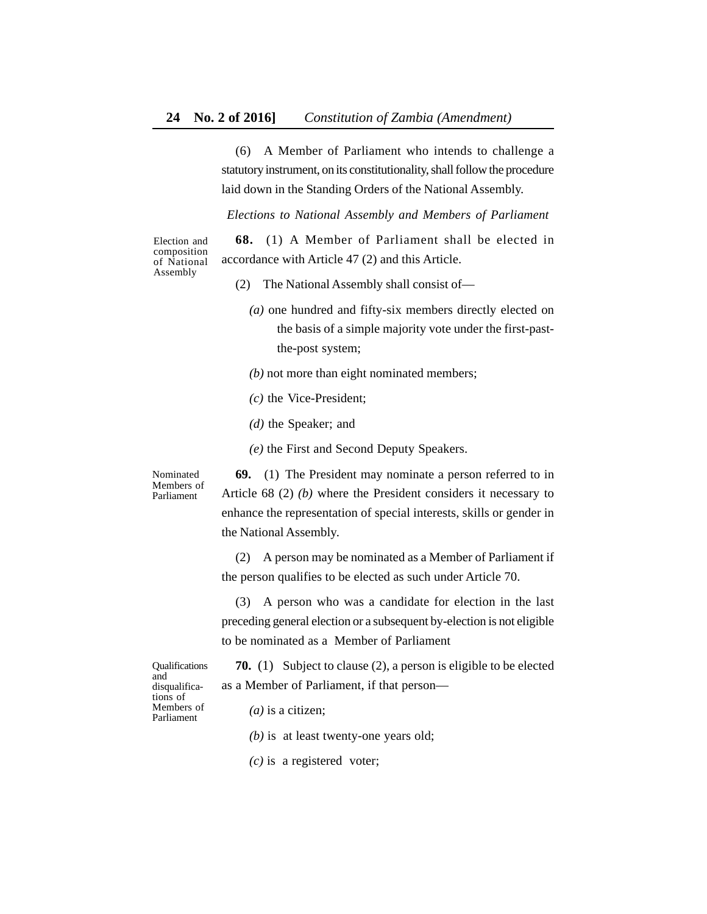(6) A Member of Parliament who intends to challenge a statutory instrument, on its constitutionality, shall follow the procedure laid down in the Standing Orders of the National Assembly.

*Elections to National Assembly and Members of Parliament*

Election and composition of National Assembly

**68.** (1) A Member of Parliament shall be elected in accordance with Article 47 (2) and this Article.

- (2) The National Assembly shall consist of—
	- *(a)* one hundred and fifty-six members directly elected on the basis of a simple majority vote under the first-pastthe-post system;
	- *(b)* not more than eight nominated members;
	- *(c)* the Vice-President;
	- *(d)* the Speaker; and
	- *(e)* the First and Second Deputy Speakers.

**69.** (1) The President may nominate a person referred to in Article 68 (2) *(b)* where the President considers it necessary to enhance the representation of special interests, skills or gender in the National Assembly.

(2) A person may be nominated as a Member of Parliament if the person qualifies to be elected as such under Article 70.

(3) A person who was a candidate for election in the last preceding general election or a subsequent by-election is not eligible to be nominated as a Member of Parliament

**Oualifications** and disqualifications of Members of Parliament

Nominated Members of Parliament

> **70.** (1) Subject to clause (2), a person is eligible to be elected as a Member of Parliament, if that person—

*(a)* is a citizen;

*(b)* is at least twenty-one years old;

*(c)* is a registered voter;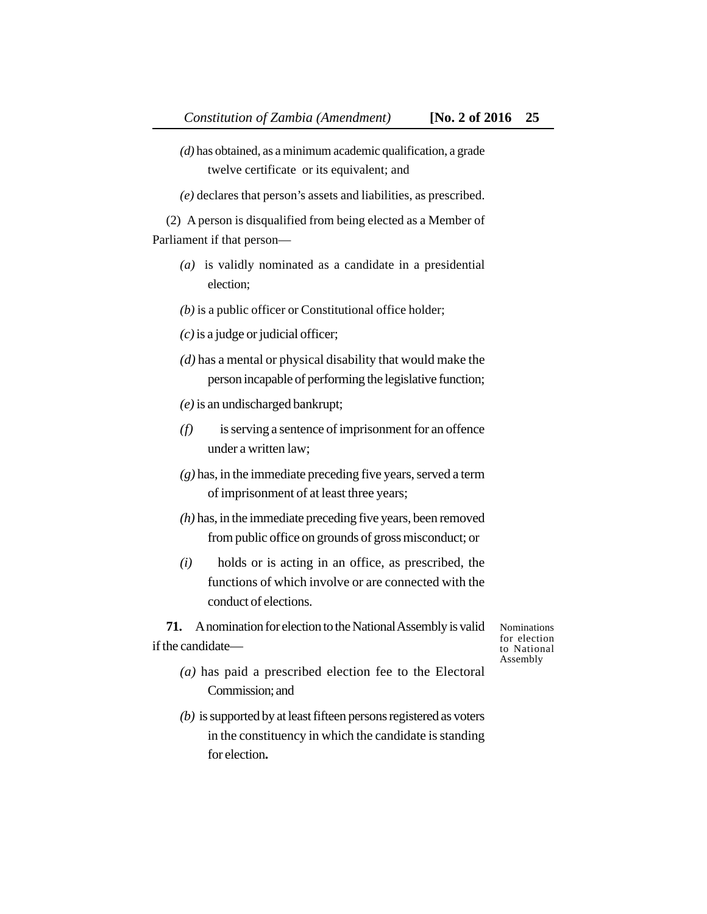twelve certificate or its equivalent; and

*(e)* declares that person's assets and liabilities, as prescribed.

(2) A person is disqualified from being elected as a Member of Parliament if that person—

- *(a)* is validly nominated as a candidate in a presidential election;
- *(b)* is a public officer or Constitutional office holder;
- *(c)* is a judge or judicial officer;
- *(d)* has a mental or physical disability that would make the person incapable of performing the legislative function;
- *(e)* is an undischarged bankrupt;
- *(f)* is serving a sentence of imprisonment for an offence under a written law;
- *(g)* has, in the immediate preceding five years, served a term of imprisonment of at least three years;
- *(h)* has, in the immediate preceding five years, been removed from public office on grounds of gross misconduct; or
- *(i)* holds or is acting in an office, as prescribed, the functions of which involve or are connected with the conduct of elections.

**71.** A nomination for election to the National Assembly is valid if the candidateNominations for election to National Assembly

- *(a)* has paid a prescribed election fee to the Electoral Commission; and
- *(b)* is supported by at least fifteen persons registered as voters in the constituency in which the candidate is standing for election**.**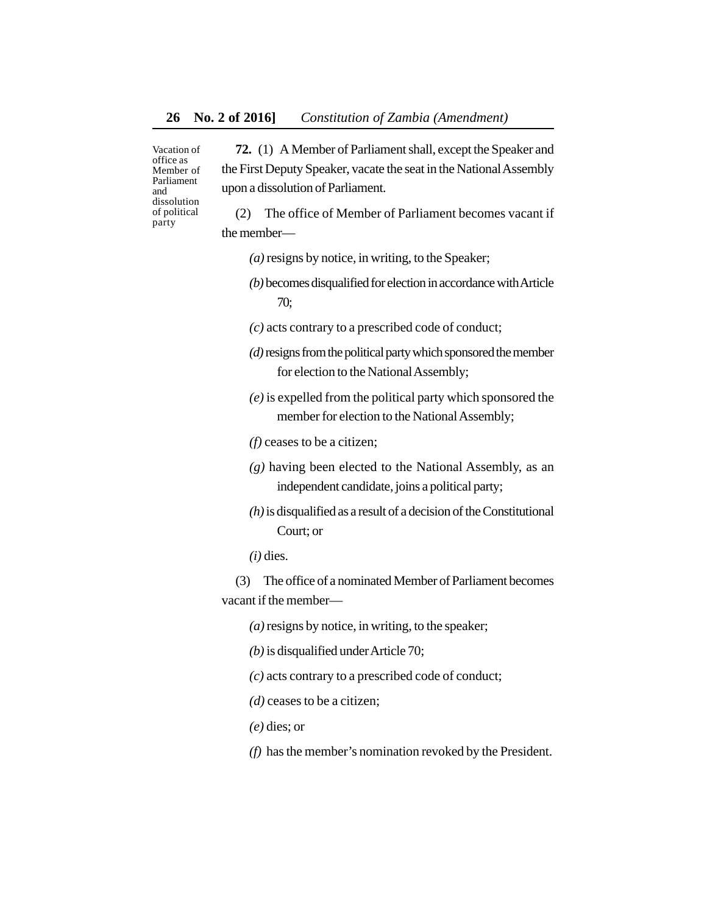Vacation of office as Member of Parliament and dissolution of political party

**72.** (1) A Member of Parliament shall, except the Speaker and the First Deputy Speaker, vacate the seat in the National Assembly upon a dissolution of Parliament.

(2) The office of Member of Parliament becomes vacant if the member—

- *(a)* resigns by notice, in writing, to the Speaker;
- *(b)* becomes disqualified for election in accordance with Article 70;
- *(c)* acts contrary to a prescribed code of conduct;
- *(d)* resigns from the political party which sponsored the member for election to the National Assembly;
- *(e)* is expelled from the political party which sponsored the member for election to the National Assembly;
- *(f)* ceases to be a citizen;
- *(g)* having been elected to the National Assembly, as an independent candidate, joins a political party;
- *(h)* is disqualified as a result of a decision of the Constitutional Court; or

*(i)* dies.

(3) The office of a nominated Member of Parliament becomes vacant if the member—

*(a)* resigns by notice, in writing, to the speaker;

*(b)* is disqualified under Article 70;

*(c)* acts contrary to a prescribed code of conduct;

*(d)* ceases to be a citizen;

*(e)* dies; or

*(f)* has the member's nomination revoked by the President.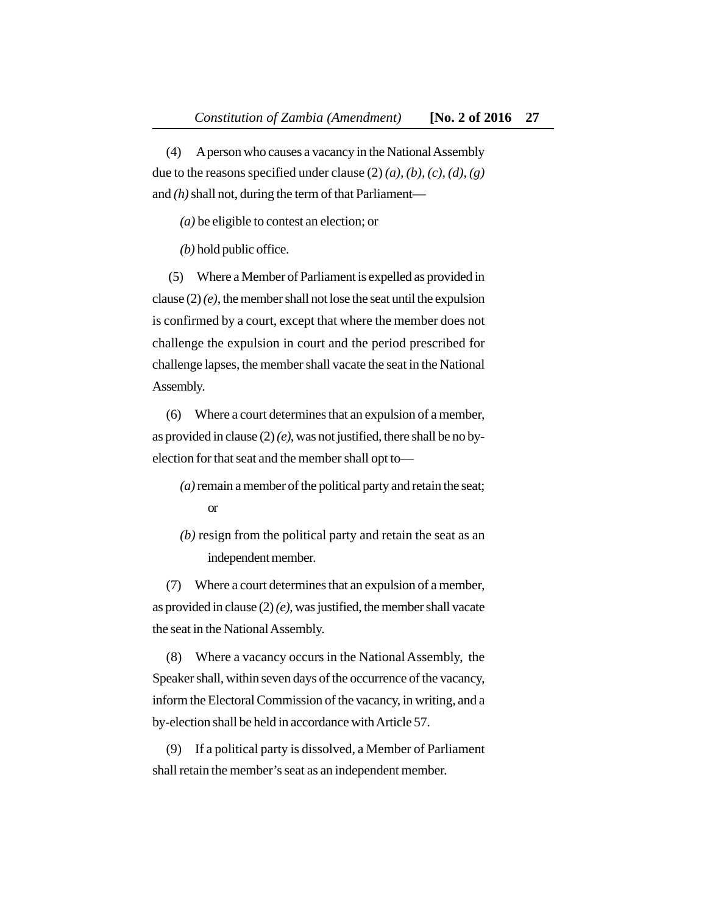(4) A person who causes a vacancy in the National Assembly due to the reasons specified under clause (2) *(a), (b), (c), (d), (g)* and *(h)* shall not, during the term of that Parliament—

*(a)* be eligible to contest an election; or

*(b)* hold public office.

 (5) Where a Member of Parliament is expelled as provided in clause (2) *(e)*, the member shall not lose the seat until the expulsion is confirmed by a court, except that where the member does not challenge the expulsion in court and the period prescribed for challenge lapses, the member shall vacate the seat in the National Assembly.

(6) Where a court determines that an expulsion of a member, as provided in clause (2) *(e)*, was not justified, there shall be no byelection for that seat and the member shall opt to—

- *(a)* remain a member of the political party and retain the seat; or
- *(b)* resign from the political party and retain the seat as an independent member.

(7) Where a court determines that an expulsion of a member, as provided in clause (2) *(e)*, was justified, the member shall vacate the seat in the National Assembly.

(8) Where a vacancy occurs in the National Assembly, the Speaker shall, within seven days of the occurrence of the vacancy, inform the Electoral Commission of the vacancy, in writing, and a by-election shall be held in accordance with Article 57.

(9) If a political party is dissolved, a Member of Parliament shall retain the member's seat as an independent member.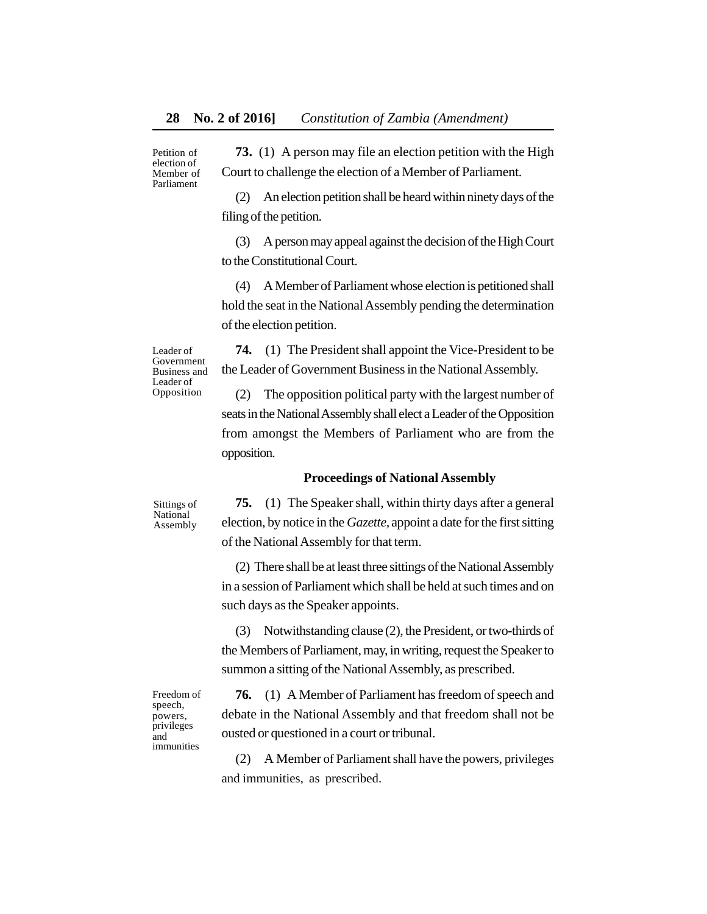Petition of election of Member of Parliament

**73.** (1) A person may file an election petition with the High Court to challenge the election of a Member of Parliament.

(2) An election petition shall be heard within ninety days of the filing of the petition.

(3) A person may appeal against the decision of the High Court to the Constitutional Court.

(4) A Member of Parliament whose election is petitioned shall hold the seat in the National Assembly pending the determination of the election petition.

**74.** (1) The President shall appoint the Vice-President to be the Leader of Government Business in the National Assembly.

(2) The opposition political party with the largest number of seats in the National Assembly shall elect a Leader of the Opposition from amongst the Members of Parliament who are from the opposition.

### **Proceedings of National Assembly**

Sittings of National Assembly

Leader of Government Business and Leader of Opposition

> **75.** (1) The Speaker shall, within thirty days after a general election, by notice in the *Gazette,* appoint a date for the first sitting of the National Assembly for that term.

> (2) There shall be at least three sittings of the National Assembly in a session of Parliament which shall be held at such times and on such days as the Speaker appoints.

> (3) Notwithstanding clause (2), the President, or two-thirds of the Members of Parliament, may, in writing, request the Speaker to summon a sitting of the National Assembly, as prescribed.

Freedom of speech, powers, privileges and immunities

**76.** (1) A Member of Parliament has freedom of speech and debate in the National Assembly and that freedom shall not be ousted or questioned in a court or tribunal.

(2) A Member of Parliament shall have the powers, privileges and immunities, as prescribed.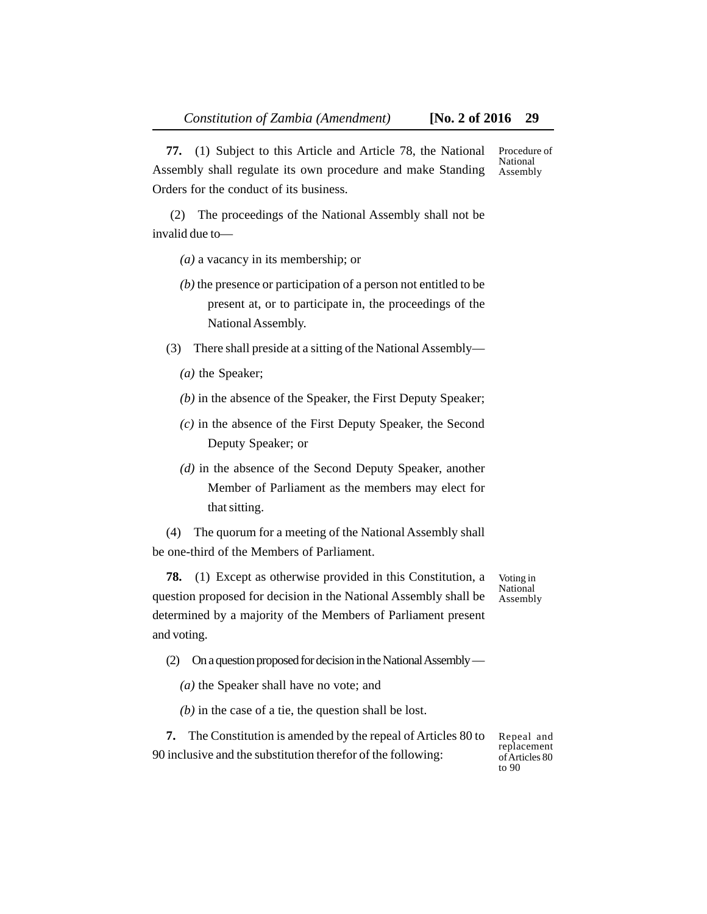**77.** (1) Subject to this Article and Article 78, the National Assembly shall regulate its own procedure and make Standing Orders for the conduct of its business. Procedure of National Assembly

 (2) The proceedings of the National Assembly shall not be invalid due to—

- *(a)* a vacancy in its membership; or
- *(b)* the presence or participation of a person not entitled to be present at, or to participate in, the proceedings of the National Assembly.
- (3) There shall preside at a sitting of the National Assembly—
	- *(a)* the Speaker;
	- *(b)* in the absence of the Speaker, the First Deputy Speaker;
	- *(c)* in the absence of the First Deputy Speaker, the Second Deputy Speaker; or
	- *(d)* in the absence of the Second Deputy Speaker, another Member of Parliament as the members may elect for that sitting.

(4) The quorum for a meeting of the National Assembly shall be one-third of the Members of Parliament.

**78.** (1) Except as otherwise provided in this Constitution, a question proposed for decision in the National Assembly shall be determined by a majority of the Members of Parliament present and voting.

Voting in National Assembly

- (2) On a question proposed for decision in the National Assembly
	- *(a)* the Speaker shall have no vote; and
	- *(b)* in the case of a tie, the question shall be lost.

**7.** The Constitution is amended by the repeal of Articles 80 to 90 inclusive and the substitution therefor of the following:

Repeal and replacement of Articles 80 to 90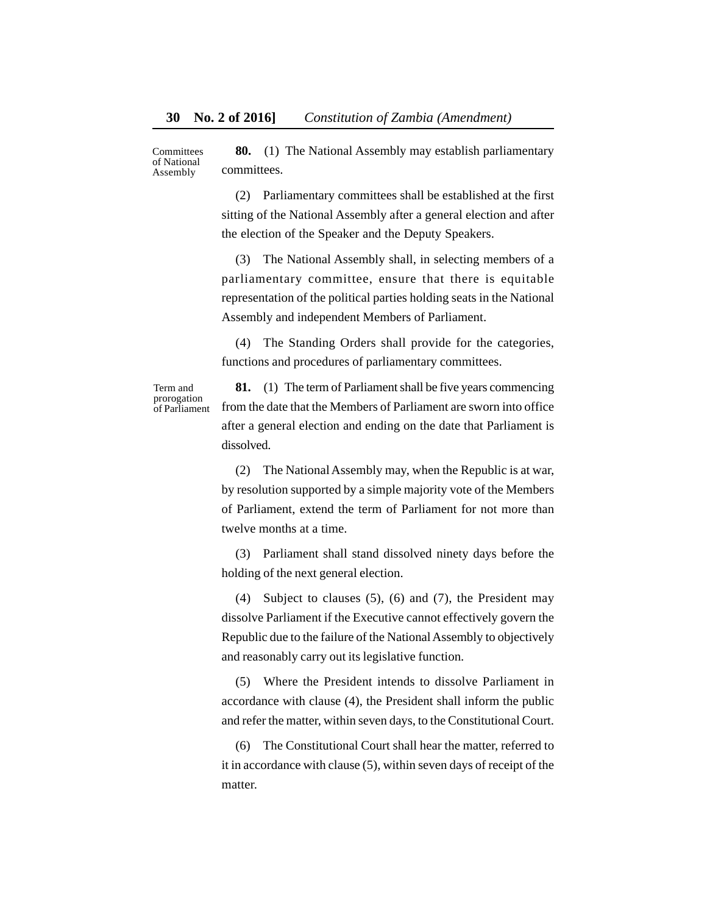**80.** (1) The National Assembly may establish parliamentary committees. Committees of National Assembly

> (2) Parliamentary committees shall be established at the first sitting of the National Assembly after a general election and after the election of the Speaker and the Deputy Speakers.

> (3) The National Assembly shall, in selecting members of a parliamentary committee, ensure that there is equitable representation of the political parties holding seats in the National Assembly and independent Members of Parliament.

> (4) The Standing Orders shall provide for the categories, functions and procedures of parliamentary committees.

Term and prorogation of Parliament

**81.** (1) The term of Parliament shall be five years commencing from the date that the Members of Parliament are sworn into office after a general election and ending on the date that Parliament is dissolved.

(2) The National Assembly may, when the Republic is at war, by resolution supported by a simple majority vote of the Members of Parliament, extend the term of Parliament for not more than twelve months at a time.

(3) Parliament shall stand dissolved ninety days before the holding of the next general election.

(4) Subject to clauses (5), (6) and (7), the President may dissolve Parliament if the Executive cannot effectively govern the Republic due to the failure of the National Assembly to objectively and reasonably carry out its legislative function.

(5) Where the President intends to dissolve Parliament in accordance with clause (4), the President shall inform the public and refer the matter, within seven days, to the Constitutional Court.

(6) The Constitutional Court shall hear the matter, referred to it in accordance with clause (5), within seven days of receipt of the matter.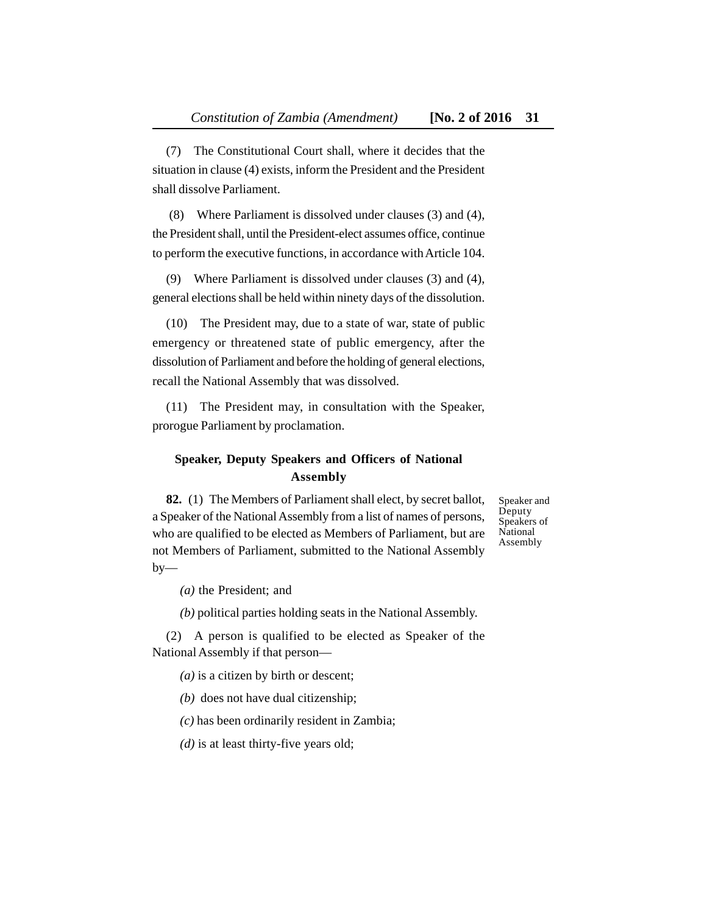(7) The Constitutional Court shall, where it decides that the situation in clause (4) exists, inform the President and the President shall dissolve Parliament.

 (8) Where Parliament is dissolved under clauses (3) and (4), the President shall, until the President-elect assumes office, continue to perform the executive functions, in accordance with Article 104.

(9) Where Parliament is dissolved under clauses (3) and (4), general elections shall be held within ninety days of the dissolution.

(10) The President may, due to a state of war, state of public emergency or threatened state of public emergency, after the dissolution of Parliament and before the holding of general elections, recall the National Assembly that was dissolved.

(11) The President may, in consultation with the Speaker, prorogue Parliament by proclamation.

# **Speaker, Deputy Speakers and Officers of National Assembly**

**82.** (1) The Members of Parliament shall elect, by secret ballot, a Speaker of the National Assembly from a list of names of persons, who are qualified to be elected as Members of Parliament, but are not Members of Parliament, submitted to the National Assembly  $by-$ 

Speaker and Deputy Speakers of National Assembly

*(a)* the President; and

*(b)* political parties holding seats in the National Assembly.

(2) A person is qualified to be elected as Speaker of the National Assembly if that person—

*(a)* is a citizen by birth or descent;

*(b)* does not have dual citizenship;

*(c)* has been ordinarily resident in Zambia;

*(d)* is at least thirty-five years old;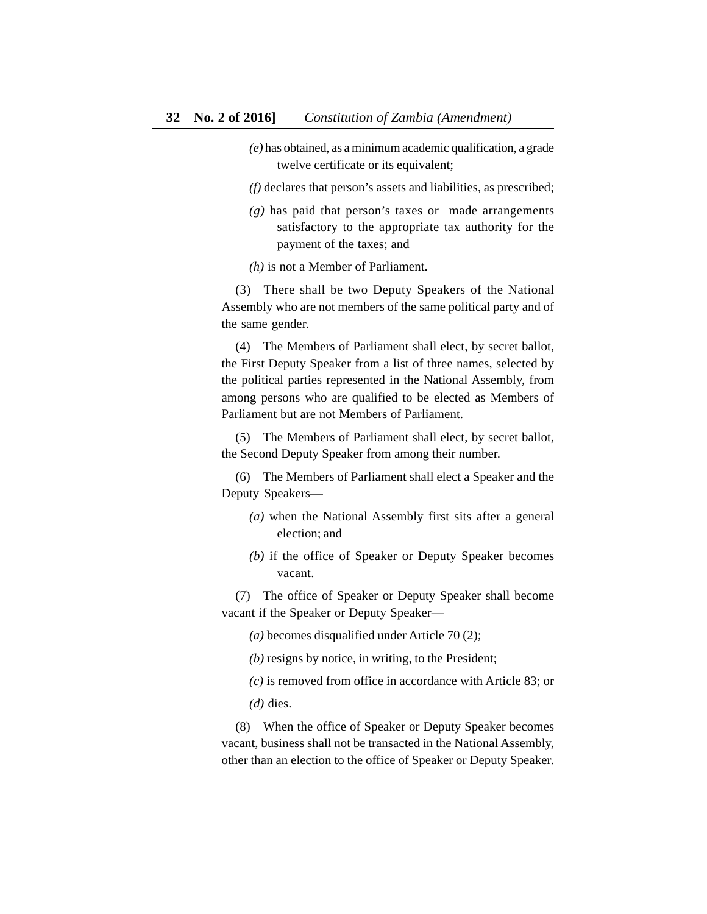- *(e)* has obtained, as a minimum academic qualification, a grade twelve certificate or its equivalent;
- *(f)* declares that person's assets and liabilities, as prescribed;
- *(g)* has paid that person's taxes or made arrangements satisfactory to the appropriate tax authority for the payment of the taxes; and
- *(h)* is not a Member of Parliament.

(3) There shall be two Deputy Speakers of the National Assembly who are not members of the same political party and of the same gender.

(4) The Members of Parliament shall elect, by secret ballot, the First Deputy Speaker from a list of three names, selected by the political parties represented in the National Assembly, from among persons who are qualified to be elected as Members of Parliament but are not Members of Parliament.

(5) The Members of Parliament shall elect, by secret ballot, the Second Deputy Speaker from among their number.

(6) The Members of Parliament shall elect a Speaker and the Deputy Speakers—

- *(a)* when the National Assembly first sits after a general election; and
- *(b)* if the office of Speaker or Deputy Speaker becomes vacant.

(7) The office of Speaker or Deputy Speaker shall become vacant if the Speaker or Deputy Speaker—

- *(a)* becomes disqualified under Article 70 (2);
- *(b)* resigns by notice, in writing, to the President;
- *(c)* is removed from office in accordance with Article 83; or
- *(d)* dies.

(8) When the office of Speaker or Deputy Speaker becomes vacant, business shall not be transacted in the National Assembly, other than an election to the office of Speaker or Deputy Speaker.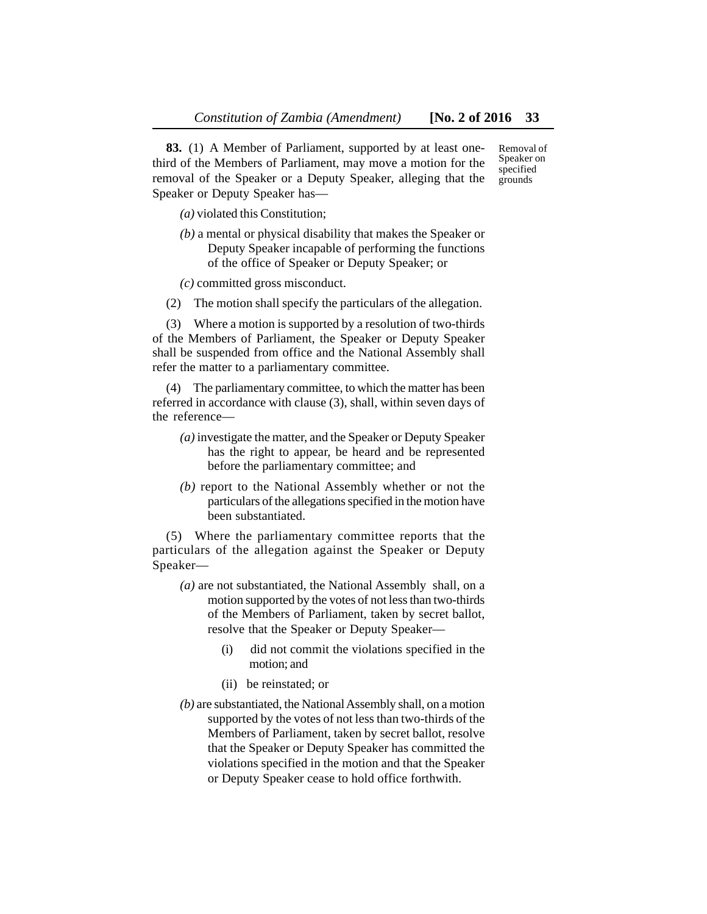**83.** (1) A Member of Parliament, supported by at least onethird of the Members of Parliament, may move a motion for the removal of the Speaker or a Deputy Speaker, alleging that the Speaker or Deputy Speaker has—

*(a)* violated this Constitution;

*(b)* a mental or physical disability that makes the Speaker or Deputy Speaker incapable of performing the functions of the office of Speaker or Deputy Speaker; or

*(c)* committed gross misconduct.

(2) The motion shall specify the particulars of the allegation.

(3) Where a motion is supported by a resolution of two-thirds of the Members of Parliament, the Speaker or Deputy Speaker shall be suspended from office and the National Assembly shall refer the matter to a parliamentary committee.

(4) The parliamentary committee, to which the matter has been referred in accordance with clause (3), shall, within seven days of the reference—

- *(a)* investigate the matter, and the Speaker or Deputy Speaker has the right to appear, be heard and be represented before the parliamentary committee; and
- *(b)* report to the National Assembly whether or not the particulars of the allegations specified in the motion have been substantiated.

(5) Where the parliamentary committee reports that the particulars of the allegation against the Speaker or Deputy Speaker—

- *(a)* are not substantiated, the National Assembly shall, on a motion supported by the votes of not less than two-thirds of the Members of Parliament, taken by secret ballot, resolve that the Speaker or Deputy Speaker—
	- (i) did not commit the violations specified in the motion; and
	- (ii) be reinstated; or
- *(b)* are substantiated, the National Assembly shall, on a motion supported by the votes of not less than two-thirds of the Members of Parliament, taken by secret ballot, resolve that the Speaker or Deputy Speaker has committed the violations specified in the motion and that the Speaker or Deputy Speaker cease to hold office forthwith.

Removal of Speaker on specified grounds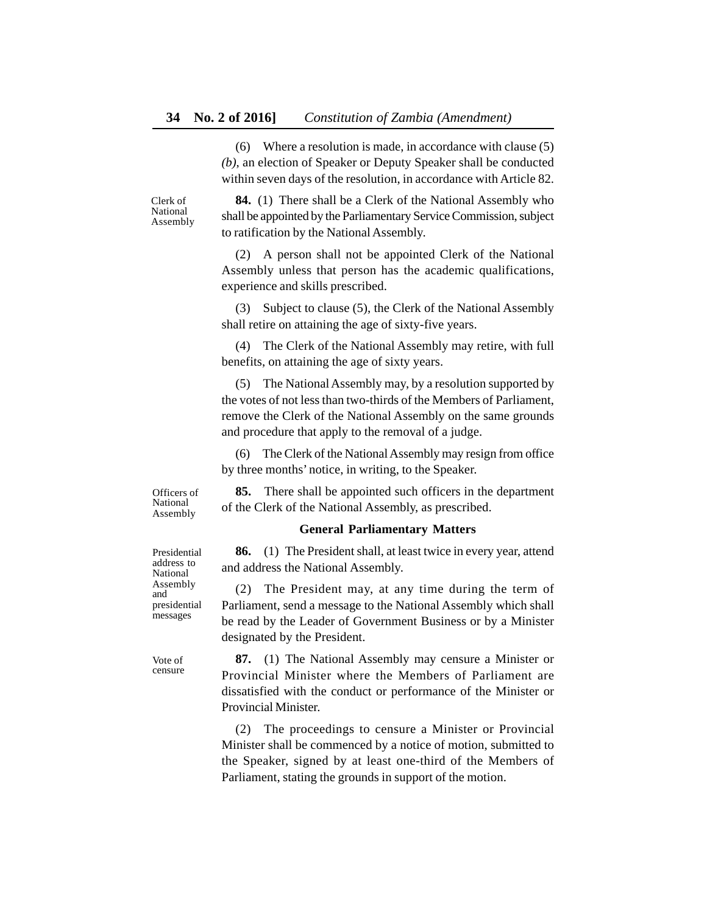(6) Where a resolution is made, in accordance with clause (5) *(b)*, an election of Speaker or Deputy Speaker shall be conducted within seven days of the resolution, in accordance with Article 82.

Clerk of National Assembly

**84.** (1) There shall be a Clerk of the National Assembly who shall be appointed by the Parliamentary Service Commission, subject to ratification by the National Assembly.

(2) A person shall not be appointed Clerk of the National Assembly unless that person has the academic qualifications, experience and skills prescribed.

(3) Subject to clause (5), the Clerk of the National Assembly shall retire on attaining the age of sixty-five years.

(4) The Clerk of the National Assembly may retire, with full benefits, on attaining the age of sixty years.

(5) The National Assembly may, by a resolution supported by the votes of not less than two-thirds of the Members of Parliament, remove the Clerk of the National Assembly on the same grounds and procedure that apply to the removal of a judge.

(6) The Clerk of the National Assembly may resign from office by three months' notice, in writing, to the Speaker.

**85.** There shall be appointed such officers in the department

Officers of National Assembly

#### **General Parliamentary Matters**

of the Clerk of the National Assembly, as prescribed.

**86.** (1) The President shall, at least twice in every year, attend and address the National Assembly.

(2) The President may, at any time during the term of Parliament, send a message to the National Assembly which shall be read by the Leader of Government Business or by a Minister designated by the President.

**87.** (1) The National Assembly may censure a Minister or Provincial Minister where the Members of Parliament are dissatisfied with the conduct or performance of the Minister or Provincial Minister.

(2) The proceedings to censure a Minister or Provincial Minister shall be commenced by a notice of motion, submitted to the Speaker, signed by at least one-third of the Members of Parliament, stating the grounds in support of the motion.

Presidential address to National Assembly and presidential messages

Vote of censure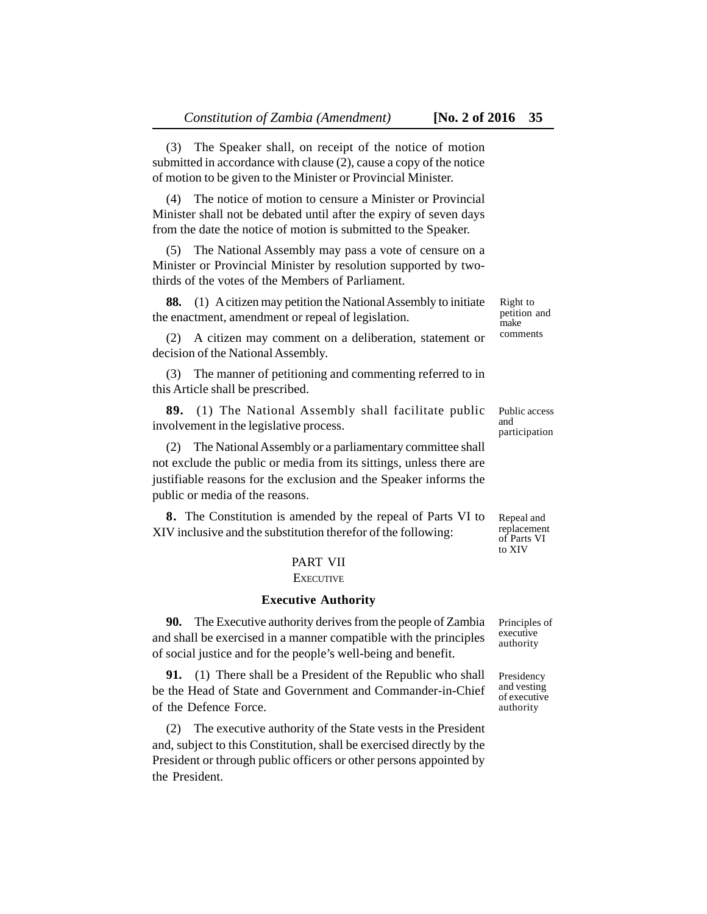(3) The Speaker shall, on receipt of the notice of motion submitted in accordance with clause (2), cause a copy of the notice of motion to be given to the Minister or Provincial Minister.

(4) The notice of motion to censure a Minister or Provincial Minister shall not be debated until after the expiry of seven days from the date the notice of motion is submitted to the Speaker.

(5) The National Assembly may pass a vote of censure on a Minister or Provincial Minister by resolution supported by twothirds of the votes of the Members of Parliament.

**88.** (1) A citizen may petition the National Assembly to initiate the enactment, amendment or repeal of legislation.

(2) A citizen may comment on a deliberation, statement or decision of the National Assembly.

(3) The manner of petitioning and commenting referred to in this Article shall be prescribed.

**89.** (1) The National Assembly shall facilitate public involvement in the legislative process.

(2) The National Assembly or a parliamentary committee shall not exclude the public or media from its sittings, unless there are justifiable reasons for the exclusion and the Speaker informs the public or media of the reasons.

**8.** The Constitution is amended by the repeal of Parts VI to XIV inclusive and the substitution therefor of the following:

# PART VII

### **EXECUTIVE**

#### **Executive Authority**

**90.** The Executive authority derives from the people of Zambia and shall be exercised in a manner compatible with the principles of social justice and for the people's well-being and benefit.

**91.** (1) There shall be a President of the Republic who shall be the Head of State and Government and Commander-in-Chief of the Defence Force.

(2) The executive authority of the State vests in the President and, subject to this Constitution, shall be exercised directly by the President or through public officers or other persons appointed by the President.

Right to petition and make comments

Public access and participation

Repeal and replacement of Parts VI to XIV

Principles of executive authority

Presidency and vesting of executive authority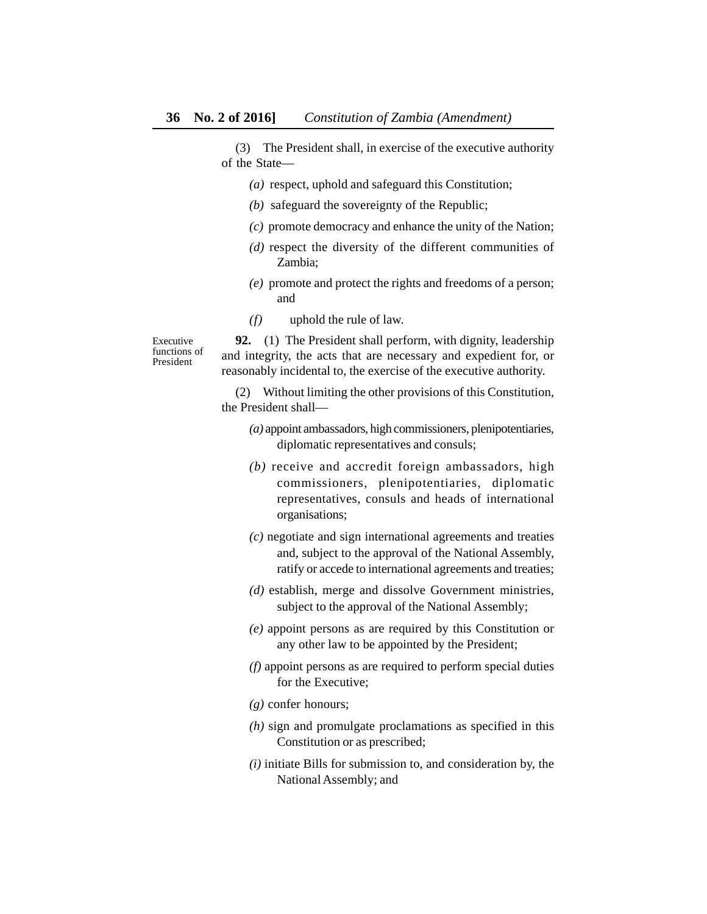(3) The President shall, in exercise of the executive authority of the State—

- *(a)* respect, uphold and safeguard this Constitution;
- *(b)* safeguard the sovereignty of the Republic;
- *(c)* promote democracy and enhance the unity of the Nation;
- *(d)* respect the diversity of the different communities of Zambia;
- *(e)* promote and protect the rights and freedoms of a person; and
- *(f)* uphold the rule of law.

Executive functions of President

**92.** (1) The President shall perform, with dignity, leadership and integrity, the acts that are necessary and expedient for, or reasonably incidental to, the exercise of the executive authority.

(2) Without limiting the other provisions of this Constitution, the President shall—

- *(a)* appoint ambassadors, high commissioners, plenipotentiaries, diplomatic representatives and consuls;
- *(b)* receive and accredit foreign ambassadors, high commissioners, plenipotentiaries, diplomatic representatives, consuls and heads of international organisations;
- *(c)* negotiate and sign international agreements and treaties and, subject to the approval of the National Assembly, ratify or accede to international agreements and treaties;
- *(d)* establish, merge and dissolve Government ministries, subject to the approval of the National Assembly;
- *(e)* appoint persons as are required by this Constitution or any other law to be appointed by the President;
- *(f)* appoint persons as are required to perform special duties for the Executive;
- *(g)* confer honours;
- *(h)* sign and promulgate proclamations as specified in this Constitution or as prescribed;
- *(i)* initiate Bills for submission to, and consideration by, the National Assembly; and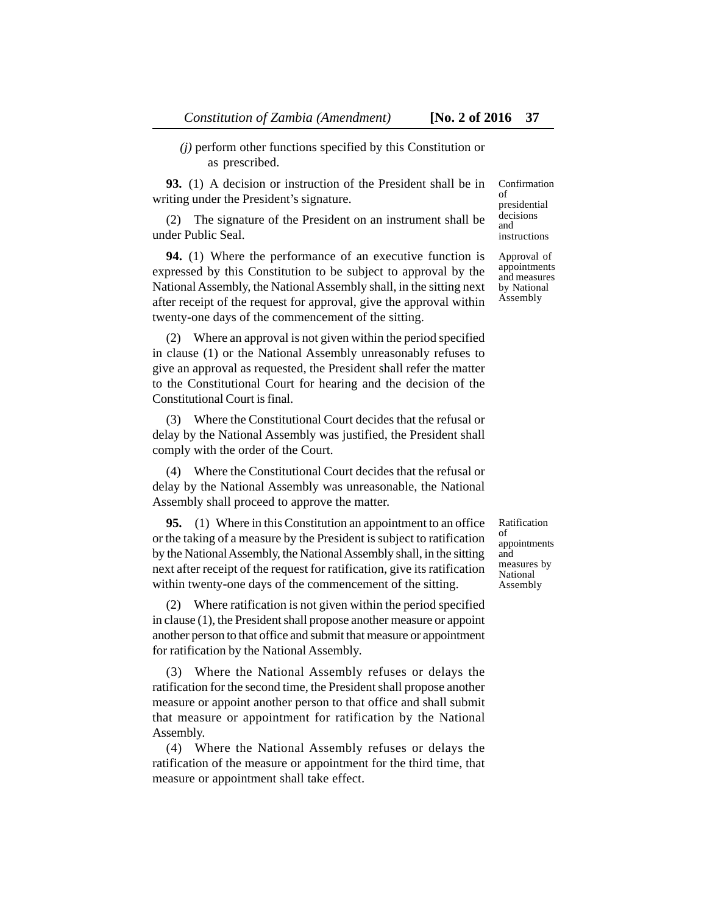*(j)* perform other functions specified by this Constitution or as prescribed.

**93.** (1) A decision or instruction of the President shall be in writing under the President's signature.

(2) The signature of the President on an instrument shall be under Public Seal.

**94.** (1) Where the performance of an executive function is expressed by this Constitution to be subject to approval by the National Assembly, the National Assembly shall, in the sitting next after receipt of the request for approval, give the approval within twenty-one days of the commencement of the sitting.

(2) Where an approval is not given within the period specified in clause (1) or the National Assembly unreasonably refuses to give an approval as requested, the President shall refer the matter to the Constitutional Court for hearing and the decision of the Constitutional Court is final.

(3) Where the Constitutional Court decides that the refusal or delay by the National Assembly was justified, the President shall comply with the order of the Court.

(4) Where the Constitutional Court decides that the refusal or delay by the National Assembly was unreasonable, the National Assembly shall proceed to approve the matter.

**95.** (1) Where in this Constitution an appointment to an office or the taking of a measure by the President is subject to ratification by the National Assembly, the National Assembly shall, in the sitting next after receipt of the request for ratification, give its ratification within twenty-one days of the commencement of the sitting.

(2) Where ratification is not given within the period specified in clause (1), the President shall propose another measure or appoint another person to that office and submit that measure or appointment for ratification by the National Assembly.

(3) Where the National Assembly refuses or delays the ratification for the second time, the President shall propose another measure or appoint another person to that office and shall submit that measure or appointment for ratification by the National Assembly.

(4) Where the National Assembly refuses or delays the ratification of the measure or appointment for the third time, that measure or appointment shall take effect.

presidential decisions and instructions Approval of

Confirmation

of

appointments and measures by National Assembly

Ratification of appointments and measures by National Assembly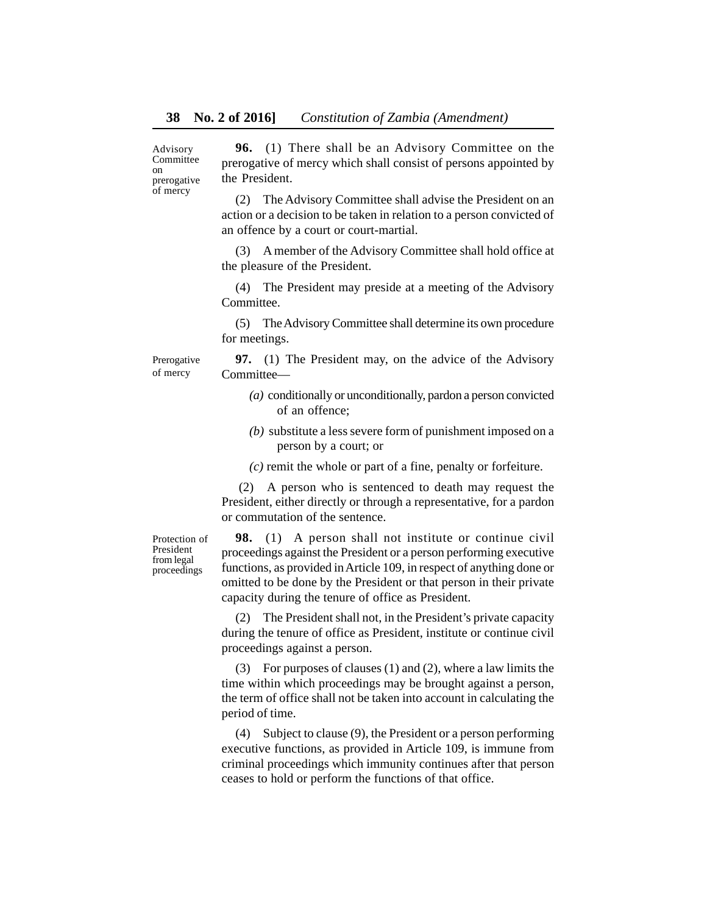Advisory **Committee** on prerogative of mercy

**96.** (1) There shall be an Advisory Committee on the prerogative of mercy which shall consist of persons appointed by the President.

(2) The Advisory Committee shall advise the President on an action or a decision to be taken in relation to a person convicted of an offence by a court or court-martial.

(3) A member of the Advisory Committee shall hold office at the pleasure of the President.

(4) The President may preside at a meeting of the Advisory Committee.

(5) The Advisory Committee shall determine its own procedure for meetings.

Prerogative of mercy

**97.** (1) The President may, on the advice of the Advisory Committee—

- *(a)* conditionally or unconditionally, pardon a person convicted of an offence;
- *(b)* substitute a less severe form of punishment imposed on a person by a court; or
- *(c)* remit the whole or part of a fine, penalty or forfeiture.

 (2) A person who is sentenced to death may request the President, either directly or through a representative, for a pardon or commutation of the sentence.

Protection of President from legal proceedings

**98.** (1) A person shall not institute or continue civil proceedings against the President or a person performing executive functions, as provided in Article 109, in respect of anything done or omitted to be done by the President or that person in their private capacity during the tenure of office as President.

(2) The President shall not, in the President's private capacity during the tenure of office as President, institute or continue civil proceedings against a person.

(3) For purposes of clauses (1) and (2), where a law limits the time within which proceedings may be brought against a person, the term of office shall not be taken into account in calculating the period of time.

(4) Subject to clause (9), the President or a person performing executive functions, as provided in Article 109, is immune from criminal proceedings which immunity continues after that person ceases to hold or perform the functions of that office.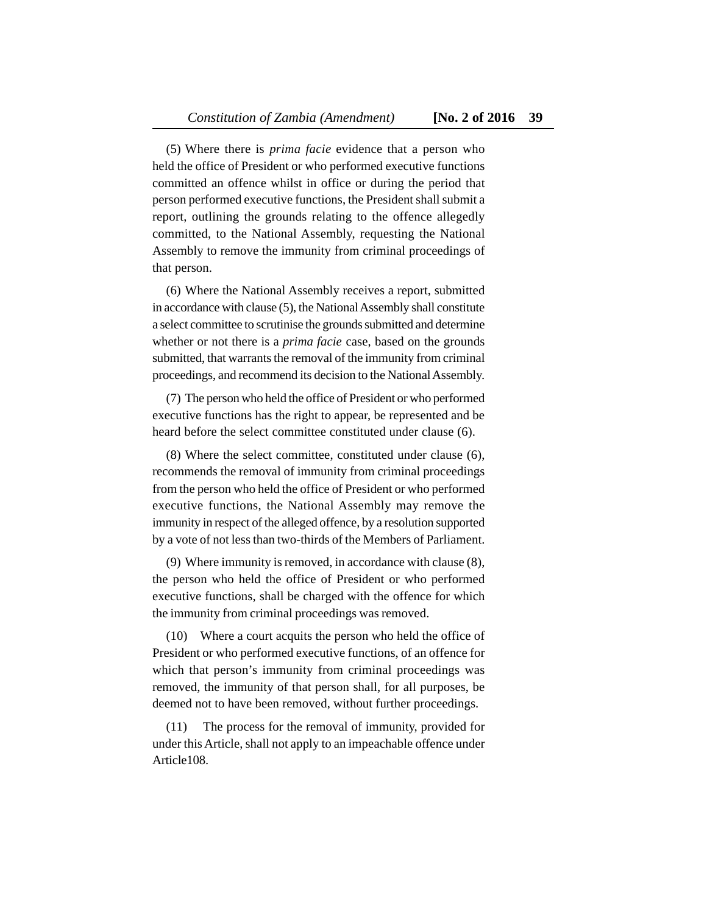(5) Where there is *prima facie* evidence that a person who held the office of President or who performed executive functions committed an offence whilst in office or during the period that person performed executive functions, the President shall submit a report, outlining the grounds relating to the offence allegedly committed, to the National Assembly, requesting the National Assembly to remove the immunity from criminal proceedings of that person.

(6) Where the National Assembly receives a report, submitted in accordance with clause (5), the National Assembly shall constitute a select committee to scrutinise the grounds submitted and determine whether or not there is a *prima facie* case, based on the grounds submitted, that warrants the removal of the immunity from criminal proceedings, and recommend its decision to the National Assembly.

(7) The person who held the office of President or who performed executive functions has the right to appear, be represented and be heard before the select committee constituted under clause (6).

(8) Where the select committee, constituted under clause (6), recommends the removal of immunity from criminal proceedings from the person who held the office of President or who performed executive functions, the National Assembly may remove the immunity in respect of the alleged offence, by a resolution supported by a vote of not less than two-thirds of the Members of Parliament.

(9) Where immunity is removed, in accordance with clause (8), the person who held the office of President or who performed executive functions, shall be charged with the offence for which the immunity from criminal proceedings was removed.

(10) Where a court acquits the person who held the office of President or who performed executive functions, of an offence for which that person's immunity from criminal proceedings was removed, the immunity of that person shall, for all purposes, be deemed not to have been removed, without further proceedings.

(11) The process for the removal of immunity, provided for under this Article, shall not apply to an impeachable offence under Article108.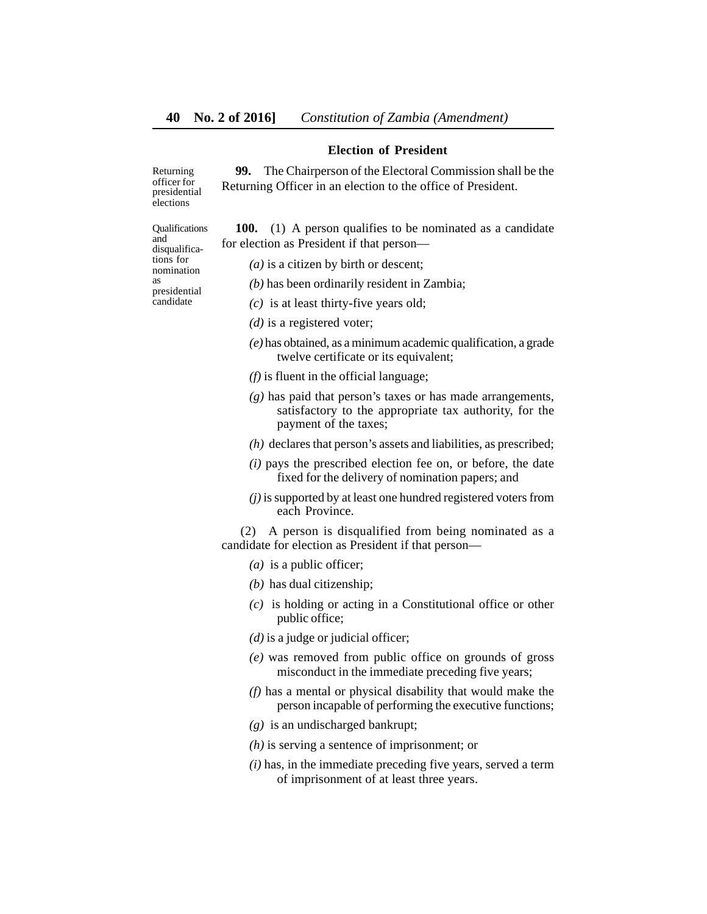#### **Election of President**

**99.** The Chairperson of the Electoral Commission shall be the Returning Officer in an election to the office of President.

Returning officer for presidential elections

Qualifications and disqualifications for nomination as presidential candidate

**100.** (1) A person qualifies to be nominated as a candidate for election as President if that person—

*(a)* is a citizen by birth or descent;

- *(b)* has been ordinarily resident in Zambia;
- *(c)* is at least thirty-five years old;
- *(d)* is a registered voter;
- *(e)* has obtained, as a minimum academic qualification, a grade twelve certificate or its equivalent;
- *(f)* is fluent in the official language;
- *(g)* has paid that person's taxes or has made arrangements, satisfactory to the appropriate tax authority, for the payment of the taxes;
- *(h)* declares that person's assets and liabilities, as prescribed;
- *(i)* pays the prescribed election fee on, or before, the date fixed for the delivery of nomination papers; and
- *(j)* is supported by at least one hundred registered voters from each Province.

 (2) A person is disqualified from being nominated as a candidate for election as President if that person—

- *(a)* is a public officer;
- *(b)* has dual citizenship;
- *(c)* is holding or acting in a Constitutional office or other public office;
- *(d)* is a judge or judicial officer;
- *(e)* was removed from public office on grounds of gross misconduct in the immediate preceding five years;
- *(f)* has a mental or physical disability that would make the person incapable of performing the executive functions;
- *(g)* is an undischarged bankrupt;
- *(h)* is serving a sentence of imprisonment; or
- *(i)* has, in the immediate preceding five years, served a term of imprisonment of at least three years.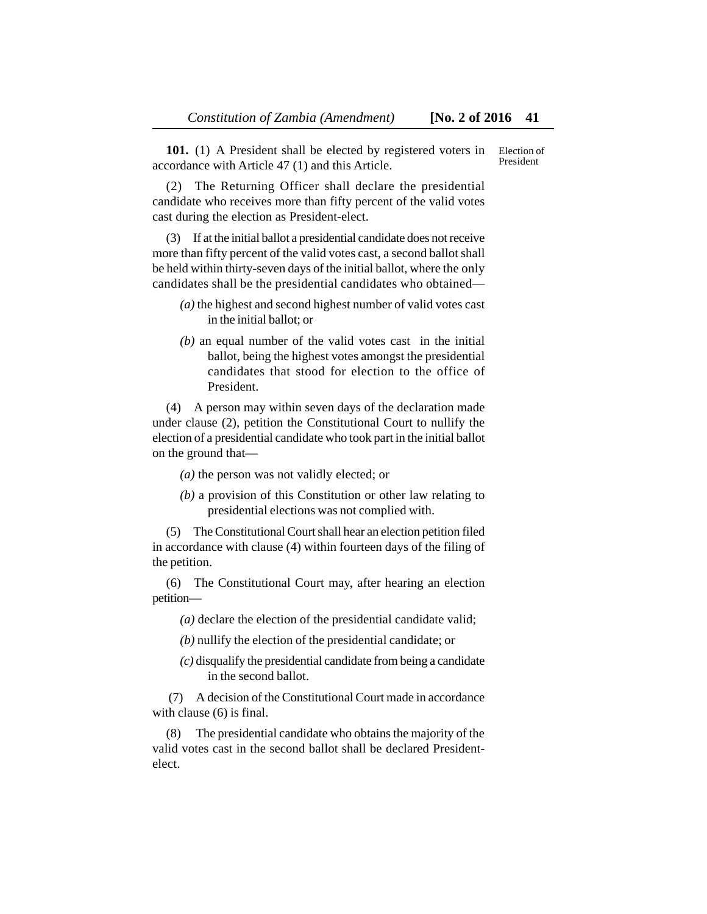**101.** (1) A President shall be elected by registered voters in accordance with Article 47 (1) and this Article. Election of President

(2) The Returning Officer shall declare the presidential candidate who receives more than fifty percent of the valid votes cast during the election as President-elect.

(3) If at the initial ballot a presidential candidate does not receive more than fifty percent of the valid votes cast, a second ballot shall be held within thirty-seven days of the initial ballot, where the only candidates shall be the presidential candidates who obtained—

- *(a)* the highest and second highest number of valid votes cast in the initial ballot; or
- *(b)* an equal number of the valid votes cast in the initial ballot, being the highest votes amongst the presidential candidates that stood for election to the office of President.

(4) A person may within seven days of the declaration made under clause (2), petition the Constitutional Court to nullify the election of a presidential candidate who took part in the initial ballot on the ground that—

- *(a)* the person was not validly elected; or
- *(b)* a provision of this Constitution or other law relating to presidential elections was not complied with.

(5) The Constitutional Court shall hear an election petition filed in accordance with clause (4) within fourteen days of the filing of the petition.

(6) The Constitutional Court may, after hearing an election petition—

*(a)* declare the election of the presidential candidate valid;

- *(b)* nullify the election of the presidential candidate; or
- *(c)* disqualify the presidential candidate from being a candidate in the second ballot.

 (7) A decision of the Constitutional Court made in accordance with clause (6) is final.

(8) The presidential candidate who obtains the majority of the valid votes cast in the second ballot shall be declared Presidentelect.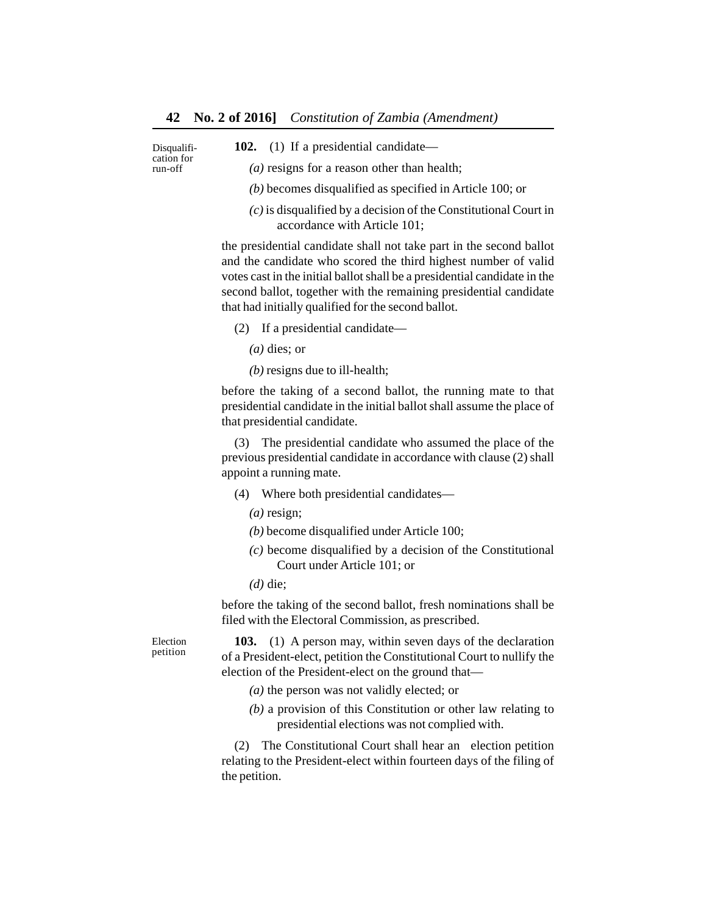Disqualification for run-off

**102.** (1) If a presidential candidate—

*(a)* resigns for a reason other than health;

- *(b)* becomes disqualified as specified in Article 100; or
- *(c)* is disqualified by a decision of the Constitutional Court in accordance with Article 101;

the presidential candidate shall not take part in the second ballot and the candidate who scored the third highest number of valid votes cast in the initial ballot shall be a presidential candidate in the second ballot, together with the remaining presidential candidate that had initially qualified for the second ballot.

(2) If a presidential candidate—

*(a)* dies; or

*(b)* resigns due to ill-health;

before the taking of a second ballot, the running mate to that presidential candidate in the initial ballot shall assume the place of that presidential candidate.

(3) The presidential candidate who assumed the place of the previous presidential candidate in accordance with clause (2) shall appoint a running mate.

- (4) Where both presidential candidates—
	- *(a)* resign;
	- *(b)* become disqualified under Article 100;
	- *(c)* become disqualified by a decision of the Constitutional Court under Article 101; or
	- *(d)* die;

before the taking of the second ballot, fresh nominations shall be filed with the Electoral Commission, as prescribed.

Election petition

**103.** (1) A person may, within seven days of the declaration of a President-elect, petition the Constitutional Court to nullify the election of the President-elect on the ground that—

- *(a)* the person was not validly elected; or
- *(b)* a provision of this Constitution or other law relating to presidential elections was not complied with.

(2) The Constitutional Court shall hear an election petition relating to the President-elect within fourteen days of the filing of the petition.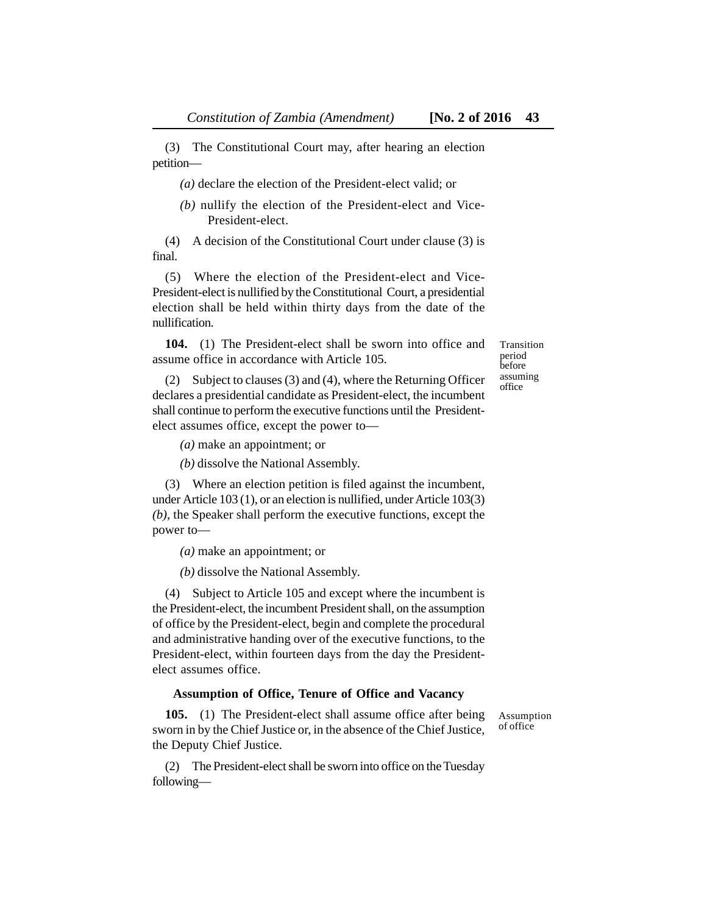(3) The Constitutional Court may, after hearing an election petition—

*(a)* declare the election of the President-elect valid; or

*(b)* nullify the election of the President-elect and Vice-President-elect.

(4) A decision of the Constitutional Court under clause (3) is final.

(5) Where the election of the President-elect and Vice-President-elect is nullified by the Constitutional Court, a presidential election shall be held within thirty days from the date of the nullification.

**104.** (1) The President-elect shall be sworn into office and assume office in accordance with Article 105.

Transition period before assuming office

(2) Subject to clauses (3) and (4), where the Returning Officer declares a presidential candidate as President-elect, the incumbent shall continue to perform the executive functions until the Presidentelect assumes office, except the power to—

*(a)* make an appointment; or

*(b)* dissolve the National Assembly.

(3) Where an election petition is filed against the incumbent, under Article 103 (1), or an election is nullified, under Article 103(3) *(b)*, the Speaker shall perform the executive functions, except the power to—

*(a)* make an appointment; or

*(b)* dissolve the National Assembly.

(4) Subject to Article 105 and except where the incumbent is the President-elect, the incumbent President shall, on the assumption of office by the President-elect, begin and complete the procedural and administrative handing over of the executive functions, to the President-elect, within fourteen days from the day the Presidentelect assumes office.

#### **Assumption of Office, Tenure of Office and Vacancy**

**105.** (1) The President-elect shall assume office after being sworn in by the Chief Justice or, in the absence of the Chief Justice, the Deputy Chief Justice.

(2) The President-elect shall be sworn into office on the Tuesday followingAssumption of office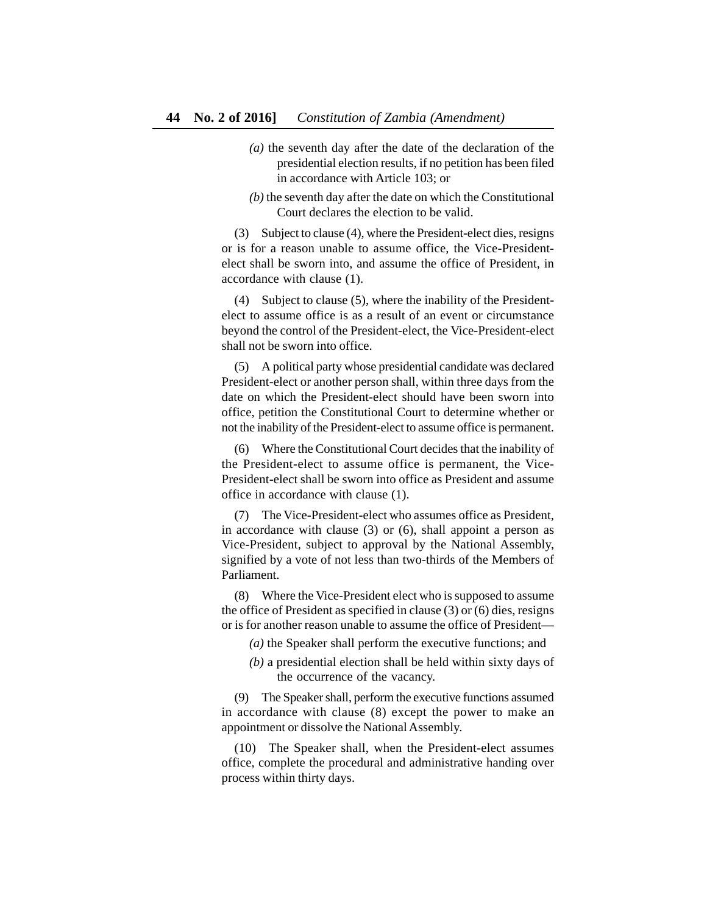- *(a)* the seventh day after the date of the declaration of the presidential election results, if no petition has been filed in accordance with Article 103; or
- *(b)* the seventh day after the date on which the Constitutional Court declares the election to be valid.

(3) Subject to clause (4), where the President-elect dies, resigns or is for a reason unable to assume office, the Vice-Presidentelect shall be sworn into, and assume the office of President, in accordance with clause (1).

(4) Subject to clause (5), where the inability of the Presidentelect to assume office is as a result of an event or circumstance beyond the control of the President-elect, the Vice-President-elect shall not be sworn into office.

(5) A political party whose presidential candidate was declared President-elect or another person shall, within three days from the date on which the President-elect should have been sworn into office, petition the Constitutional Court to determine whether or not the inability of the President-elect to assume office is permanent.

(6) Where the Constitutional Court decides that the inability of the President-elect to assume office is permanent, the Vice-President-elect shall be sworn into office as President and assume office in accordance with clause (1).

(7) The Vice-President-elect who assumes office as President, in accordance with clause (3) or (6), shall appoint a person as Vice-President, subject to approval by the National Assembly, signified by a vote of not less than two-thirds of the Members of Parliament.

(8) Where the Vice-President elect who is supposed to assume the office of President as specified in clause (3) or (6) dies, resigns or is for another reason unable to assume the office of President—

- *(a)* the Speaker shall perform the executive functions; and
- *(b)* a presidential election shall be held within sixty days of the occurrence of the vacancy.

(9) The Speaker shall, perform the executive functions assumed in accordance with clause (8) except the power to make an appointment or dissolve the National Assembly.

(10) The Speaker shall, when the President-elect assumes office, complete the procedural and administrative handing over process within thirty days.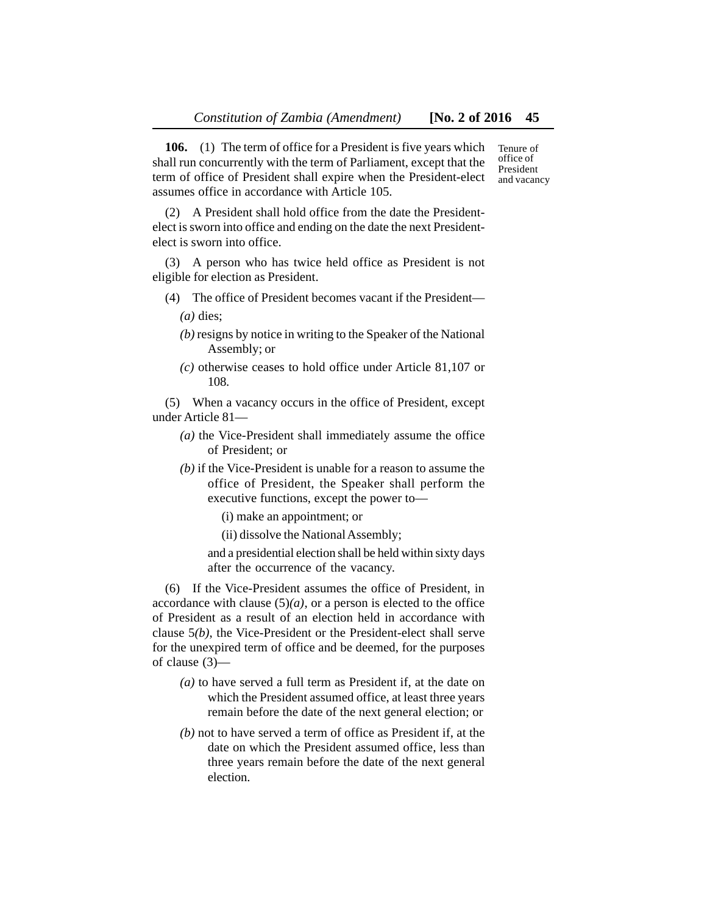**106.** (1) The term of office for a President is five years which shall run concurrently with the term of Parliament, except that the term of office of President shall expire when the President-elect assumes office in accordance with Article 105.

(2) A President shall hold office from the date the Presidentelect is sworn into office and ending on the date the next Presidentelect is sworn into office.

(3) A person who has twice held office as President is not eligible for election as President.

- (4) The office of President becomes vacant if the President—
	- *(a)* dies;
	- *(b)* resigns by notice in writing to the Speaker of the National Assembly; or
	- *(c)* otherwise ceases to hold office under Article 81,107 or 108.

(5) When a vacancy occurs in the office of President, except under Article 81—

- *(a)* the Vice-President shall immediately assume the office of President; or
- *(b)* if the Vice-President is unable for a reason to assume the office of President, the Speaker shall perform the executive functions, except the power to—

(i) make an appointment; or

(ii) dissolve the National Assembly;

and a presidential election shall be held within sixty days after the occurrence of the vacancy.

(6) If the Vice-President assumes the office of President, in accordance with clause  $(5)(a)$ , or a person is elected to the office of President as a result of an election held in accordance with clause 5*(b)*, the Vice-President or the President-elect shall serve for the unexpired term of office and be deemed, for the purposes of clause (3)—

- *(a)* to have served a full term as President if, at the date on which the President assumed office, at least three years remain before the date of the next general election; or
- *(b)* not to have served a term of office as President if, at the date on which the President assumed office, less than three years remain before the date of the next general election.

Tenure of office of President and vacancy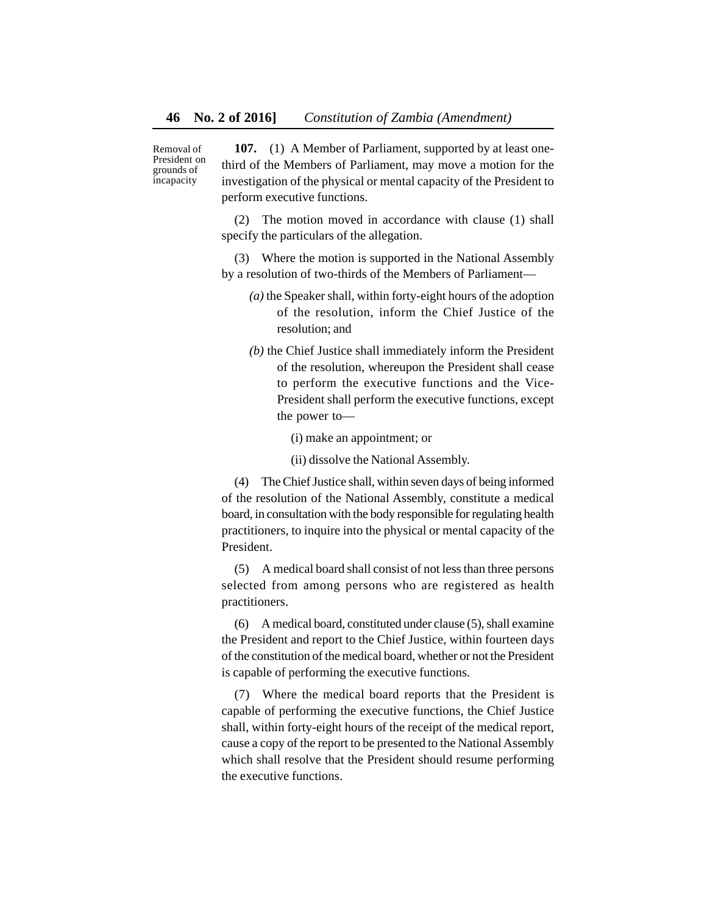Removal of President on grounds of incapacity

**107.** (1) A Member of Parliament, supported by at least onethird of the Members of Parliament, may move a motion for the investigation of the physical or mental capacity of the President to perform executive functions.

(2) The motion moved in accordance with clause (1) shall specify the particulars of the allegation.

(3) Where the motion is supported in the National Assembly by a resolution of two-thirds of the Members of Parliament—

- *(a)* the Speaker shall, within forty-eight hours of the adoption of the resolution, inform the Chief Justice of the resolution; and
- *(b)* the Chief Justice shall immediately inform the President of the resolution, whereupon the President shall cease to perform the executive functions and the Vice-President shall perform the executive functions, except the power to—

(i) make an appointment; or

(ii) dissolve the National Assembly.

(4) The Chief Justice shall, within seven days of being informed of the resolution of the National Assembly, constitute a medical board, in consultation with the body responsible for regulating health practitioners, to inquire into the physical or mental capacity of the President.

(5) A medical board shall consist of not less than three persons selected from among persons who are registered as health practitioners.

(6) A medical board, constituted under clause (5), shall examine the President and report to the Chief Justice, within fourteen days of the constitution of the medical board, whether or not the President is capable of performing the executive functions.

(7) Where the medical board reports that the President is capable of performing the executive functions, the Chief Justice shall, within forty-eight hours of the receipt of the medical report, cause a copy of the report to be presented to the National Assembly which shall resolve that the President should resume performing the executive functions.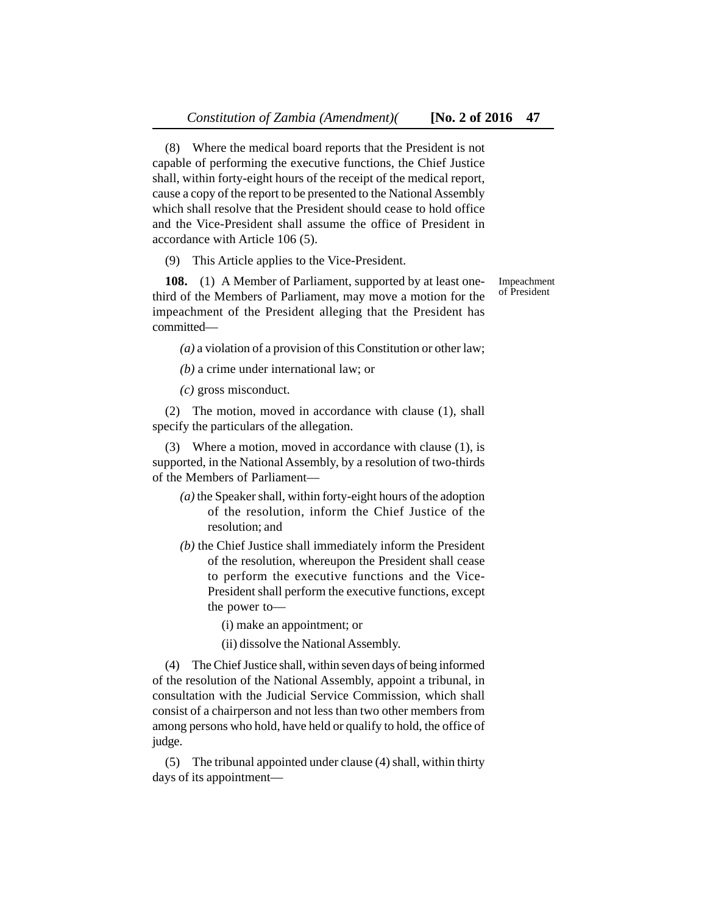(8) Where the medical board reports that the President is not capable of performing the executive functions, the Chief Justice shall, within forty-eight hours of the receipt of the medical report, cause a copy of the report to be presented to the National Assembly which shall resolve that the President should cease to hold office and the Vice-President shall assume the office of President in accordance with Article 106 (5).

(9) This Article applies to the Vice-President.

**108.** (1) A Member of Parliament, supported by at least onethird of the Members of Parliament, may move a motion for the impeachment of the President alleging that the President has committed—

*(a)* a violation of a provision of this Constitution or other law;

*(b)* a crime under international law; or

*(c)* gross misconduct.

(2) The motion, moved in accordance with clause (1), shall specify the particulars of the allegation.

(3) Where a motion, moved in accordance with clause (1), is supported, in the National Assembly, by a resolution of two-thirds of the Members of Parliament—

- *(a)* the Speaker shall, within forty-eight hours of the adoption of the resolution, inform the Chief Justice of the resolution; and
- *(b)* the Chief Justice shall immediately inform the President of the resolution, whereupon the President shall cease to perform the executive functions and the Vice-President shall perform the executive functions, except the power to—
	- (i) make an appointment; or
	- (ii) dissolve the National Assembly.

(4) The Chief Justice shall, within seven days of being informed of the resolution of the National Assembly, appoint a tribunal, in consultation with the Judicial Service Commission, which shall consist of a chairperson and not less than two other members from among persons who hold, have held or qualify to hold, the office of judge.

(5) The tribunal appointed under clause (4) shall, within thirty days of its appointmentImpeachment of President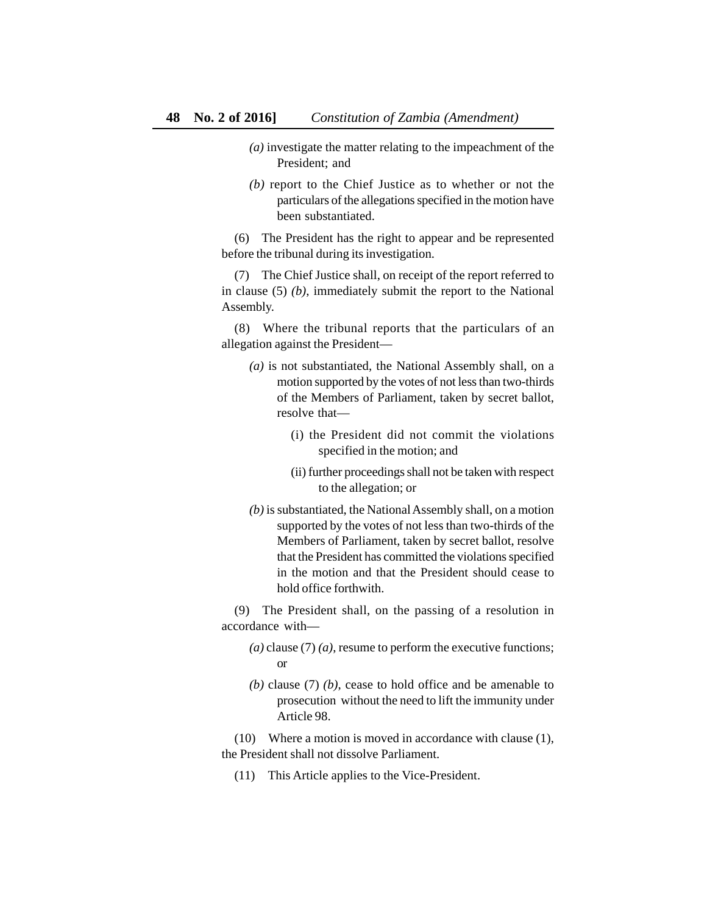- *(a)* investigate the matter relating to the impeachment of the President; and
- *(b)* report to the Chief Justice as to whether or not the particulars of the allegations specified in the motion have been substantiated.

(6) The President has the right to appear and be represented before the tribunal during its investigation.

(7) The Chief Justice shall, on receipt of the report referred to in clause (5) *(b)*, immediately submit the report to the National Assembly.

(8) Where the tribunal reports that the particulars of an allegation against the President—

- *(a)* is not substantiated, the National Assembly shall, on a motion supported by the votes of not less than two-thirds of the Members of Parliament, taken by secret ballot, resolve that—
	- (i) the President did not commit the violations specified in the motion; and
	- (ii) further proceedings shall not be taken with respect to the allegation; or
- *(b)* is substantiated, the National Assembly shall, on a motion supported by the votes of not less than two-thirds of the Members of Parliament, taken by secret ballot, resolve that the President has committed the violations specified in the motion and that the President should cease to hold office forthwith.

(9) The President shall, on the passing of a resolution in accordance with—

- *(a)* clause (7) *(a)*, resume to perform the executive functions; or
- *(b)* clause (7) *(b)*, cease to hold office and be amenable to prosecution without the need to lift the immunity under Article 98.

(10) Where a motion is moved in accordance with clause (1), the President shall not dissolve Parliament.

(11) This Article applies to the Vice-President.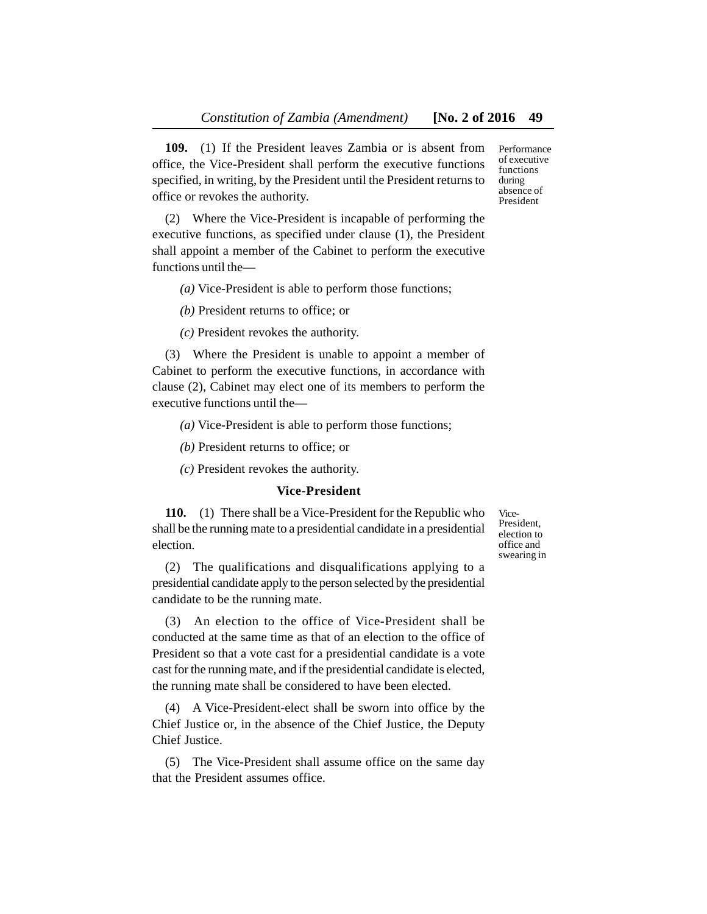**109.** (1) If the President leaves Zambia or is absent from office, the Vice-President shall perform the executive functions specified, in writing, by the President until the President returns to office or revokes the authority.

(2) Where the Vice-President is incapable of performing the executive functions, as specified under clause (1), the President shall appoint a member of the Cabinet to perform the executive functions until the—

*(a)* Vice-President is able to perform those functions;

*(b)* President returns to office; or

*(c)* President revokes the authority.

(3) Where the President is unable to appoint a member of Cabinet to perform the executive functions, in accordance with clause (2), Cabinet may elect one of its members to perform the executive functions until the—

*(a)* Vice-President is able to perform those functions;

*(b)* President returns to office; or

*(c)* President revokes the authority.

#### **Vice-President**

**110.** (1) There shall be a Vice-President for the Republic who shall be the running mate to a presidential candidate in a presidential election.

(2) The qualifications and disqualifications applying to a presidential candidate apply to the person selected by the presidential candidate to be the running mate.

(3) An election to the office of Vice-President shall be conducted at the same time as that of an election to the office of President so that a vote cast for a presidential candidate is a vote cast for the running mate, and if the presidential candidate is elected, the running mate shall be considered to have been elected.

(4) A Vice-President-elect shall be sworn into office by the Chief Justice or, in the absence of the Chief Justice, the Deputy Chief Justice.

(5) The Vice-President shall assume office on the same day that the President assumes office.

Vice-President, election to office and swearing in

Performance of executive functions during absence of President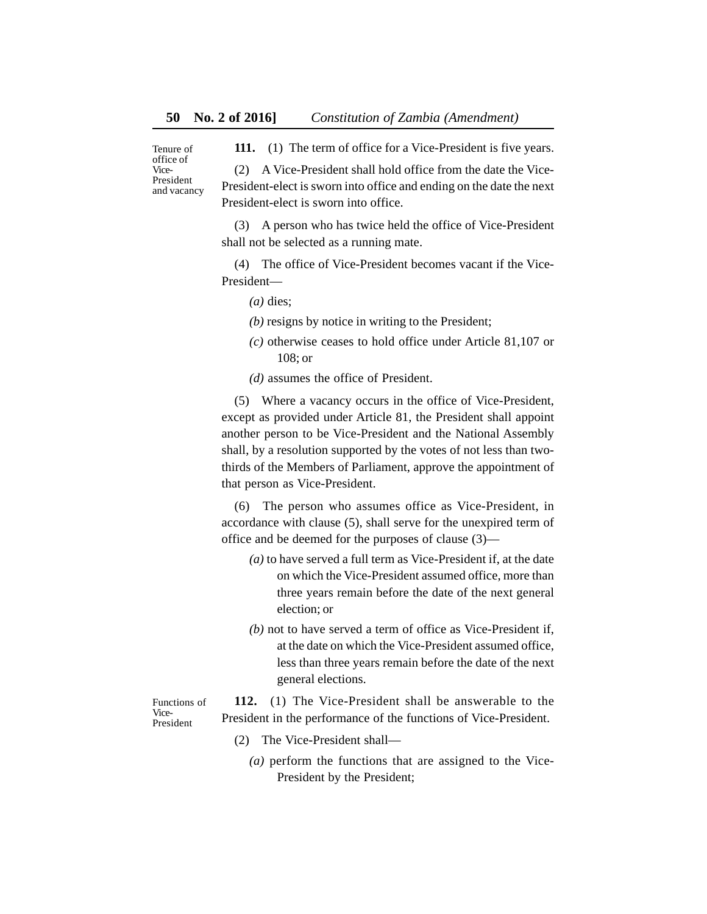Tenure of office of Vice-President and vacancy **111.** (1) The term of office for a Vice-President is five years.

(2) A Vice-President shall hold office from the date the Vice-President-elect is sworn into office and ending on the date the next President-elect is sworn into office.

(3) A person who has twice held the office of Vice-President shall not be selected as a running mate.

(4) The office of Vice-President becomes vacant if the Vice-President—

*(a)* dies;

- *(b)* resigns by notice in writing to the President;
- *(c)* otherwise ceases to hold office under Article 81,107 or 108; or

*(d)* assumes the office of President.

(5) Where a vacancy occurs in the office of Vice-President, except as provided under Article 81, the President shall appoint another person to be Vice-President and the National Assembly shall, by a resolution supported by the votes of not less than twothirds of the Members of Parliament, approve the appointment of that person as Vice-President.

(6) The person who assumes office as Vice-President, in accordance with clause (5), shall serve for the unexpired term of office and be deemed for the purposes of clause (3)—

- *(a)* to have served a full term as Vice-President if, at the date on which the Vice-President assumed office, more than three years remain before the date of the next general election; or
- *(b)* not to have served a term of office as Vice-President if, at the date on which the Vice-President assumed office, less than three years remain before the date of the next general elections.

Functions of Vice-President

- **112.** (1) The Vice-President shall be answerable to the President in the performance of the functions of Vice-President.
	- (2) The Vice-President shall—
		- *(a)* perform the functions that are assigned to the Vice-President by the President;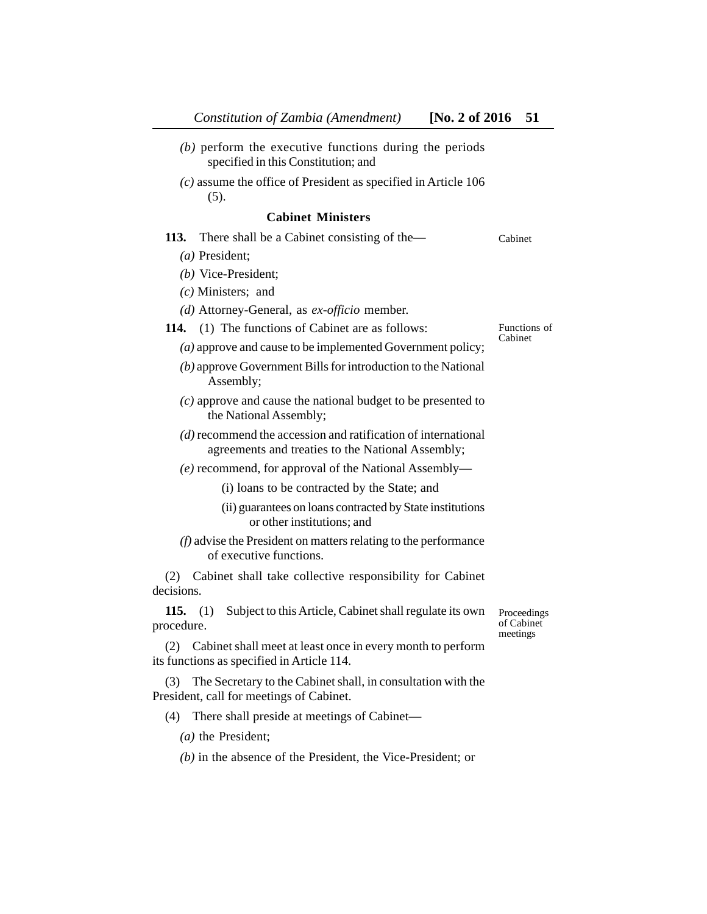| Constitution of Zambia (Amendment)<br>[No. 2 of 2016]                                                                | 51                                    |
|----------------------------------------------------------------------------------------------------------------------|---------------------------------------|
| $(b)$ perform the executive functions during the periods<br>specified in this Constitution; and                      |                                       |
| $(c)$ assume the office of President as specified in Article 106<br>(5).                                             |                                       |
| <b>Cabinet Ministers</b>                                                                                             |                                       |
| 113.<br>There shall be a Cabinet consisting of the—                                                                  | Cabinet                               |
| $(a)$ President;                                                                                                     |                                       |
| $(b)$ Vice-President;                                                                                                |                                       |
| $(c)$ Ministers; and                                                                                                 |                                       |
| (d) Attorney-General, as ex-officio member.                                                                          |                                       |
| <b>114.</b> (1) The functions of Cabinet are as follows:                                                             | Functions of<br>Cabinet               |
| (a) approve and cause to be implemented Government policy;                                                           |                                       |
| $(b)$ approve Government Bills for introduction to the National<br>Assembly;                                         |                                       |
| $(c)$ approve and cause the national budget to be presented to<br>the National Assembly;                             |                                       |
| $(d)$ recommend the accession and ratification of international<br>agreements and treaties to the National Assembly; |                                       |
| $(e)$ recommend, for approval of the National Assembly—                                                              |                                       |
| (i) loans to be contracted by the State; and                                                                         |                                       |
| (ii) guarantees on loans contracted by State institutions<br>or other institutions; and                              |                                       |
| $(f)$ advise the President on matters relating to the performance<br>of executive functions.                         |                                       |
| Cabinet shall take collective responsibility for Cabinet<br>(2)<br>decisions.                                        |                                       |
| Subject to this Article, Cabinet shall regulate its own<br>115.<br>(1)<br>procedure.                                 | Proceedings<br>of Cabinet<br>meetings |
| Cabinet shall meet at least once in every month to perform<br>(2)<br>its functions as specified in Article 114.      |                                       |
| The Secretary to the Cabinet shall, in consultation with the<br>(3)<br>President, call for meetings of Cabinet.      |                                       |
| (4)<br>There shall preside at meetings of Cabinet—                                                                   |                                       |

- *(a)* the President;
- *(b)* in the absence of the President, the Vice-President; or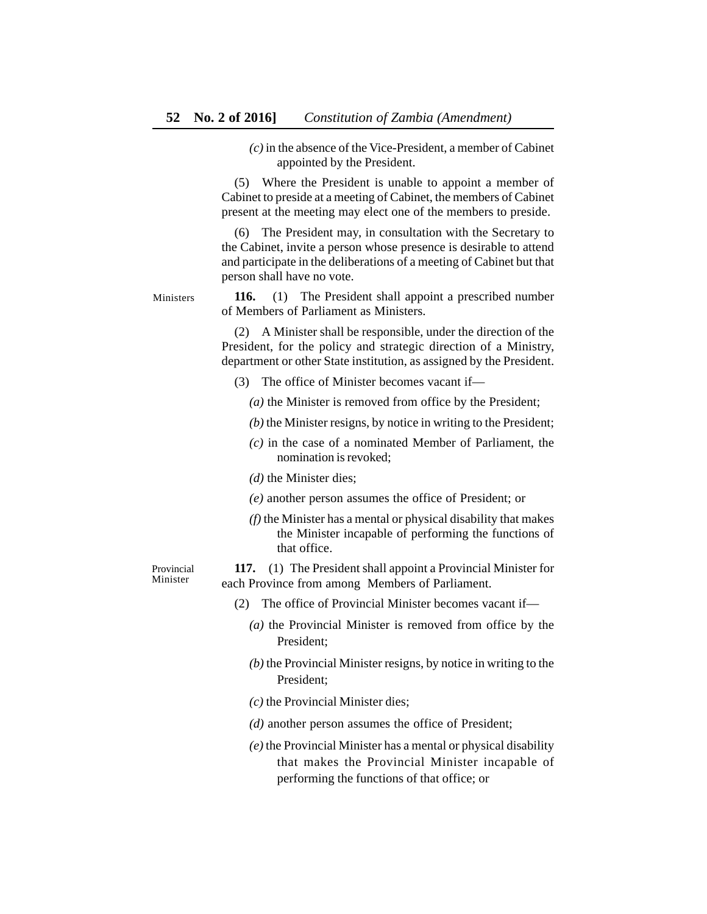*(c)* in the absence of the Vice-President, a member of Cabinet appointed by the President.

(5) Where the President is unable to appoint a member of Cabinet to preside at a meeting of Cabinet, the members of Cabinet present at the meeting may elect one of the members to preside.

(6) The President may, in consultation with the Secretary to the Cabinet, invite a person whose presence is desirable to attend and participate in the deliberations of a meeting of Cabinet but that person shall have no vote.

**116.** (1) The President shall appoint a prescribed number of Members of Parliament as Ministers. Ministers

> (2) A Minister shall be responsible, under the direction of the President, for the policy and strategic direction of a Ministry, department or other State institution, as assigned by the President.

- (3) The office of Minister becomes vacant if—
	- *(a)* the Minister is removed from office by the President;
	- *(b)* the Minister resigns, by notice in writing to the President;
	- *(c)* in the case of a nominated Member of Parliament, the nomination is revoked;
	- *(d)* the Minister dies;
	- *(e)* another person assumes the office of President; or
	- *(f)* the Minister has a mental or physical disability that makes the Minister incapable of performing the functions of that office.

Provincial Minister

**117.** (1) The President shall appoint a Provincial Minister for each Province from among Members of Parliament.

- (2) The office of Provincial Minister becomes vacant if—
	- *(a)* the Provincial Minister is removed from office by the President;
	- *(b)* the Provincial Minister resigns, by notice in writing to the President;
	- *(c)* the Provincial Minister dies;
	- *(d)* another person assumes the office of President;
	- *(e)* the Provincial Minister has a mental or physical disability that makes the Provincial Minister incapable of performing the functions of that office; or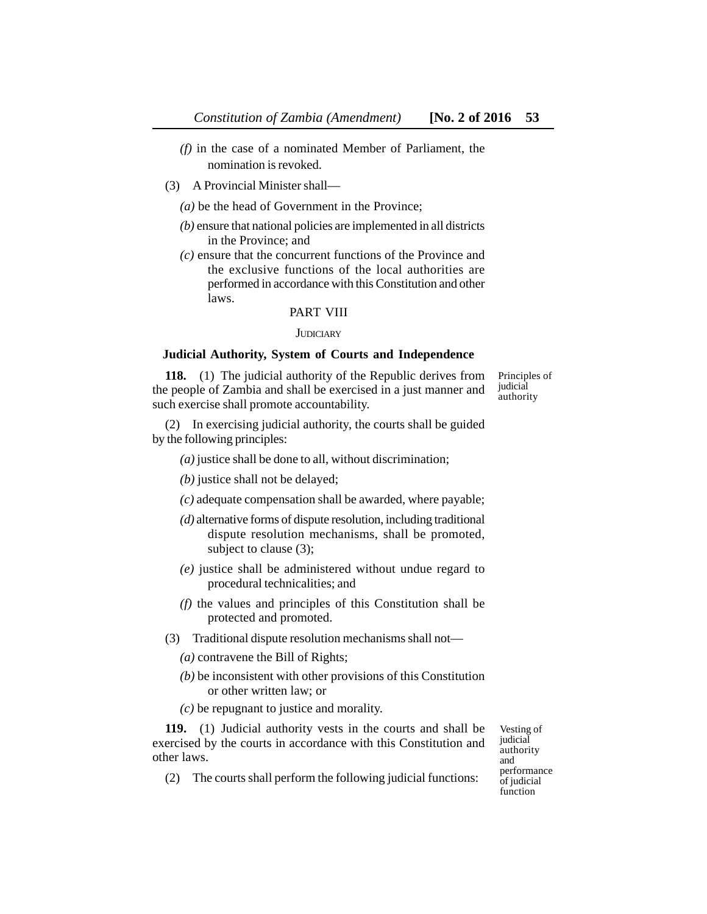- *(f)* in the case of a nominated Member of Parliament, the nomination is revoked.
- (3) A Provincial Minister shall—
	- *(a)* be the head of Government in the Province;
	- *(b)* ensure that national policies are implemented in all districts in the Province; and
	- *(c)* ensure that the concurrent functions of the Province and the exclusive functions of the local authorities are performed in accordance with this Constitution and other laws.

#### PART VIII

#### **JUDICIARY**

#### **Judicial Authority, System of Courts and Independence**

**118.** (1) The judicial authority of the Republic derives from the people of Zambia and shall be exercised in a just manner and such exercise shall promote accountability.

Principles of judicial authority

(2) In exercising judicial authority, the courts shall be guided by the following principles:

- *(a)* justice shall be done to all, without discrimination;
- *(b)* justice shall not be delayed;
- *(c)* adequate compensation shall be awarded, where payable;
- *(d)* alternative forms of dispute resolution, including traditional dispute resolution mechanisms, shall be promoted, subject to clause (3);
- *(e)* justice shall be administered without undue regard to procedural technicalities; and
- *(f)* the values and principles of this Constitution shall be protected and promoted.
- (3) Traditional dispute resolution mechanisms shall not—
	- *(a)* contravene the Bill of Rights;
	- *(b)* be inconsistent with other provisions of this Constitution or other written law; or
	- *(c)* be repugnant to justice and morality.

**119.** (1) Judicial authority vests in the courts and shall be exercised by the courts in accordance with this Constitution and other laws.

(2) The courts shall perform the following judicial functions:

Vesting of judicial authority and performance of judicial function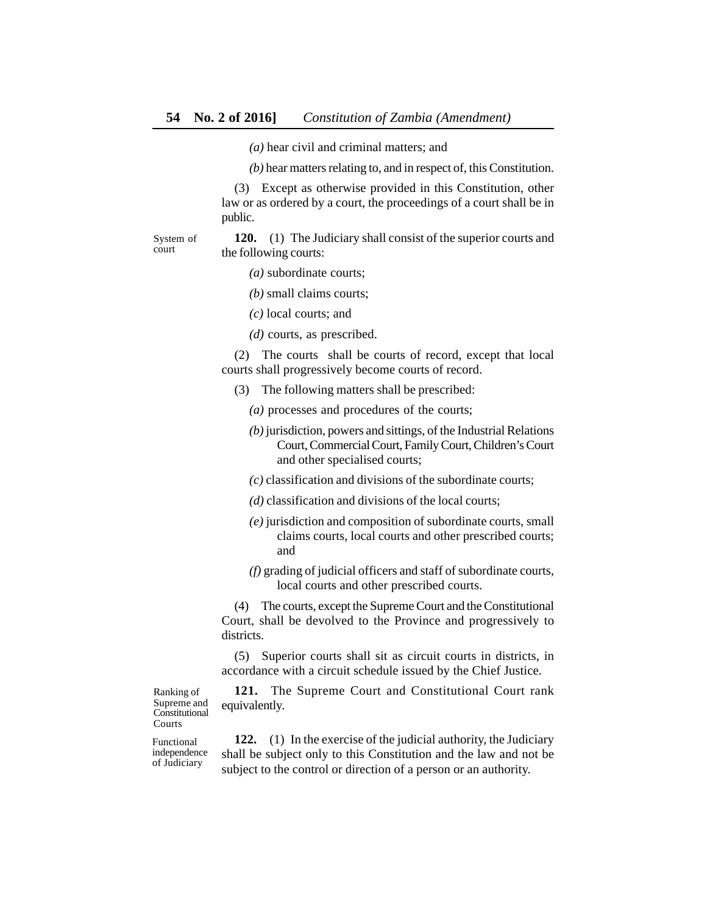*(a)* hear civil and criminal matters; and

*(b)* hear matters relating to, and in respect of, this Constitution.

(3) Except as otherwise provided in this Constitution, other law or as ordered by a court, the proceedings of a court shall be in public.

System of court

**120.** (1) The Judiciary shall consist of the superior courts and the following courts:

- *(a)* subordinate courts;
- *(b)* small claims courts;
- *(c)* local courts; and
- *(d)* courts, as prescribed.

(2) The courts shall be courts of record, except that local courts shall progressively become courts of record.

- (3) The following matters shall be prescribed:
	- *(a)* processes and procedures of the courts;
	- *(b)* jurisdiction, powers and sittings, of the Industrial Relations Court, Commercial Court, Family Court, Children's Court and other specialised courts;
	- *(c)* classification and divisions of the subordinate courts;
	- *(d)* classification and divisions of the local courts;
	- *(e)* jurisdiction and composition of subordinate courts, small claims courts, local courts and other prescribed courts; and
	- *(f)* grading of judicial officers and staff of subordinate courts, local courts and other prescribed courts.

(4) The courts, except the Supreme Court and the Constitutional Court, shall be devolved to the Province and progressively to districts.

(5) Superior courts shall sit as circuit courts in districts, in accordance with a circuit schedule issued by the Chief Justice.

**121.** The Supreme Court and Constitutional Court rank equivalently.

Ranking of Supreme and **Constitutional** Courts

Functional independence of Judiciary

**122.** (1) In the exercise of the judicial authority, the Judiciary shall be subject only to this Constitution and the law and not be subject to the control or direction of a person or an authority.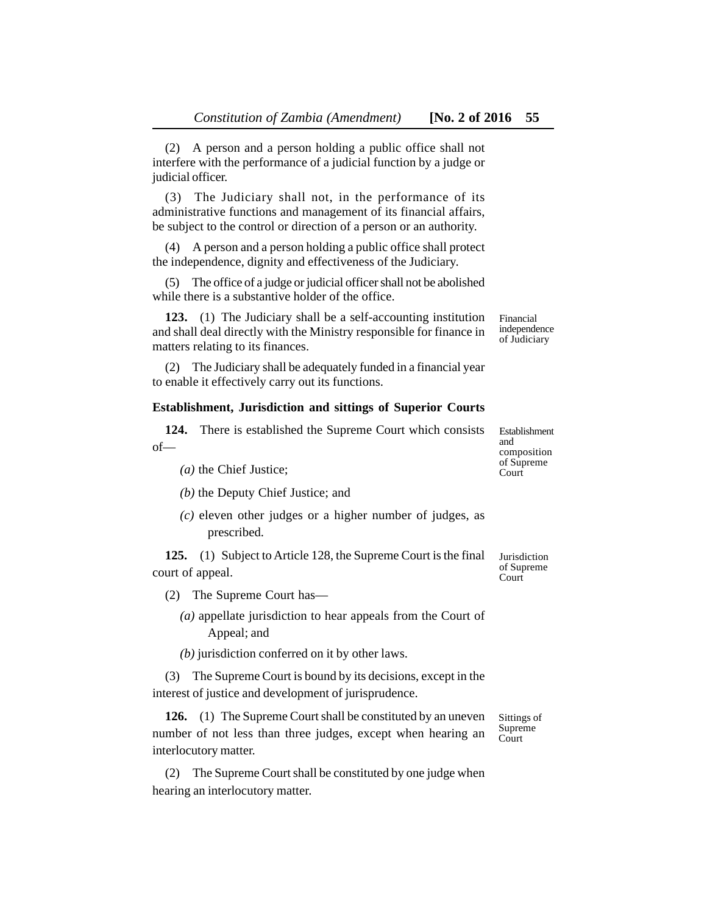(2) A person and a person holding a public office shall not interfere with the performance of a judicial function by a judge or judicial officer.

(3) The Judiciary shall not, in the performance of its administrative functions and management of its financial affairs, be subject to the control or direction of a person or an authority.

(4) A person and a person holding a public office shall protect the independence, dignity and effectiveness of the Judiciary.

(5) The office of a judge or judicial officer shall not be abolished while there is a substantive holder of the office.

**123.** (1) The Judiciary shall be a self-accounting institution and shall deal directly with the Ministry responsible for finance in matters relating to its finances.

(2) The Judiciary shall be adequately funded in a financial year to enable it effectively carry out its functions.

#### **Establishment, Jurisdiction and sittings of Superior Courts**

**124.** There is established the Supreme Court which consists of—

- *(a)* the Chief Justice;
- *(b)* the Deputy Chief Justice; and
- *(c)* eleven other judges or a higher number of judges, as prescribed.

**125.** (1) Subject to Article 128, the Supreme Court is the final court of appeal.

- (2) The Supreme Court has—
	- *(a)* appellate jurisdiction to hear appeals from the Court of Appeal; and

*(b)* jurisdiction conferred on it by other laws.

(3) The Supreme Court is bound by its decisions, except in the interest of justice and development of jurisprudence.

**126.** (1) The Supreme Court shall be constituted by an uneven number of not less than three judges, except when hearing an interlocutory matter.

(2) The Supreme Court shall be constituted by one judge when hearing an interlocutory matter.

Sittings of Supreme Court

and composition of Supreme **Court** 

Jurisdiction of Supreme Court

Financial independence of Judiciary

Establishment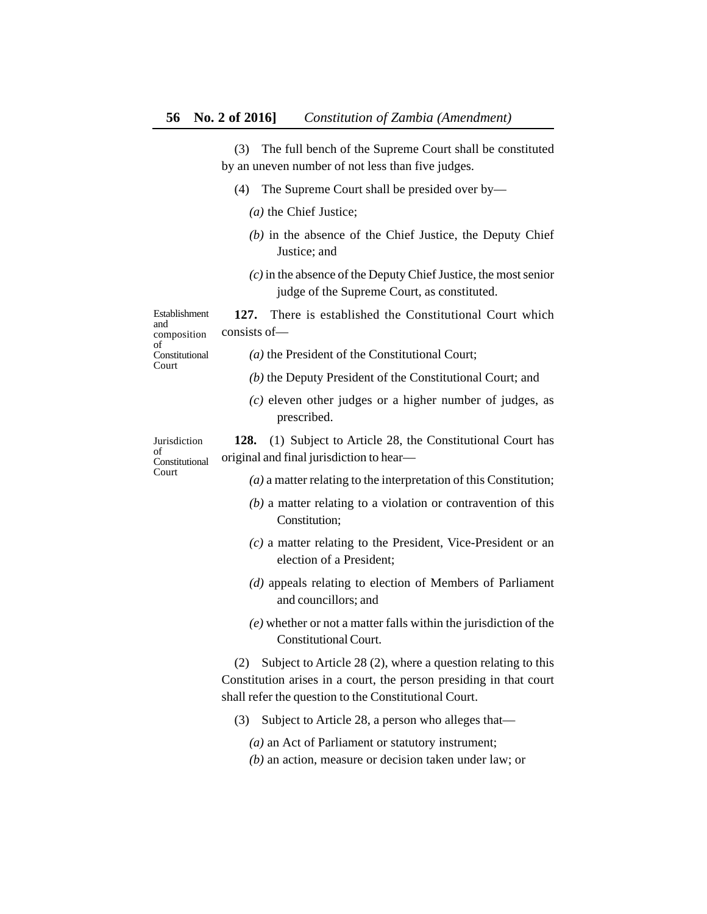(3) The full bench of the Supreme Court shall be constituted by an uneven number of not less than five judges.

- (4) The Supreme Court shall be presided over by—
	- *(a)* the Chief Justice;
	- *(b)* in the absence of the Chief Justice, the Deputy Chief Justice; and
	- *(c)* in the absence of the Deputy Chief Justice, the most senior judge of the Supreme Court, as constituted.

**127.** There is established the Constitutional Court which consists of— Establishment

and composition of Constitutional Court

- *(a)* the President of the Constitutional Court;
	- *(b)* the Deputy President of the Constitutional Court; and
	- *(c)* eleven other judges or a higher number of judges, as prescribed.

Jurisdiction of Constitutional Court

**128.** (1) Subject to Article 28, the Constitutional Court has original and final jurisdiction to hear—

- *(a)* a matter relating to the interpretation of this Constitution;
- *(b)* a matter relating to a violation or contravention of this Constitution;
- *(c)* a matter relating to the President, Vice-President or an election of a President;
- *(d)* appeals relating to election of Members of Parliament and councillors; and
- *(e)* whether or not a matter falls within the jurisdiction of the Constitutional Court.

(2) Subject to Article 28 (2), where a question relating to this Constitution arises in a court, the person presiding in that court shall refer the question to the Constitutional Court.

- (3) Subject to Article 28, a person who alleges that—
	- *(a)* an Act of Parliament or statutory instrument;
	- *(b)* an action, measure or decision taken under law; or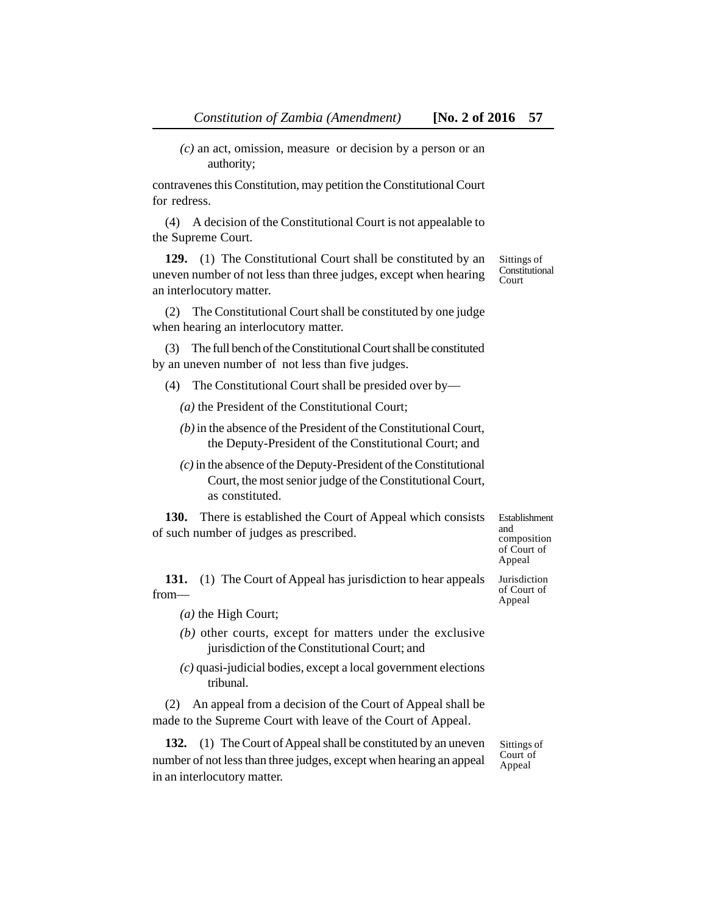contravenes this Constitution, may petition the Constitutional Court for redress.

(4) A decision of the Constitutional Court is not appealable to the Supreme Court.

**129.** (1) The Constitutional Court shall be constituted by an uneven number of not less than three judges, except when hearing an interlocutory matter.

(2) The Constitutional Court shall be constituted by one judge when hearing an interlocutory matter.

(3) The full bench of the Constitutional Court shall be constituted by an uneven number of not less than five judges.

(4) The Constitutional Court shall be presided over by—

*(a)* the President of the Constitutional Court;

- *(b)* in the absence of the President of the Constitutional Court, the Deputy-President of the Constitutional Court; and
- *(c)* in the absence of the Deputy-President of the Constitutional Court, the most senior judge of the Constitutional Court, as constituted.

**130.** There is established the Court of Appeal which consists of such number of judges as prescribed.

**131.** (1) The Court of Appeal has jurisdiction to hear appeals from—

*(a)* the High Court;

- *(b)* other courts, except for matters under the exclusive jurisdiction of the Constitutional Court; and
- *(c)* quasi-judicial bodies, except a local government elections tribunal.

(2) An appeal from a decision of the Court of Appeal shall be made to the Supreme Court with leave of the Court of Appeal.

**132.** (1) The Court of Appeal shall be constituted by an uneven number of not less than three judges, except when hearing an appeal in an interlocutory matter.

of Court of Appeal

Sittings of Court of Appeal

Establishment and composition of Court of Appeal Jurisdiction

Sittings of Constitutional Court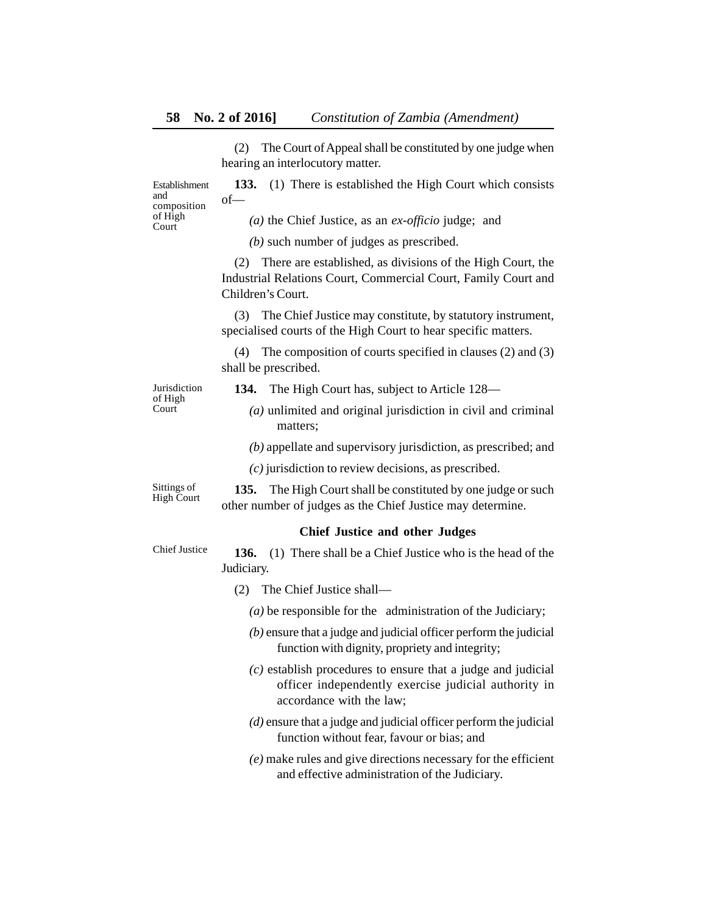(2) The Court of Appeal shall be constituted by one judge when hearing an interlocutory matter.

**133.** (1) There is established the High Court which consists of— Establishment composition

*(a)* the Chief Justice, as an *ex-officio* judge; and

*(b)* such number of judges as prescribed.

(2) There are established, as divisions of the High Court, the Industrial Relations Court, Commercial Court, Family Court and Children's Court.

(3) The Chief Justice may constitute, by statutory instrument, specialised courts of the High Court to hear specific matters.

(4) The composition of courts specified in clauses (2) and (3) shall be prescribed.

Jurisdiction of High **Court** 

and

of High Court

**134.** The High Court has, subject to Article 128—

*(a)* unlimited and original jurisdiction in civil and criminal matters;

*(b)* appellate and supervisory jurisdiction, as prescribed; and

*(c)* jurisdiction to review decisions, as prescribed.

Sittings of High Court

# other number of judges as the Chief Justice may determine.

**135.** The High Court shall be constituted by one judge or such

# **Chief Justice and other Judges**

**136.** (1) There shall be a Chief Justice who is the head of the Judiciary. Chief Justice

- (2) The Chief Justice shall—
	- *(a)* be responsible for the administration of the Judiciary;
	- *(b)* ensure that a judge and judicial officer perform the judicial function with dignity, propriety and integrity;
	- *(c)* establish procedures to ensure that a judge and judicial officer independently exercise judicial authority in accordance with the law;
	- *(d)* ensure that a judge and judicial officer perform the judicial function without fear, favour or bias; and
	- *(e)* make rules and give directions necessary for the efficient and effective administration of the Judiciary.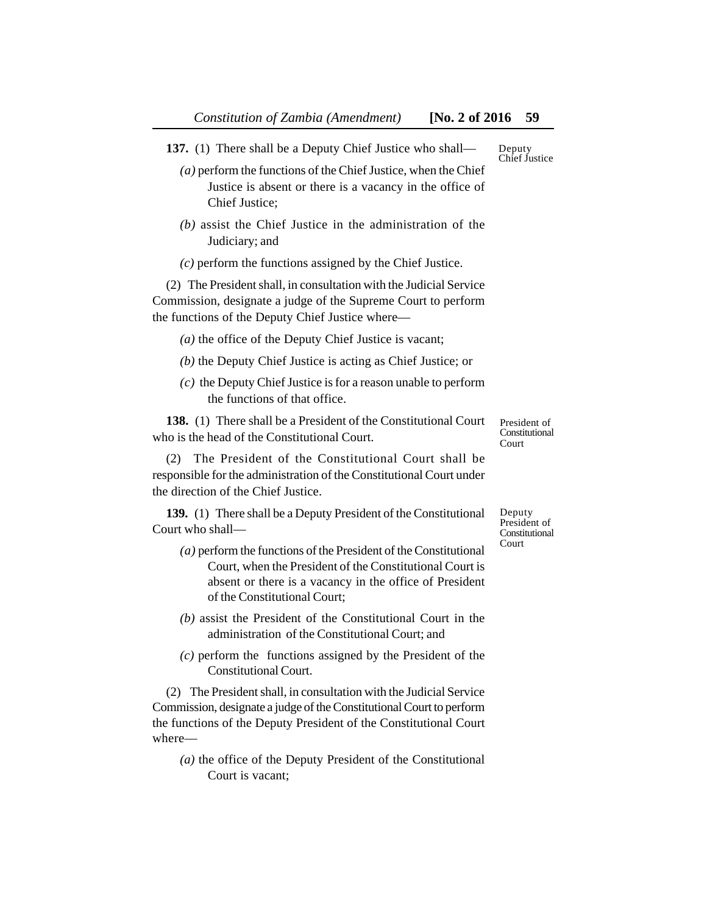- **137.** (1) There shall be a Deputy Chief Justice who shall—
	- *(a)* perform the functions of the Chief Justice, when the Chief Justice is absent or there is a vacancy in the office of Chief Justice;
	- *(b)* assist the Chief Justice in the administration of the Judiciary; and
	- *(c)* perform the functions assigned by the Chief Justice.

(2) The President shall, in consultation with the Judicial Service Commission, designate a judge of the Supreme Court to perform the functions of the Deputy Chief Justice where—

*(a)* the office of the Deputy Chief Justice is vacant;

- *(b)* the Deputy Chief Justice is acting as Chief Justice; or
- *(c)* the Deputy Chief Justice is for a reason unable to perform the functions of that office.

**138.** (1) There shall be a President of the Constitutional Court who is the head of the Constitutional Court.

(2) The President of the Constitutional Court shall be responsible for the administration of the Constitutional Court under the direction of the Chief Justice.

**139.** (1) There shall be a Deputy President of the Constitutional Court who shall—

- *(a)* perform the functions of the President of the Constitutional Court, when the President of the Constitutional Court is absent or there is a vacancy in the office of President of the Constitutional Court;
- *(b)* assist the President of the Constitutional Court in the administration of the Constitutional Court; and
- *(c)* perform the functions assigned by the President of the Constitutional Court.

(2) The President shall, in consultation with the Judicial Service Commission, designate a judge of the Constitutional Court to perform the functions of the Deputy President of the Constitutional Court where—

*(a)* the office of the Deputy President of the Constitutional Court is vacant;

Deputy President of Constitutional Court

President of **Constitutional** Court

Deputy Chief Justice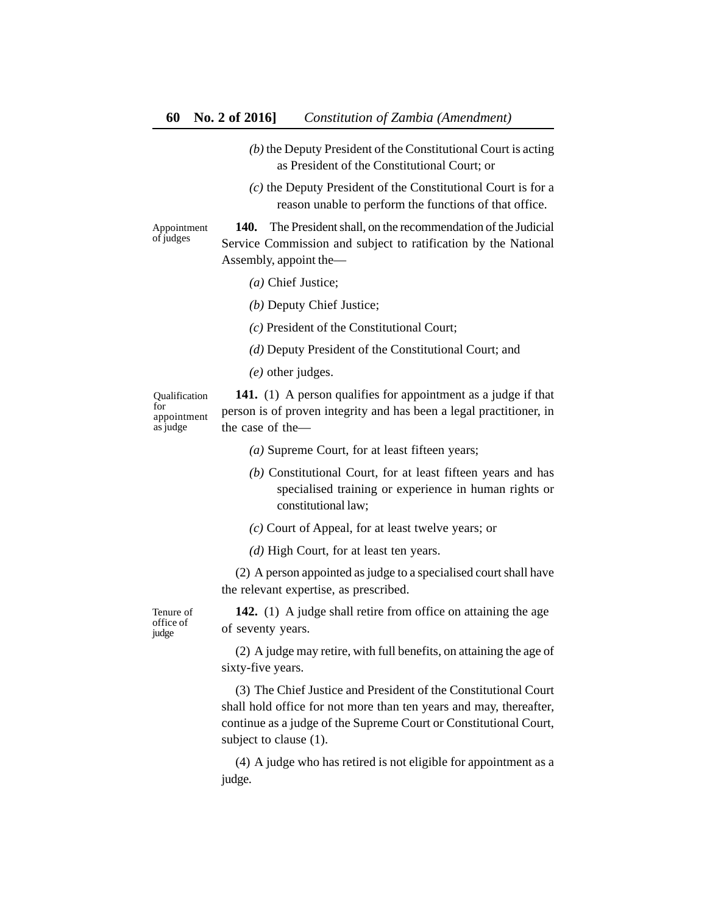- *(b)* the Deputy President of the Constitutional Court is acting as President of the Constitutional Court; or
- *(c)* the Deputy President of the Constitutional Court is for a reason unable to perform the functions of that office.

Appointment of judges

**140.** The President shall, on the recommendation of the Judicial Service Commission and subject to ratification by the National Assembly, appoint the—

- *(a)* Chief Justice;
- *(b)* Deputy Chief Justice;

*(c)* President of the Constitutional Court;

- *(d)* Deputy President of the Constitutional Court; and
- *(e)* other judges.

Qualification for appointment as judge

**141.** (1) A person qualifies for appointment as a judge if that person is of proven integrity and has been a legal practitioner, in the case of the—

- *(a)* Supreme Court, for at least fifteen years;
- *(b)* Constitutional Court, for at least fifteen years and has specialised training or experience in human rights or constitutional law;
- *(c)* Court of Appeal, for at least twelve years; or
- *(d)* High Court, for at least ten years.

(2) A person appointed as judge to a specialised court shall have the relevant expertise, as prescribed.

**142.** (1) A judge shall retire from office on attaining the age of seventy years.

(2) A judge may retire, with full benefits, on attaining the age of sixty-five years.

(3) The Chief Justice and President of the Constitutional Court shall hold office for not more than ten years and may, thereafter, continue as a judge of the Supreme Court or Constitutional Court, subject to clause (1).

(4) A judge who has retired is not eligible for appointment as a judge.

Tenure of office of judge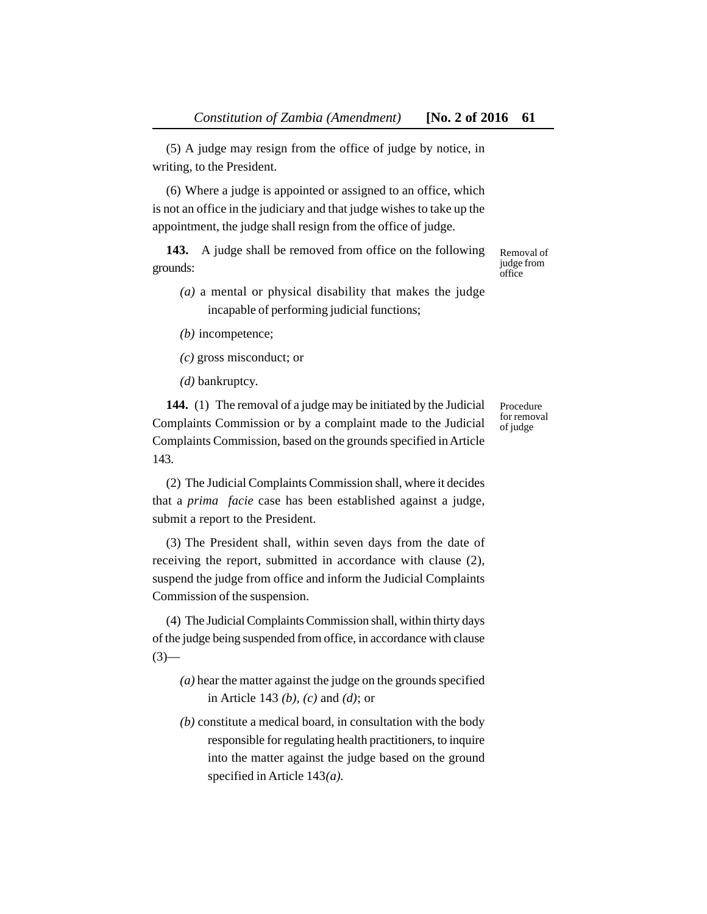(5) A judge may resign from the office of judge by notice, in writing, to the President.

(6) Where a judge is appointed or assigned to an office, which is not an office in the judiciary and that judge wishes to take up the appointment, the judge shall resign from the office of judge.

**143.** A judge shall be removed from office on the following grounds:

- *(a)* a mental or physical disability that makes the judge incapable of performing judicial functions;
- *(b)* incompetence;
- *(c)* gross misconduct; or

*(d)* bankruptcy.

**144.** (1) The removal of a judge may be initiated by the Judicial Complaints Commission or by a complaint made to the Judicial Complaints Commission, based on the grounds specified in Article 143.

(2) The Judicial Complaints Commission shall, where it decides that a *prima facie* case has been established against a judge, submit a report to the President.

(3) The President shall, within seven days from the date of receiving the report, submitted in accordance with clause (2), suspend the judge from office and inform the Judicial Complaints Commission of the suspension.

(4) The Judicial Complaints Commission shall, within thirty days of the judge being suspended from office, in accordance with clause  $(3)$ —

- *(a)* hear the matter against the judge on the grounds specified in Article 143 *(b), (c)* and *(d)*; or
- *(b)* constitute a medical board, in consultation with the body responsible for regulating health practitioners, to inquire into the matter against the judge based on the ground specified in Article 143*(a).*

Removal of judge from office

Procedure for removal of judge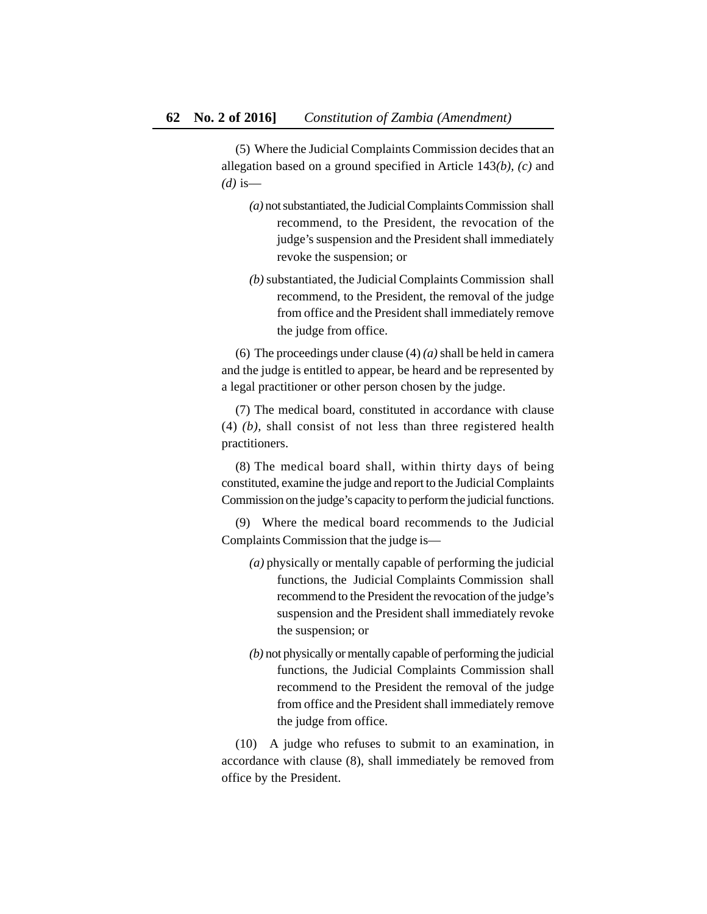(5) Where the Judicial Complaints Commission decides that an allegation based on a ground specified in Article 143*(b), (c)* and *(d)* is—

- *(a)* not substantiated, the Judicial Complaints Commission shall recommend, to the President, the revocation of the judge's suspension and the President shall immediately revoke the suspension; or
- *(b)* substantiated, the Judicial Complaints Commission shall recommend, to the President, the removal of the judge from office and the President shall immediately remove the judge from office.

(6) The proceedings under clause (4) *(a)* shall be held in camera and the judge is entitled to appear, be heard and be represented by a legal practitioner or other person chosen by the judge.

(7) The medical board, constituted in accordance with clause (4) *(b),* shall consist of not less than three registered health practitioners.

(8) The medical board shall, within thirty days of being constituted, examine the judge and report to the Judicial Complaints Commission on the judge's capacity to perform the judicial functions.

(9) Where the medical board recommends to the Judicial Complaints Commission that the judge is—

- *(a)* physically or mentally capable of performing the judicial functions, the Judicial Complaints Commission shall recommend to the President the revocation of the judge's suspension and the President shall immediately revoke the suspension; or
- *(b)* not physically or mentally capable of performing the judicial functions, the Judicial Complaints Commission shall recommend to the President the removal of the judge from office and the President shall immediately remove the judge from office.

(10) A judge who refuses to submit to an examination, in accordance with clause (8), shall immediately be removed from office by the President.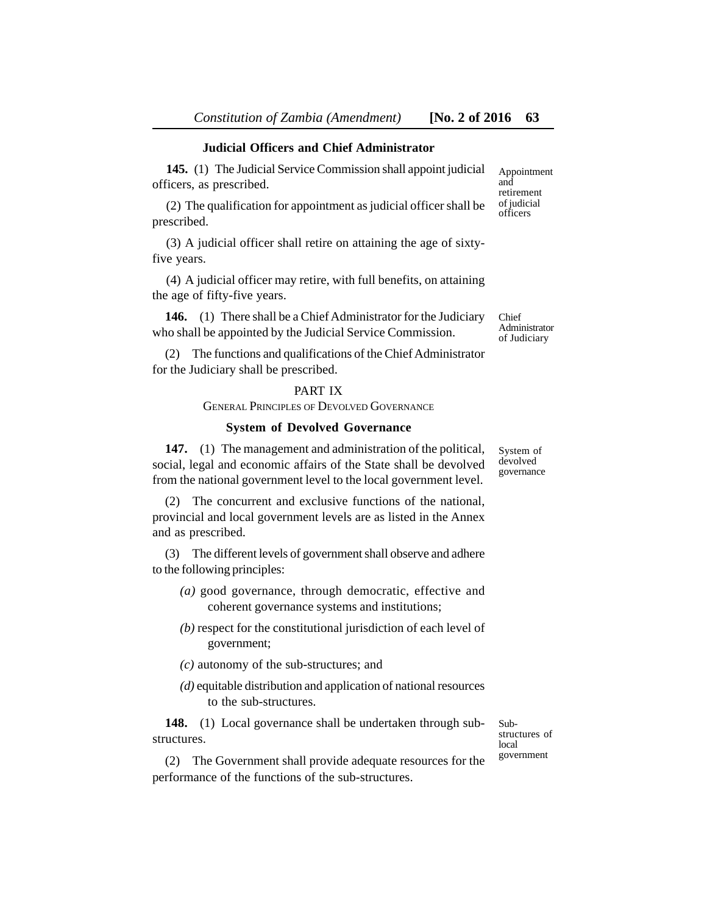# **Judicial Officers and Chief Administrator**

**145.** (1) The Judicial Service Commission shall appoint judicial officers, as prescribed.

(2) The qualification for appointment as judicial officer shall be prescribed.

(3) A judicial officer shall retire on attaining the age of sixtyfive years.

(4) A judicial officer may retire, with full benefits, on attaining the age of fifty-five years.

**146.** (1) There shall be a Chief Administrator for the Judiciary who shall be appointed by the Judicial Service Commission.

Chief Administrator of Judiciary

System of devolved governance

Appointment and retirement of judicial officers

(2) The functions and qualifications of the Chief Administrator for the Judiciary shall be prescribed.

### PART IX

GENERAL PRINCIPLES OF DEVOLVED GOVERNANCE

#### **System of Devolved Governance**

**147.** (1) The management and administration of the political, social, legal and economic affairs of the State shall be devolved from the national government level to the local government level.

(2) The concurrent and exclusive functions of the national, provincial and local government levels are as listed in the Annex and as prescribed.

(3) The different levels of government shall observe and adhere to the following principles:

- *(a)* good governance, through democratic, effective and coherent governance systems and institutions;
- *(b)* respect for the constitutional jurisdiction of each level of government;
- *(c)* autonomy of the sub-structures; and
- *(d)* equitable distribution and application of national resources to the sub-structures.

**148.** (1) Local governance shall be undertaken through substructures.

(2) The Government shall provide adequate resources for the performance of the functions of the sub-structures.

Substructures of local government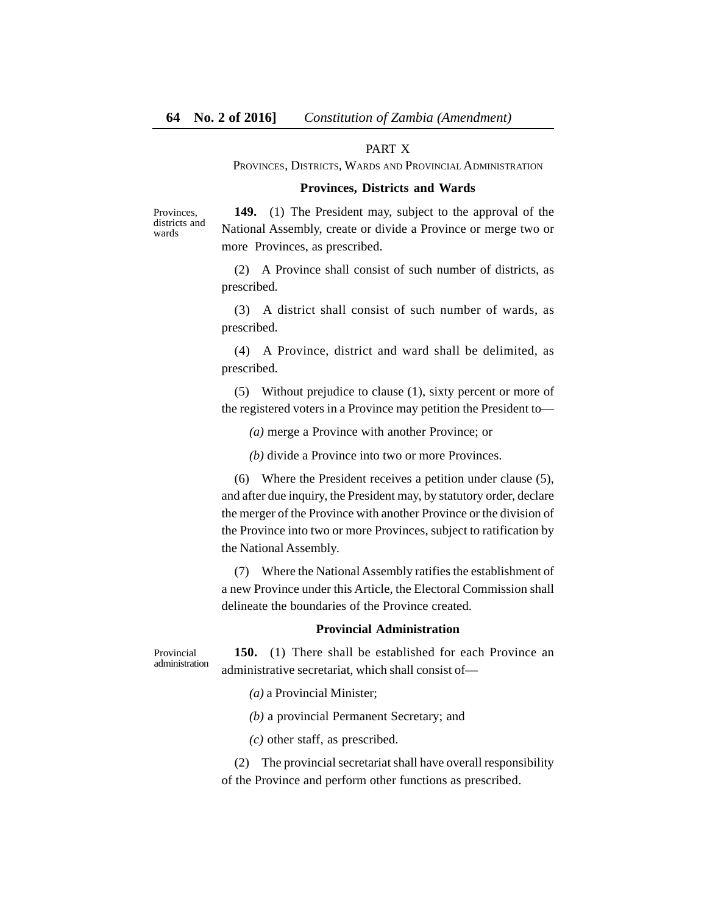# PART X

PROVINCES, DISTRICTS, WARDS AND PROVINCIAL ADMINISTRATION

#### **Provinces, Districts and Wards**

Provinces, districts and wards

**149.** (1) The President may, subject to the approval of the National Assembly, create or divide a Province or merge two or more Provinces, as prescribed.

(2) A Province shall consist of such number of districts, as prescribed.

(3) A district shall consist of such number of wards, as prescribed.

(4) A Province, district and ward shall be delimited, as prescribed.

(5) Without prejudice to clause (1), sixty percent or more of the registered voters in a Province may petition the President to—

*(a)* merge a Province with another Province; or

*(b)* divide a Province into two or more Provinces.

(6) Where the President receives a petition under clause (5), and after due inquiry, the President may, by statutory order, declare the merger of the Province with another Province or the division of the Province into two or more Provinces, subject to ratification by the National Assembly.

(7) Where the National Assembly ratifies the establishment of a new Province under this Article, the Electoral Commission shall delineate the boundaries of the Province created.

#### **Provincial Administration**

**150.** (1) There shall be established for each Province an administrative secretariat, which shall consist of— Provincial administration

*(a)* a Provincial Minister;

*(b)* a provincial Permanent Secretary; and

*(c)* other staff, as prescribed.

(2) The provincial secretariat shall have overall responsibility of the Province and perform other functions as prescribed.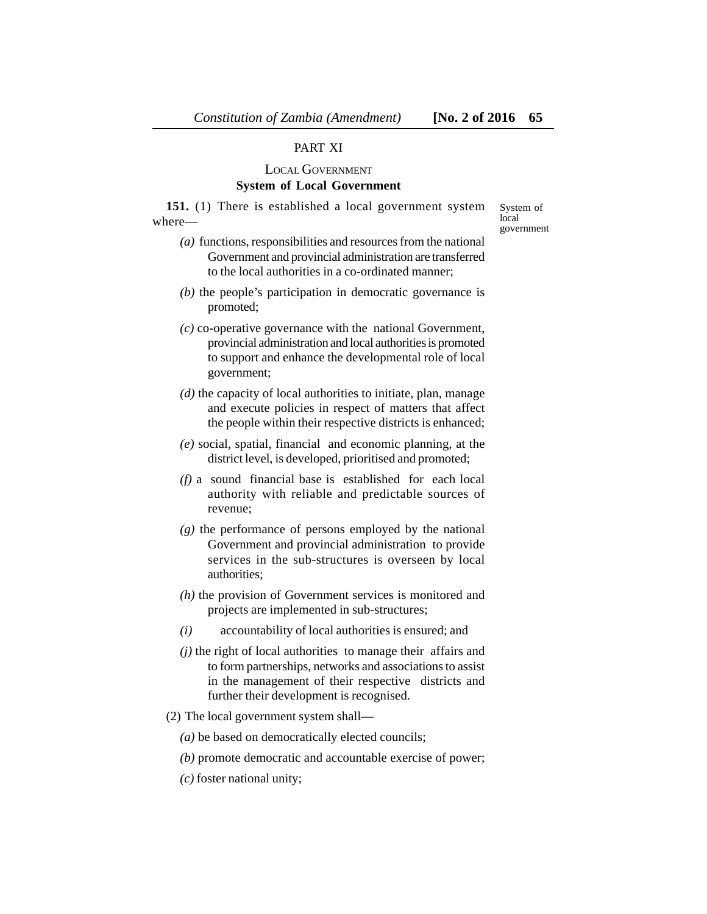#### PART XI

#### LOCAL GOVERNMENT

#### **System of Local Government**

**151.** (1) There is established a local government system where—

System of local government

- *(a)* functions, responsibilities and resources from the national Government and provincial administration are transferred to the local authorities in a co-ordinated manner;
- *(b)* the people's participation in democratic governance is promoted;
- *(c)* co-operative governance with the national Government, provincial administration and local authorities is promoted to support and enhance the developmental role of local government;
- *(d)* the capacity of local authorities to initiate, plan, manage and execute policies in respect of matters that affect the people within their respective districts is enhanced;
- *(e)* social, spatial, financial and economic planning, at the district level, is developed, prioritised and promoted;
- *(f)* a sound financial base is established for each local authority with reliable and predictable sources of revenue;
- *(g)* the performance of persons employed by the national Government and provincial administration to provide services in the sub-structures is overseen by local authorities;
- *(h)* the provision of Government services is monitored and projects are implemented in sub-structures;
- *(i)* accountability of local authorities is ensured; and
- *(j)* the right of local authorities to manage their affairs and to form partnerships, networks and associations to assist in the management of their respective districts and further their development is recognised.
- (2) The local government system shall—
	- *(a)* be based on democratically elected councils;
	- *(b)* promote democratic and accountable exercise of power;
	- *(c)* foster national unity;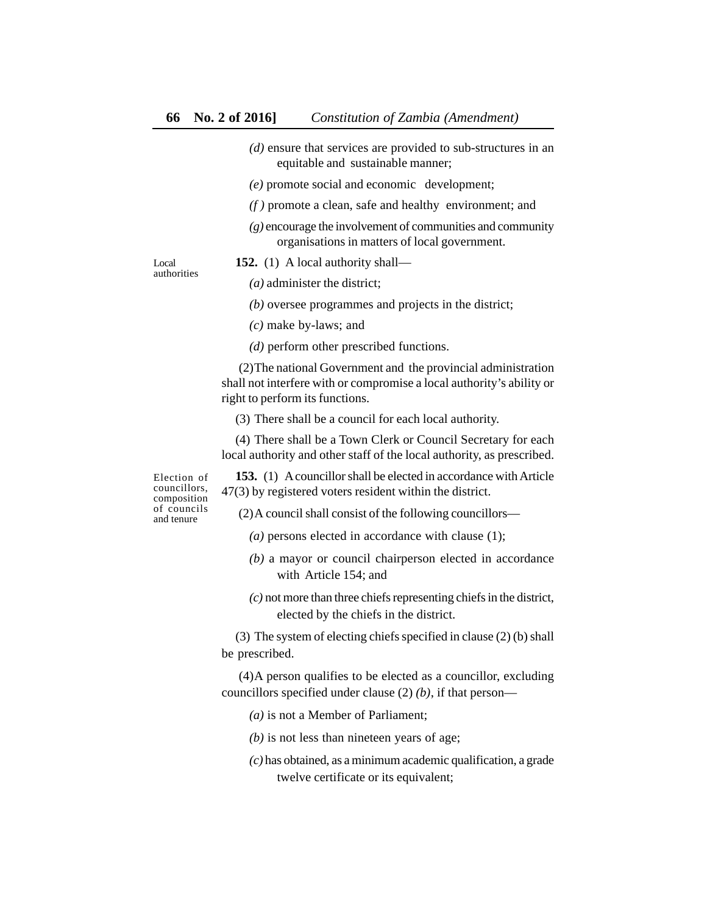- *(d)* ensure that services are provided to sub-structures in an equitable and sustainable manner;
- *(e)* promote social and economic development;
- *(f )* promote a clean, safe and healthy environment; and
- *(g)* encourage the involvement of communities and community organisations in matters of local government.

Local authorities **152.** (1) A local authority shall—

*(a)* administer the district;

- *(b)* oversee programmes and projects in the district;
- *(c)* make by-laws; and

*(d)* perform other prescribed functions.

 (2)The national Government and the provincial administration shall not interfere with or compromise a local authority's ability or right to perform its functions.

(3) There shall be a council for each local authority.

(4) There shall be a Town Clerk or Council Secretary for each local authority and other staff of the local authority, as prescribed.

Election of councillors, composition of councils and tenure

**153.** (1) A councillor shall be elected in accordance with Article 47(3) by registered voters resident within the district.

(2)A council shall consist of the following councillors—

- *(a)* persons elected in accordance with clause (1);
- *(b)* a mayor or council chairperson elected in accordance with Article 154; and
- *(c)* not more than three chiefs representing chiefs in the district, elected by the chiefs in the district.

(3) The system of electing chiefs specified in clause (2) (b) shall be prescribed.

 (4)A person qualifies to be elected as a councillor, excluding councillors specified under clause (2) *(b)*, if that person—

- *(a)* is not a Member of Parliament;
- *(b)* is not less than nineteen years of age;
- *(c)* has obtained, as a minimum academic qualification, a grade twelve certificate or its equivalent;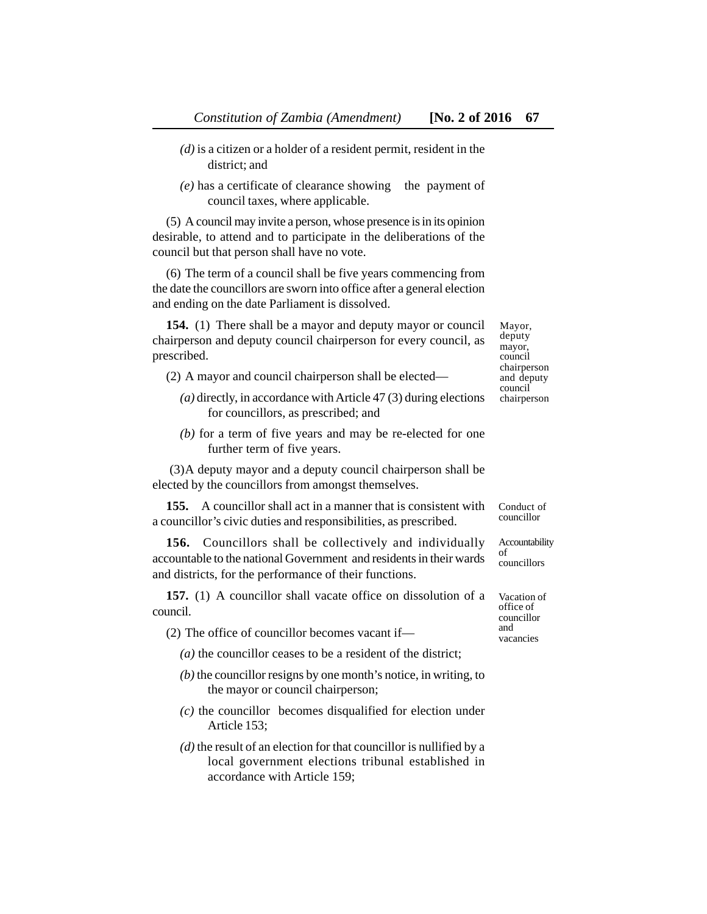- *(d)* is a citizen or a holder of a resident permit, resident in the district; and
- *(e)* has a certificate of clearance showing the payment of council taxes, where applicable.

(5) A council may invite a person, whose presence is in its opinion desirable, to attend and to participate in the deliberations of the council but that person shall have no vote.

(6) The term of a council shall be five years commencing from the date the councillors are sworn into office after a general election and ending on the date Parliament is dissolved.

**154.** (1) There shall be a mayor and deputy mayor or council chairperson and deputy council chairperson for every council, as prescribed.

- (2) A mayor and council chairperson shall be elected—
	- *(a)* directly, in accordance with Article 47 (3) during elections for councillors, as prescribed; and
	- *(b)* for a term of five years and may be re-elected for one further term of five years.

 (3)A deputy mayor and a deputy council chairperson shall be elected by the councillors from amongst themselves.

**155.** A councillor shall act in a manner that is consistent with a councillor's civic duties and responsibilities, as prescribed.

**156.** Councillors shall be collectively and individually accountable to the national Government and residents in their wards and districts, for the performance of their functions.

**157.** (1) A councillor shall vacate office on dissolution of a council.

(2) The office of councillor becomes vacant if—

*(a)* the councillor ceases to be a resident of the district;

- *(b)* the councillor resigns by one month's notice, in writing, to the mayor or council chairperson;
- *(c)* the councillor becomes disqualified for election under Article 153;
- *(d)* the result of an election for that councillor is nullified by a local government elections tribunal established in accordance with Article 159;

Mayor, deputy mayor, council chairperson and deputy council chairperson

Conduct of councillor

Accountability of councillors

Vacation of office of councillor and vacancies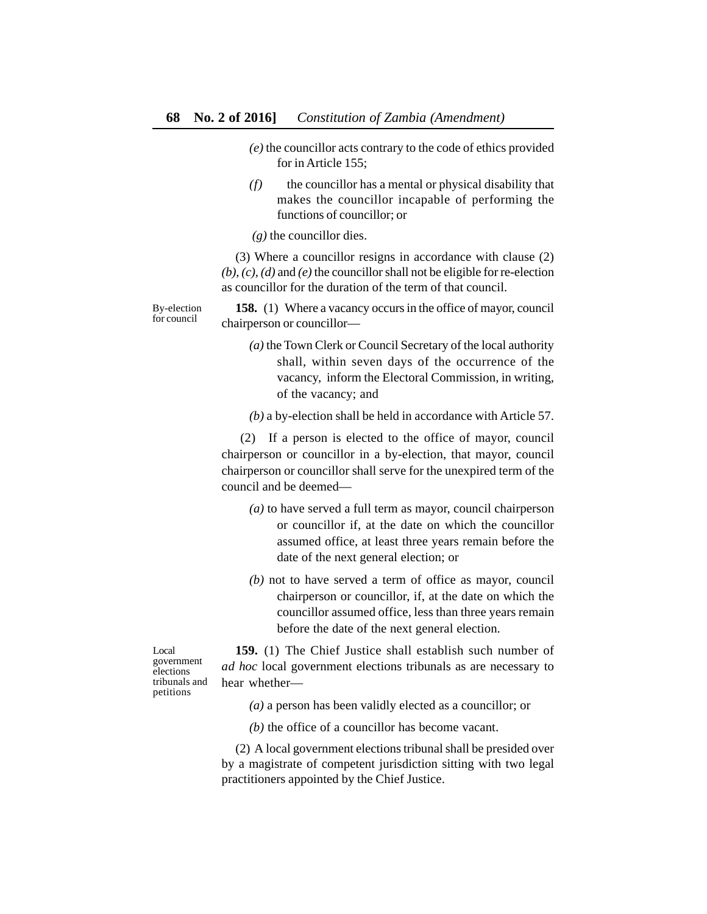- *(e)* the councillor acts contrary to the code of ethics provided for in Article 155;
- *(f)* the councillor has a mental or physical disability that makes the councillor incapable of performing the functions of councillor; or

 *(g)* the councillor dies.

(3) Where a councillor resigns in accordance with clause (2) *(b), (c), (d)* and *(e)* the councillor shall not be eligible for re-election as councillor for the duration of the term of that council.

**158.** (1) Where a vacancy occurs in the office of mayor, council chairperson or councillor—

> *(a)* the Town Clerk or Council Secretary of the local authority shall, within seven days of the occurrence of the vacancy, inform the Electoral Commission, in writing, of the vacancy; and

> *(b)* a by-election shall be held in accordance with Article 57.

 (2) If a person is elected to the office of mayor, council chairperson or councillor in a by-election, that mayor, council chairperson or councillor shall serve for the unexpired term of the council and be deemed—

- *(a)* to have served a full term as mayor, council chairperson or councillor if, at the date on which the councillor assumed office, at least three years remain before the date of the next general election; or
- *(b)* not to have served a term of office as mayor, council chairperson or councillor, if, at the date on which the councillor assumed office, less than three years remain before the date of the next general election.

**159.** (1) The Chief Justice shall establish such number of *ad hoc* local government elections tribunals as are necessary to hear whether—

*(a)* a person has been validly elected as a councillor; or

*(b)* the office of a councillor has become vacant.

(2) A local government elections tribunal shall be presided over by a magistrate of competent jurisdiction sitting with two legal practitioners appointed by the Chief Justice.

By-election for council

Local government elections tribunals and petitions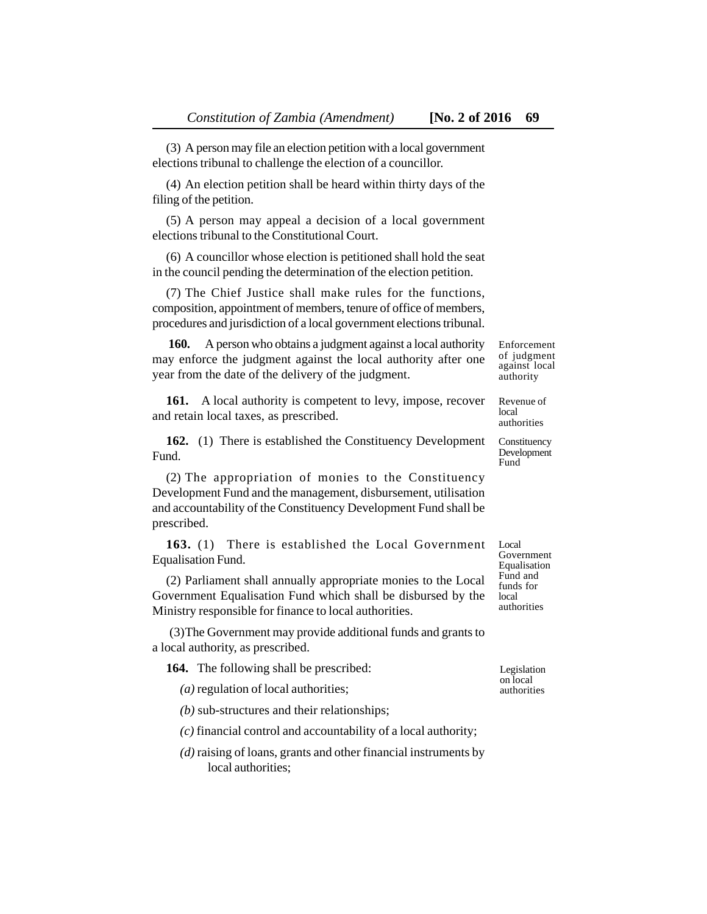(3) A person may file an election petition with a local government elections tribunal to challenge the election of a councillor.

(4) An election petition shall be heard within thirty days of the filing of the petition.

(5) A person may appeal a decision of a local government elections tribunal to the Constitutional Court.

(6) A councillor whose election is petitioned shall hold the seat in the council pending the determination of the election petition.

(7) The Chief Justice shall make rules for the functions, composition, appointment of members, tenure of office of members, procedures and jurisdiction of a local government elections tribunal.

 **160.** A person who obtains a judgment against a local authority may enforce the judgment against the local authority after one year from the date of the delivery of the judgment.

161. A local authority is competent to levy, impose, recover and retain local taxes, as prescribed.

**162.** (1) There is established the Constituency Development Fund.

(2) The appropriation of monies to the Constituency Development Fund and the management, disbursement, utilisation and accountability of the Constituency Development Fund shall be prescribed.

**163.** (1) There is established the Local Government Equalisation Fund.

(2) Parliament shall annually appropriate monies to the Local Government Equalisation Fund which shall be disbursed by the Ministry responsible for finance to local authorities.

 (3)The Government may provide additional funds and grants to a local authority, as prescribed.

|  | <b>164.</b> The following shall be prescribed: |  |
|--|------------------------------------------------|--|
|--|------------------------------------------------|--|

*(a)* regulation of local authorities;

*(b)* sub-structures and their relationships;

*(c)* financial control and accountability of a local authority;

*(d)* raising of loans, grants and other financial instruments by local authorities;

Enforcement of judgment against local authority

Revenue of local authorities

**Constituency** Development Fund

Local Government Equalisation Fund and funds for local authorities

Legislation on local authorities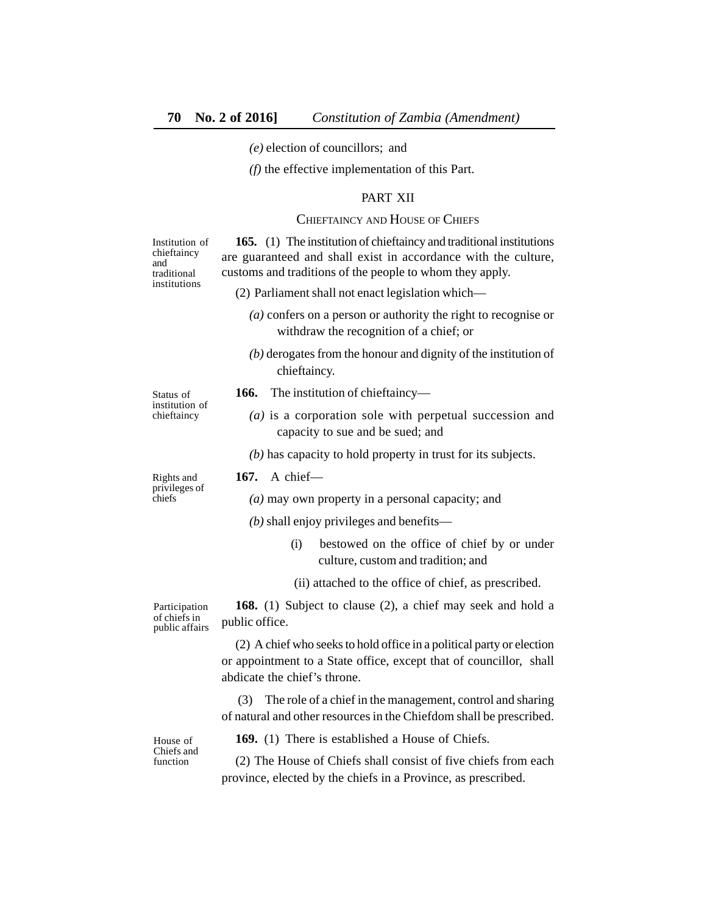*(e)* election of councillors; and

*(f)* the effective implementation of this Part.

#### PART XII

#### CHIEFTAINCY AND HOUSE OF CHIEFS

**165.** (1) The institution of chieftaincy and traditional institutions are guaranteed and shall exist in accordance with the culture, customs and traditions of the people to whom they apply. (2) Parliament shall not enact legislation which— Institution of

- *(a)* confers on a person or authority the right to recognise or withdraw the recognition of a chief; or
- *(b)* derogates from the honour and dignity of the institution of chieftaincy.

Status of institution of chieftaincy

**166.** The institution of chieftaincy—

**167.** A chief—

*(a)* is a corporation sole with perpetual succession and capacity to sue and be sued; and

*(b)* has capacity to hold property in trust for its subjects.

#### Rights and privileges of chiefs

*(a)* may own property in a personal capacity; and

- *(b)* shall enjoy privileges and benefits—
	- (i) bestowed on the office of chief by or under culture, custom and tradition; and
	- (ii) attached to the office of chief, as prescribed.

**168.** (1) Subject to clause (2), a chief may seek and hold a public office.

(2) A chief who seeks to hold office in a political party or election or appointment to a State office, except that of councillor, shall abdicate the chief's throne.

 (3) The role of a chief in the management, control and sharing of natural and other resources in the Chiefdom shall be prescribed.

House of Chiefs and function

**169.** (1) There is established a House of Chiefs.

(2) The House of Chiefs shall consist of five chiefs from each province, elected by the chiefs in a Province, as prescribed.

**Participation** of chiefs in public affairs

chieftaincy and traditional institutions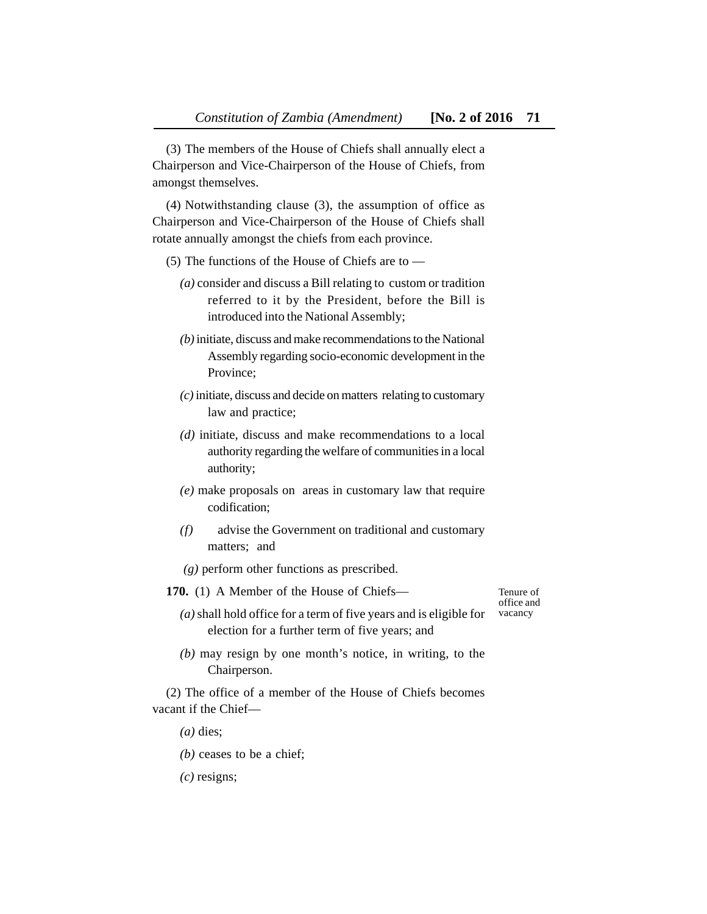(3) The members of the House of Chiefs shall annually elect a Chairperson and Vice-Chairperson of the House of Chiefs, from amongst themselves.

(4) Notwithstanding clause (3), the assumption of office as Chairperson and Vice-Chairperson of the House of Chiefs shall rotate annually amongst the chiefs from each province.

- (5) The functions of the House of Chiefs are to
	- *(a)* consider and discuss a Bill relating to custom or tradition referred to it by the President, before the Bill is introduced into the National Assembly;
	- *(b)* initiate, discuss and make recommendations to the National Assembly regarding socio-economic development in the Province;
	- *(c)* initiate, discuss and decide on matters relating to customary law and practice;
	- *(d)* initiate, discuss and make recommendations to a local authority regarding the welfare of communities in a local authority;
	- *(e)* make proposals on areas in customary law that require codification;
	- *(f)* advise the Government on traditional and customary matters; and

 *(g)* perform other functions as prescribed.

**170.** (1) A Member of the House of Chiefs—

Tenure of office and vacancy

- *(a)* shall hold office for a term of five years and is eligible for election for a further term of five years; and
- *(b)* may resign by one month's notice, in writing, to the Chairperson.

(2) The office of a member of the House of Chiefs becomes vacant if the Chief—

*(a)* dies;

- *(b)* ceases to be a chief;
- *(c)* resigns;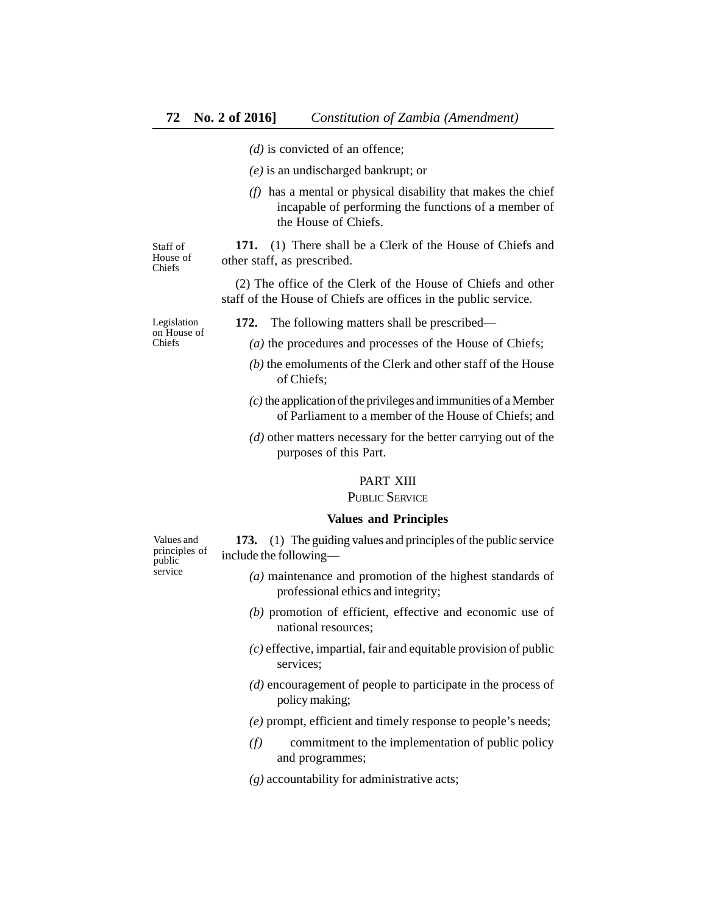- *(d)* is convicted of an offence;
- *(e)* is an undischarged bankrupt; or
- *(f)* has a mental or physical disability that makes the chief incapable of performing the functions of a member of the House of Chiefs.

Staff of House of Chiefs

**171.** (1) There shall be a Clerk of the House of Chiefs and other staff, as prescribed.

(2) The office of the Clerk of the House of Chiefs and other staff of the House of Chiefs are offices in the public service.

Legislation on House of Chiefs

- **172.** The following matters shall be prescribed—
	- *(a)* the procedures and processes of the House of Chiefs;
	- *(b)* the emoluments of the Clerk and other staff of the House of Chiefs;
	- *(c)* the application of the privileges and immunities of a Member of Parliament to a member of the House of Chiefs; and
	- *(d)* other matters necessary for the better carrying out of the purposes of this Part.

#### PART XIII

PUBLIC SERVICE

#### **Values and Principles**

**173.** (1) The guiding values and principles of the public service include the following—

- *(a)* maintenance and promotion of the highest standards of professional ethics and integrity;
- *(b)* promotion of efficient, effective and economic use of national resources;
- *(c)* effective, impartial, fair and equitable provision of public services;
- *(d)* encouragement of people to participate in the process of policy making;

*(e)* prompt, efficient and timely response to people's needs;

- *(f)* commitment to the implementation of public policy and programmes;
- *(g)* accountability for administrative acts;

Values and principles of public service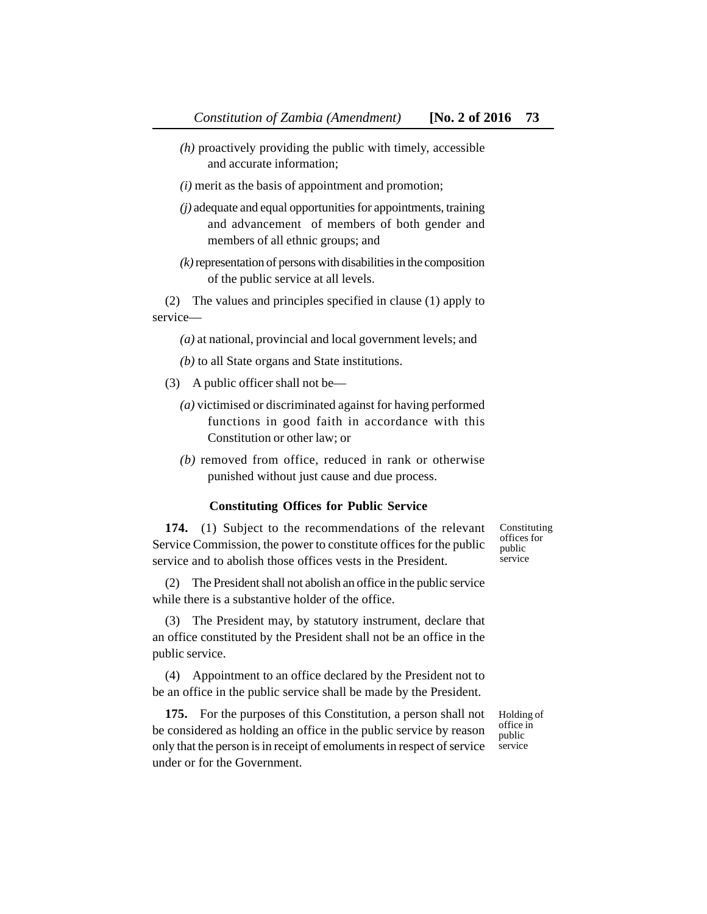- *(h)* proactively providing the public with timely, accessible and accurate information;
- *(i)* merit as the basis of appointment and promotion;
- *(j)* adequate and equal opportunities for appointments, training and advancement of members of both gender and members of all ethnic groups; and
- *(k)* representation of persons with disabilities in the composition of the public service at all levels.

(2) The values and principles specified in clause (1) apply to service—

*(a)* at national, provincial and local government levels; and

- *(b)* to all State organs and State institutions.
- (3) A public officer shall not be—
	- *(a)* victimised or discriminated against for having performed functions in good faith in accordance with this Constitution or other law; or
	- *(b)* removed from office, reduced in rank or otherwise punished without just cause and due process.

#### **Constituting Offices for Public Service**

**174.** (1) Subject to the recommendations of the relevant Service Commission, the power to constitute offices for the public service and to abolish those offices vests in the President.

offices for public service

Constituting

(2) The President shall not abolish an office in the public service while there is a substantive holder of the office.

(3) The President may, by statutory instrument, declare that an office constituted by the President shall not be an office in the public service.

(4) Appointment to an office declared by the President not to be an office in the public service shall be made by the President.

**175.** For the purposes of this Constitution, a person shall not be considered as holding an office in the public service by reason only that the person is in receipt of emoluments in respect of service under or for the Government.

Holding of office in public service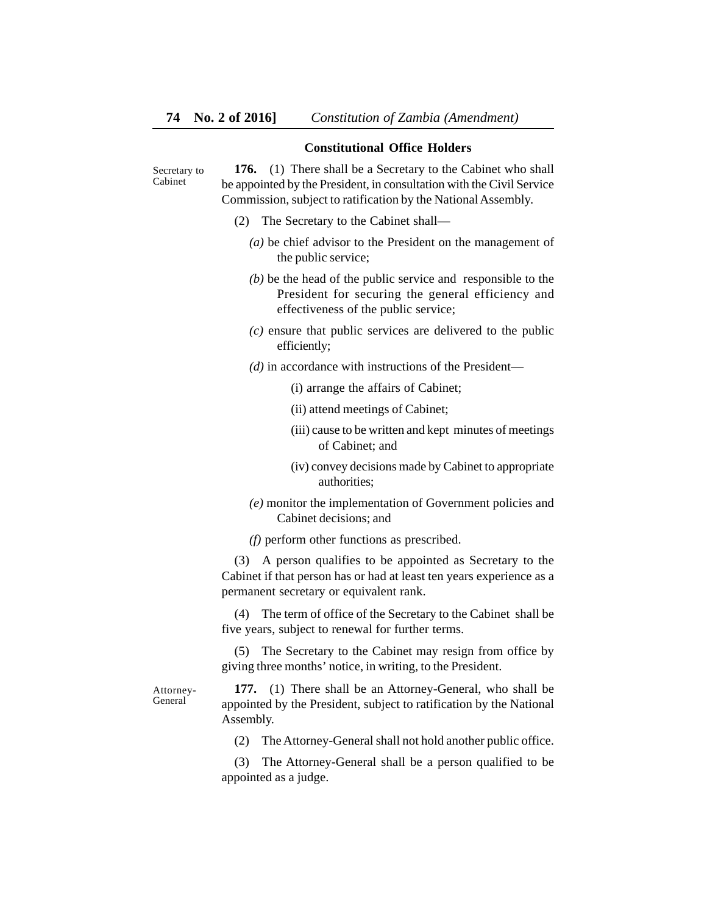#### **Constitutional Office Holders**

Secretary to Cabinet

**176.** (1) There shall be a Secretary to the Cabinet who shall be appointed by the President, in consultation with the Civil Service Commission, subject to ratification by the National Assembly.

- (2) The Secretary to the Cabinet shall—
	- *(a)* be chief advisor to the President on the management of the public service;
	- *(b)* be the head of the public service and responsible to the President for securing the general efficiency and effectiveness of the public service;
	- *(c)* ensure that public services are delivered to the public efficiently;
	- *(d)* in accordance with instructions of the President—
		- (i) arrange the affairs of Cabinet;
		- (ii) attend meetings of Cabinet;
		- (iii) cause to be written and kept minutes of meetings of Cabinet; and
		- (iv) convey decisions made by Cabinet to appropriate authorities;
	- *(e)* monitor the implementation of Government policies and Cabinet decisions; and

*(f)* perform other functions as prescribed.

(3) A person qualifies to be appointed as Secretary to the Cabinet if that person has or had at least ten years experience as a permanent secretary or equivalent rank.

(4) The term of office of the Secretary to the Cabinet shall be five years, subject to renewal for further terms.

(5) The Secretary to the Cabinet may resign from office by giving three months' notice, in writing, to the President.

Attorney-General

**177.** (1) There shall be an Attorney-General, who shall be appointed by the President, subject to ratification by the National Assembly.

(2) The Attorney-General shall not hold another public office.

(3) The Attorney-General shall be a person qualified to be appointed as a judge.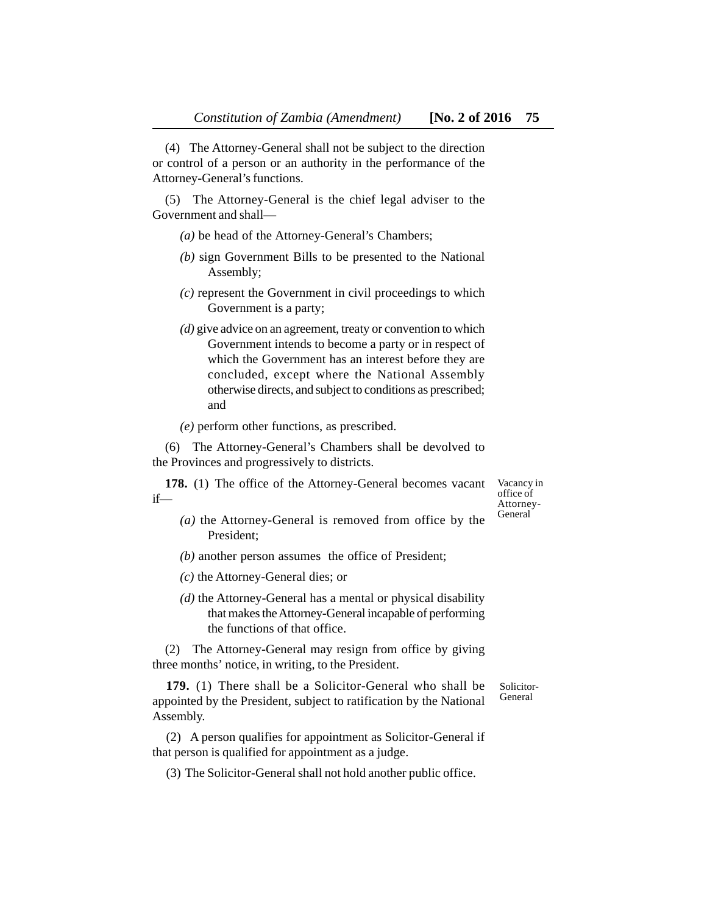(4) The Attorney-General shall not be subject to the direction or control of a person or an authority in the performance of the Attorney-General's functions.

(5) The Attorney-General is the chief legal adviser to the Government and shall—

- *(a)* be head of the Attorney-General's Chambers;
- *(b)* sign Government Bills to be presented to the National Assembly;
- *(c)* represent the Government in civil proceedings to which Government is a party;
- *(d)* give advice on an agreement, treaty or convention to which Government intends to become a party or in respect of which the Government has an interest before they are concluded, except where the National Assembly otherwise directs, and subject to conditions as prescribed; and

*(e)* perform other functions, as prescribed.

(6) The Attorney-General's Chambers shall be devolved to the Provinces and progressively to districts.

**178.** (1) The office of the Attorney-General becomes vacant if—

Vacancy in office of Attorney-General

- *(a)* the Attorney-General is removed from office by the President;
- *(b)* another person assumes the office of President;
- *(c)* the Attorney-General dies; or
- *(d)* the Attorney-General has a mental or physical disability that makes the Attorney-General incapable of performing the functions of that office.

(2) The Attorney-General may resign from office by giving three months' notice, in writing, to the President.

**179.** (1) There shall be a Solicitor-General who shall be appointed by the President, subject to ratification by the National Assembly. Solicitor-General

(2) A person qualifies for appointment as Solicitor-General if that person is qualified for appointment as a judge.

(3) The Solicitor-General shall not hold another public office.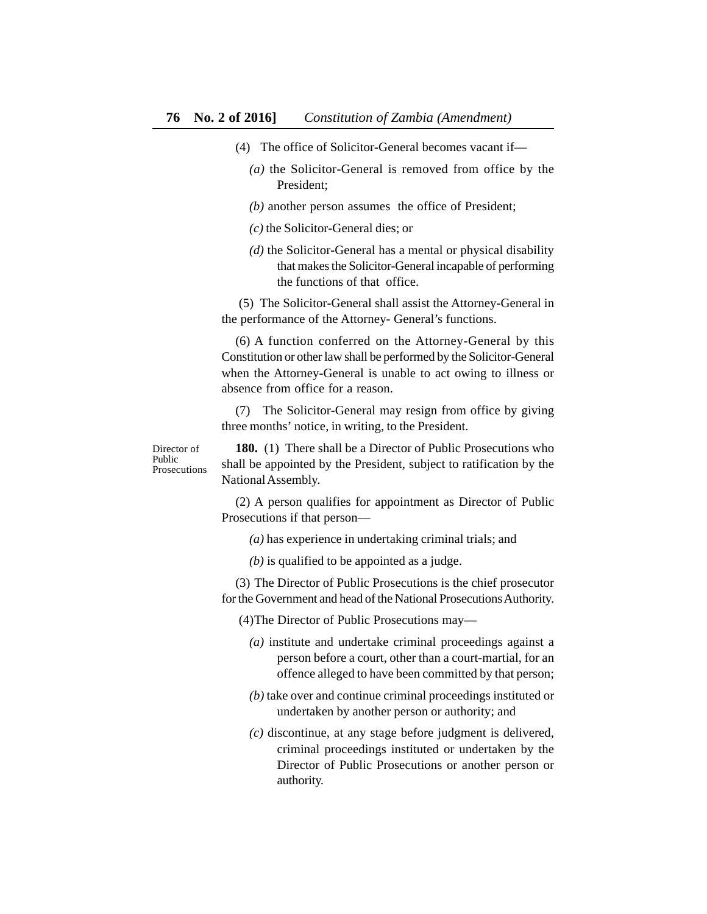- (4) The office of Solicitor-General becomes vacant if—
	- *(a)* the Solicitor-General is removed from office by the President;
	- *(b)* another person assumes the office of President;
	- *(c)* the Solicitor-General dies; or
	- *(d)* the Solicitor-General has a mental or physical disability that makes the Solicitor-General incapable of performing the functions of that office.

 (5) The Solicitor-General shall assist the Attorney-General in the performance of the Attorney- General's functions.

(6) A function conferred on the Attorney-General by this Constitution or other law shall be performed by the Solicitor-General when the Attorney-General is unable to act owing to illness or absence from office for a reason.

(7) The Solicitor-General may resign from office by giving three months' notice, in writing, to the President.

Director of Public Prosecutions

**180.** (1) There shall be a Director of Public Prosecutions who shall be appointed by the President, subject to ratification by the National Assembly.

(2) A person qualifies for appointment as Director of Public Prosecutions if that person—

*(a)* has experience in undertaking criminal trials; and

*(b)* is qualified to be appointed as a judge.

(3) The Director of Public Prosecutions is the chief prosecutor for the Government and head of the National Prosecutions Authority.

(4)The Director of Public Prosecutions may—

- *(a)* institute and undertake criminal proceedings against a person before a court, other than a court-martial, for an offence alleged to have been committed by that person;
- *(b)* take over and continue criminal proceedings instituted or undertaken by another person or authority; and
- *(c)* discontinue, at any stage before judgment is delivered, criminal proceedings instituted or undertaken by the Director of Public Prosecutions or another person or authority.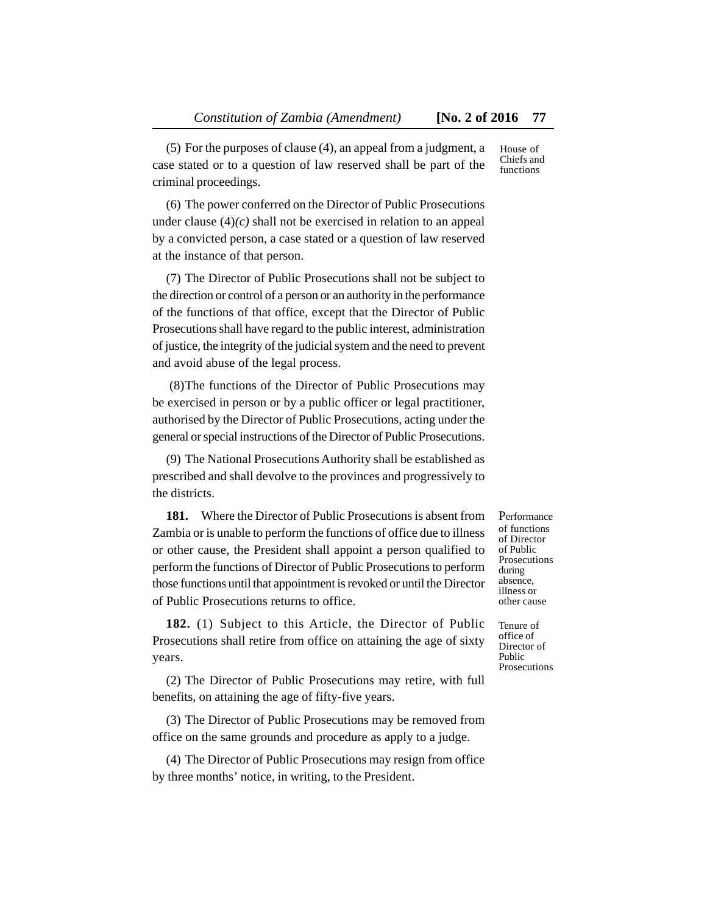(5) For the purposes of clause (4), an appeal from a judgment, a case stated or to a question of law reserved shall be part of the criminal proceedings.

(6) The power conferred on the Director of Public Prosecutions under clause  $(4)(c)$  shall not be exercised in relation to an appeal by a convicted person, a case stated or a question of law reserved at the instance of that person.

(7) The Director of Public Prosecutions shall not be subject to the direction or control of a person or an authority in the performance of the functions of that office, except that the Director of Public Prosecutions shall have regard to the public interest, administration of justice, the integrity of the judicial system and the need to prevent and avoid abuse of the legal process.

 (8)The functions of the Director of Public Prosecutions may be exercised in person or by a public officer or legal practitioner, authorised by the Director of Public Prosecutions, acting under the general or special instructions of the Director of Public Prosecutions.

(9) The National Prosecutions Authority shall be established as prescribed and shall devolve to the provinces and progressively to the districts.

**181.** Where the Director of Public Prosecutions is absent from Zambia or is unable to perform the functions of office due to illness or other cause, the President shall appoint a person qualified to perform the functions of Director of Public Prosecutions to perform those functions until that appointment is revoked or until the Director of Public Prosecutions returns to office.

**182.** (1) Subject to this Article, the Director of Public Prosecutions shall retire from office on attaining the age of sixty years.

(2) The Director of Public Prosecutions may retire, with full benefits, on attaining the age of fifty-five years.

(3) The Director of Public Prosecutions may be removed from office on the same grounds and procedure as apply to a judge.

(4) The Director of Public Prosecutions may resign from office by three months' notice, in writing, to the President.

Performance of functions of Director of Public Prosecutions during absence, illness or other cause

Tenure of office of Director of Public Prosecutions

House of Chiefs and functions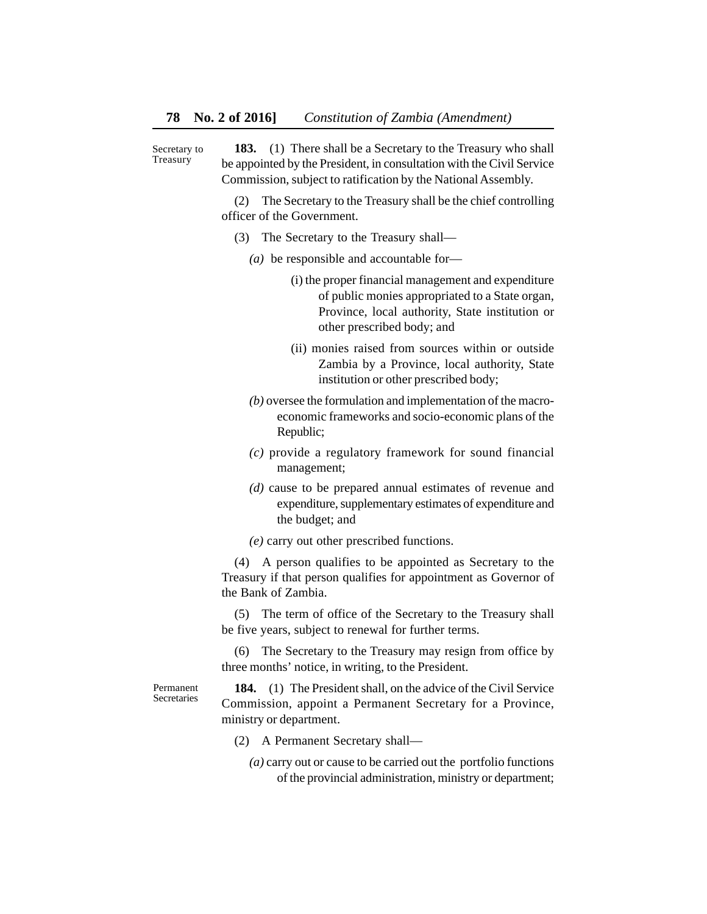**183.** (1) There shall be a Secretary to the Treasury who shall be appointed by the President, in consultation with the Civil Service Commission, subject to ratification by the National Assembly. Secretary to Treasury

> (2) The Secretary to the Treasury shall be the chief controlling officer of the Government.

- (3) The Secretary to the Treasury shall—
	- *(a)* be responsible and accountable for—
		- (i) the proper financial management and expenditure of public monies appropriated to a State organ, Province, local authority, State institution or other prescribed body; and
		- (ii) monies raised from sources within or outside Zambia by a Province, local authority, State institution or other prescribed body;
	- *(b)* oversee the formulation and implementation of the macroeconomic frameworks and socio-economic plans of the Republic;
	- *(c)* provide a regulatory framework for sound financial management;
	- *(d)* cause to be prepared annual estimates of revenue and expenditure, supplementary estimates of expenditure and the budget; and

*(e)* carry out other prescribed functions.

(4) A person qualifies to be appointed as Secretary to the Treasury if that person qualifies for appointment as Governor of the Bank of Zambia.

(5) The term of office of the Secretary to the Treasury shall be five years, subject to renewal for further terms.

(6) The Secretary to the Treasury may resign from office by three months' notice, in writing, to the President.

Permanent **Secretaries** 

**184.** (1) The President shall, on the advice of the Civil Service Commission, appoint a Permanent Secretary for a Province, ministry or department.

- (2) A Permanent Secretary shall—
	- *(a)* carry out or cause to be carried out the portfolio functions of the provincial administration, ministry or department;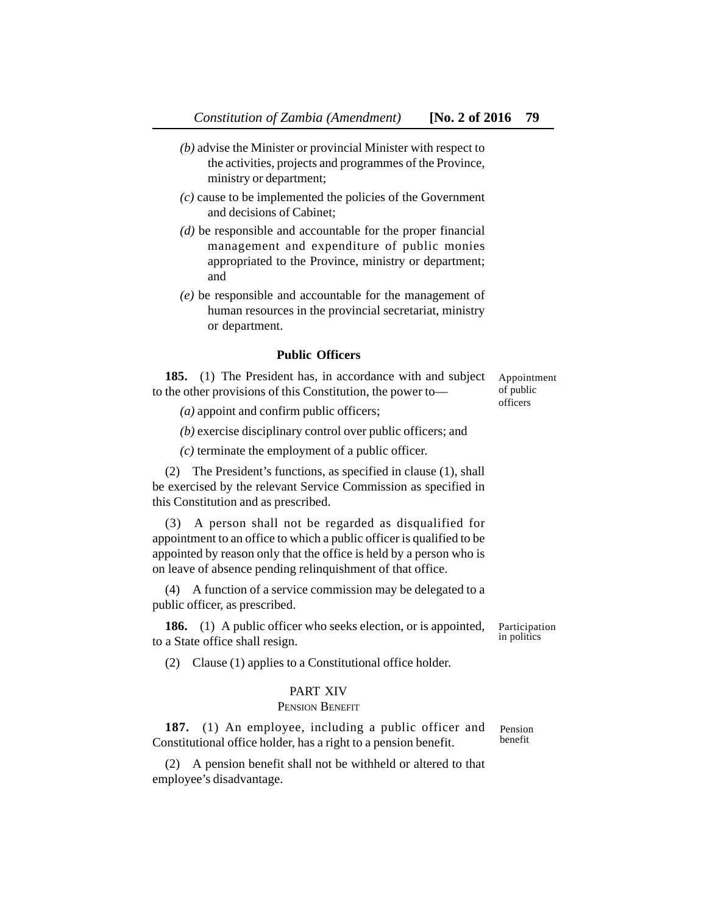- *(b)* advise the Minister or provincial Minister with respect to the activities, projects and programmes of the Province, ministry or department;
- *(c)* cause to be implemented the policies of the Government and decisions of Cabinet;
- *(d)* be responsible and accountable for the proper financial management and expenditure of public monies appropriated to the Province, ministry or department; and
- *(e)* be responsible and accountable for the management of human resources in the provincial secretariat, ministry or department.

### **Public Officers**

**185.** (1) The President has, in accordance with and subject to the other provisions of this Constitution, the power to— Appointment of public officers

*(a)* appoint and confirm public officers;

*(b)* exercise disciplinary control over public officers; and

*(c)* terminate the employment of a public officer.

(2) The President's functions, as specified in clause (1), shall be exercised by the relevant Service Commission as specified in this Constitution and as prescribed.

(3) A person shall not be regarded as disqualified for appointment to an office to which a public officer is qualified to be appointed by reason only that the office is held by a person who is on leave of absence pending relinquishment of that office.

(4) A function of a service commission may be delegated to a public officer, as prescribed.

**186.** (1) A public officer who seeks election, or is appointed, to a State office shall resign.

Participation in politics

(2) Clause (1) applies to a Constitutional office holder.

#### PART XIV

#### PENSION BENEFIT

**187.** (1) An employee, including a public officer and Constitutional office holder, has a right to a pension benefit. Pension benefit

(2) A pension benefit shall not be withheld or altered to that employee's disadvantage.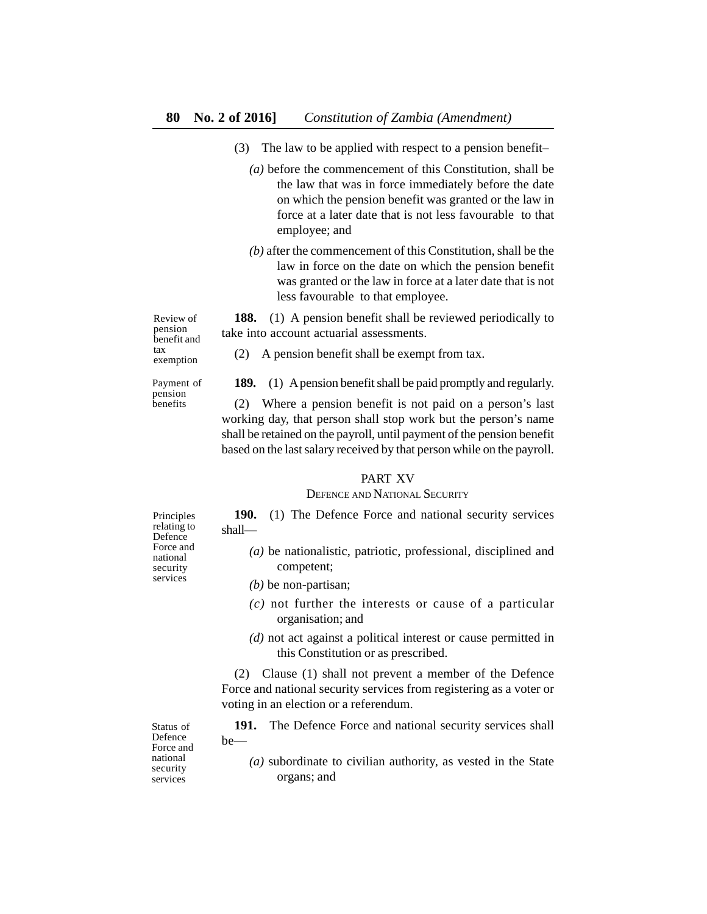- (3) The law to be applied with respect to a pension benefit–
	- *(a)* before the commencement of this Constitution, shall be the law that was in force immediately before the date on which the pension benefit was granted or the law in force at a later date that is not less favourable to that employee; and
	- *(b)* after the commencement of this Constitution, shall be the law in force on the date on which the pension benefit was granted or the law in force at a later date that is not less favourable to that employee.

**188.** (1) A pension benefit shall be reviewed periodically to take into account actuarial assessments.

Review of pension benefit and tax exemption

Payment of pension benefits

(2) A pension benefit shall be exempt from tax.

**189.** (1) A pension benefit shall be paid promptly and regularly.

(2) Where a pension benefit is not paid on a person's last working day, that person shall stop work but the person's name shall be retained on the payroll, until payment of the pension benefit based on the last salary received by that person while on the payroll.

#### PART XV

#### DEFENCE AND NATIONAL SECURITY

**190.** (1) The Defence Force and national security services shall—

- *(a)* be nationalistic, patriotic, professional, disciplined and competent;
- *(b)* be non-partisan;
- *(c)* not further the interests or cause of a particular organisation; and
- *(d)* not act against a political interest or cause permitted in this Constitution or as prescribed.

(2) Clause (1) shall not prevent a member of the Defence Force and national security services from registering as a voter or voting in an election or a referendum.

**191.** The Defence Force and national security services shall be—

*(a)* subordinate to civilian authority, as vested in the State organs; and

Principles relating to **Defence** Force and national security services

Defence Force and national security services

Status of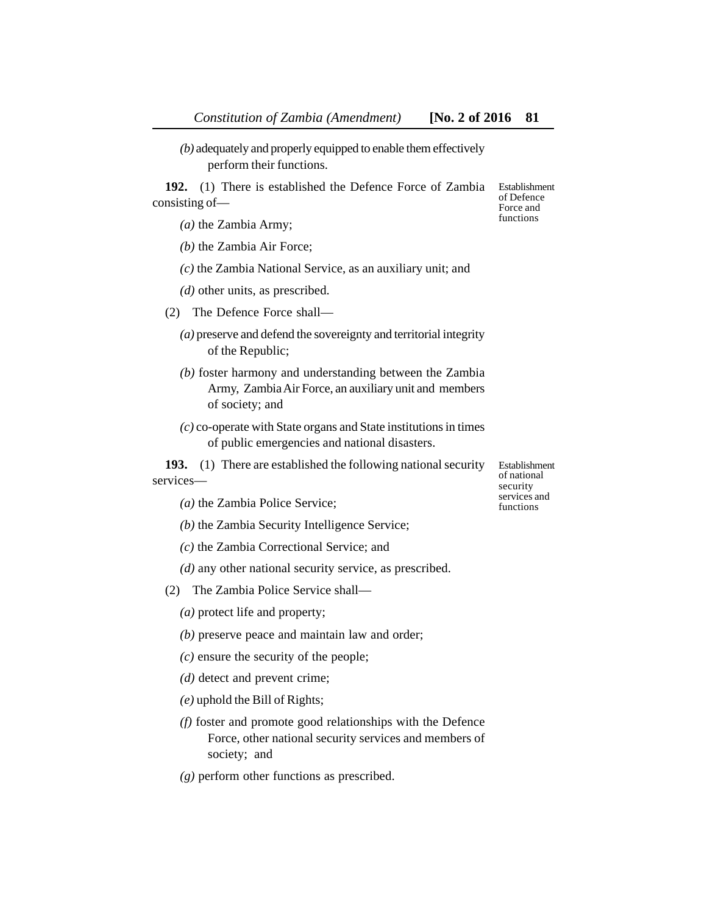*(b)* adequately and properly equipped to enable them effectively perform their functions.

**192.** (1) There is established the Defence Force of Zambia consisting of—

*(a)* the Zambia Army;

*(b)* the Zambia Air Force;

*(c)* the Zambia National Service, as an auxiliary unit; and

*(d)* other units, as prescribed.

(2) The Defence Force shall—

*(a)* preserve and defend the sovereignty and territorial integrity of the Republic;

- *(b)* foster harmony and understanding between the Zambia Army, Zambia Air Force, an auxiliary unit and members of society; and
- *(c)* co-operate with State organs and State institutions in times of public emergencies and national disasters.

**193.** (1) There are established the following national security services—

*(a)* the Zambia Police Service;

*(b)* the Zambia Security Intelligence Service;

*(c)* the Zambia Correctional Service; and

*(d)* any other national security service, as prescribed.

(2) The Zambia Police Service shall—

*(a)* protect life and property;

*(b)* preserve peace and maintain law and order;

*(c)* ensure the security of the people;

*(d)* detect and prevent crime;

*(e)* uphold the Bill of Rights;

*(f)* foster and promote good relationships with the Defence Force, other national security services and members of society; and

*(g)* perform other functions as prescribed.

Establishment of national security services and functions

Establishment of Defence Force and functions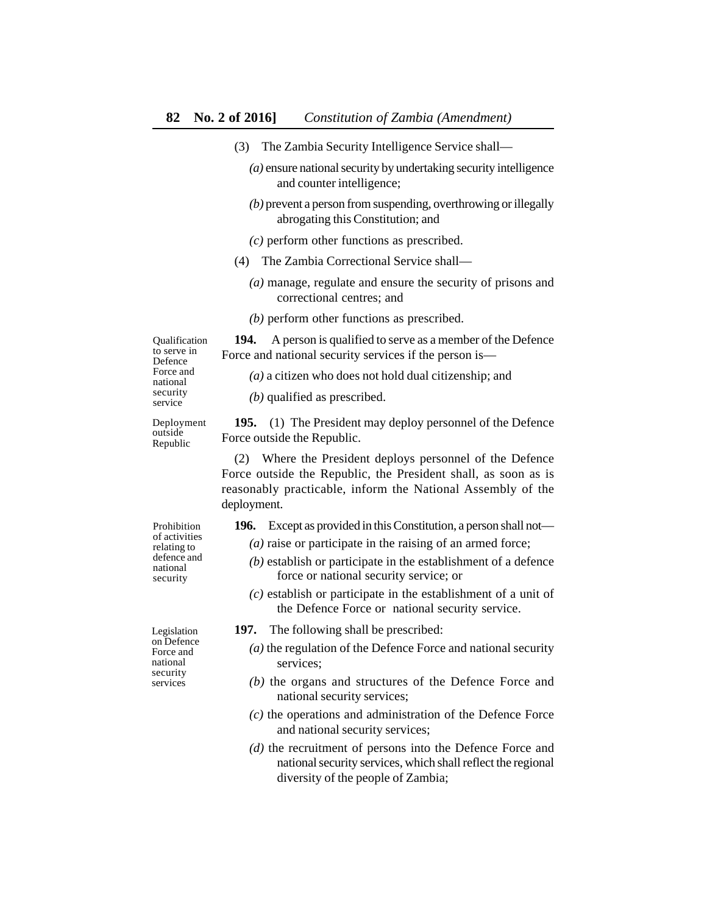- (3) The Zambia Security Intelligence Service shall—
	- *(a)* ensure national security by undertaking security intelligence and counter intelligence;
	- *(b)* prevent a person from suspending, overthrowing or illegally abrogating this Constitution; and
	- *(c)* perform other functions as prescribed.
- (4) The Zambia Correctional Service shall—
	- *(a)* manage, regulate and ensure the security of prisons and correctional centres; and
	- *(b)* perform other functions as prescribed.

**194.** A person is qualified to serve as a member of the Defence Force and national security services if the person is—

*(a)* a citizen who does not hold dual citizenship; and

*(b)* qualified as prescribed.

Deployment outside Republic

Qualification to serve in Defence Force and national security service

> **195.** (1) The President may deploy personnel of the Defence Force outside the Republic.

> (2) Where the President deploys personnel of the Defence Force outside the Republic, the President shall, as soon as is reasonably practicable, inform the National Assembly of the deployment.

- **196.** Except as provided in this Constitution, a person shall not—
	- *(a)* raise or participate in the raising of an armed force;
	- *(b)* establish or participate in the establishment of a defence force or national security service; or
	- *(c)* establish or participate in the establishment of a unit of the Defence Force or national security service.
- **197.** The following shall be prescribed:
	- *(a)* the regulation of the Defence Force and national security services;
	- *(b)* the organs and structures of the Defence Force and national security services;
	- *(c)* the operations and administration of the Defence Force and national security services;
	- *(d)* the recruitment of persons into the Defence Force and national security services, which shall reflect the regional diversity of the people of Zambia;

Prohibition of activities relating to defence and national security

Legislation on Defence Force and national security services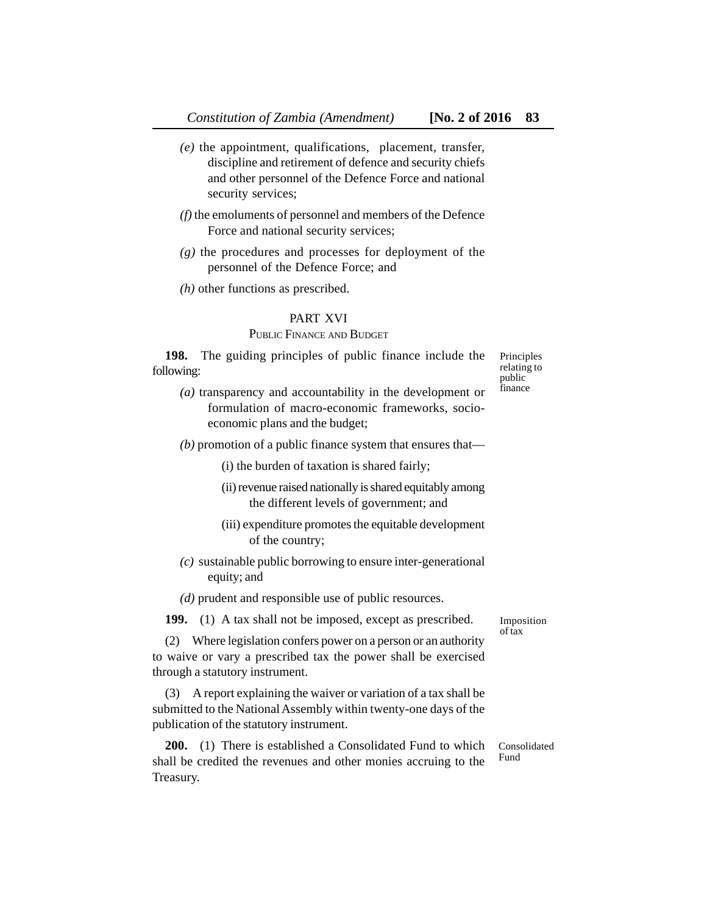- *(e)* the appointment, qualifications, placement, transfer, discipline and retirement of defence and security chiefs and other personnel of the Defence Force and national security services;
- *(f)* the emoluments of personnel and members of the Defence Force and national security services;
- *(g)* the procedures and processes for deployment of the personnel of the Defence Force; and
- *(h)* other functions as prescribed.

# PART XVI

#### PUBLIC FINANCE AND BUDGET

**198.** The guiding principles of public finance include the following:

Principles relating to public finance

*(a)* transparency and accountability in the development or formulation of macro-economic frameworks, socioeconomic plans and the budget;

*(b)* promotion of a public finance system that ensures that—

(i) the burden of taxation is shared fairly;

- (ii) revenue raised nationally is shared equitably among the different levels of government; and
- (iii) expenditure promotes the equitable development of the country;
- *(c)* sustainable public borrowing to ensure inter-generational equity; and

*(d)* prudent and responsible use of public resources.

**199.** (1) A tax shall not be imposed, except as prescribed.

(2) Where legislation confers power on a person or an authority to waive or vary a prescribed tax the power shall be exercised through a statutory instrument.

(3) A report explaining the waiver or variation of a tax shall be submitted to the National Assembly within twenty-one days of the publication of the statutory instrument.

**200.** (1) There is established a Consolidated Fund to which shall be credited the revenues and other monies accruing to the Treasury. Fund

Imposition of tax

Consolidated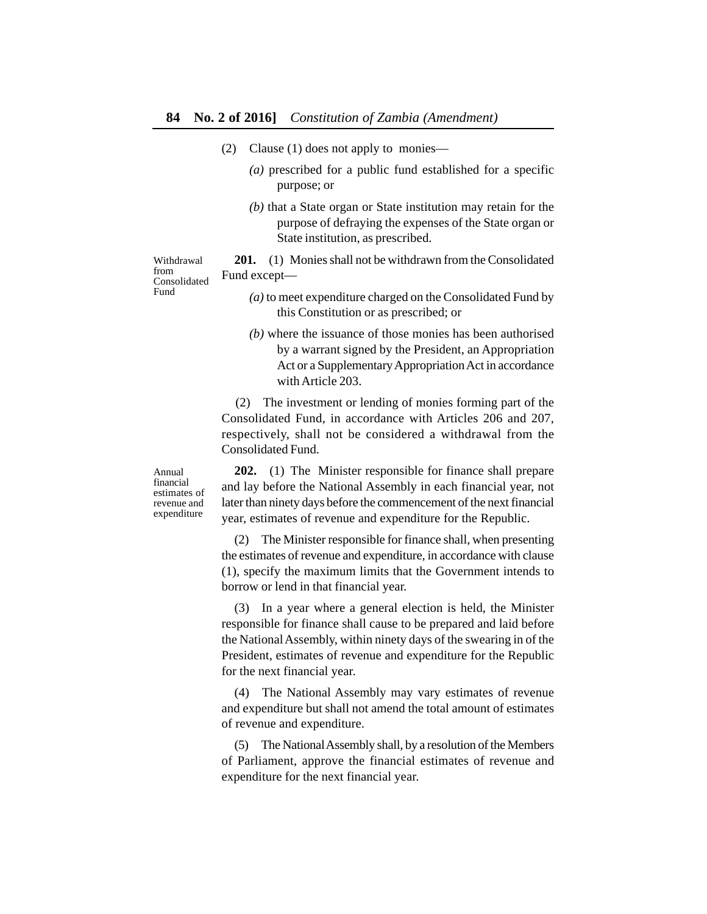- (2) Clause (1) does not apply to monies—
	- *(a)* prescribed for a public fund established for a specific purpose; or
	- *(b)* that a State organ or State institution may retain for the purpose of defraying the expenses of the State organ or State institution, as prescribed.

**201.** (1) Monies shall not be withdrawn from the Consolidated Fund except— Consolidated

- *(a)* to meet expenditure charged on the Consolidated Fund by this Constitution or as prescribed; or
	- *(b)* where the issuance of those monies has been authorised by a warrant signed by the President, an Appropriation Act or a Supplementary Appropriation Act in accordance with Article 203.

(2) The investment or lending of monies forming part of the Consolidated Fund, in accordance with Articles 206 and 207, respectively, shall not be considered a withdrawal from the Consolidated Fund.

**202.** (1) The Minister responsible for finance shall prepare and lay before the National Assembly in each financial year, not later than ninety days before the commencement of the next financial year, estimates of revenue and expenditure for the Republic.

(2) The Minister responsible for finance shall, when presenting the estimates of revenue and expenditure, in accordance with clause (1), specify the maximum limits that the Government intends to borrow or lend in that financial year.

(3) In a year where a general election is held, the Minister responsible for finance shall cause to be prepared and laid before the National Assembly, within ninety days of the swearing in of the President, estimates of revenue and expenditure for the Republic for the next financial year.

(4) The National Assembly may vary estimates of revenue and expenditure but shall not amend the total amount of estimates of revenue and expenditure.

(5) The National Assembly shall, by a resolution of the Members of Parliament, approve the financial estimates of revenue and expenditure for the next financial year.

Annual financial estimates of revenue and expenditure

Withdrawal from

Fund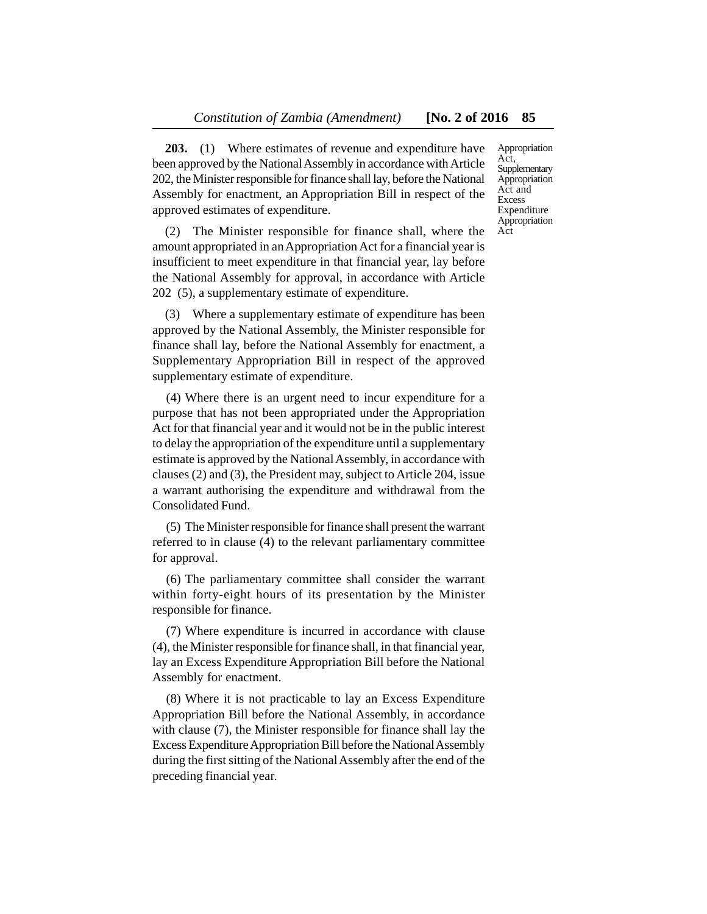**203.** (1) Where estimates of revenue and expenditure have been approved by the National Assembly in accordance with Article 202, the Minister responsible for finance shall lay, before the National Assembly for enactment, an Appropriation Bill in respect of the approved estimates of expenditure.

(2) The Minister responsible for finance shall, where the amount appropriated in an Appropriation Act for a financial year is insufficient to meet expenditure in that financial year, lay before the National Assembly for approval, in accordance with Article 202 (5), a supplementary estimate of expenditure.

(3) Where a supplementary estimate of expenditure has been approved by the National Assembly, the Minister responsible for finance shall lay, before the National Assembly for enactment, a Supplementary Appropriation Bill in respect of the approved supplementary estimate of expenditure.

(4) Where there is an urgent need to incur expenditure for a purpose that has not been appropriated under the Appropriation Act for that financial year and it would not be in the public interest to delay the appropriation of the expenditure until a supplementary estimate is approved by the National Assembly, in accordance with clauses (2) and (3), the President may, subject to Article 204, issue a warrant authorising the expenditure and withdrawal from the Consolidated Fund.

(5) The Minister responsible for finance shall present the warrant referred to in clause (4) to the relevant parliamentary committee for approval.

(6) The parliamentary committee shall consider the warrant within forty-eight hours of its presentation by the Minister responsible for finance.

(7) Where expenditure is incurred in accordance with clause (4), the Minister responsible for finance shall, in that financial year, lay an Excess Expenditure Appropriation Bill before the National Assembly for enactment.

(8) Where it is not practicable to lay an Excess Expenditure Appropriation Bill before the National Assembly, in accordance with clause (7), the Minister responsible for finance shall lay the Excess Expenditure Appropriation Bill before the National Assembly during the first sitting of the National Assembly after the end of the preceding financial year.

Appropriation Act, Supplementary Appropriation Act and Excess Expenditure Appropriation Act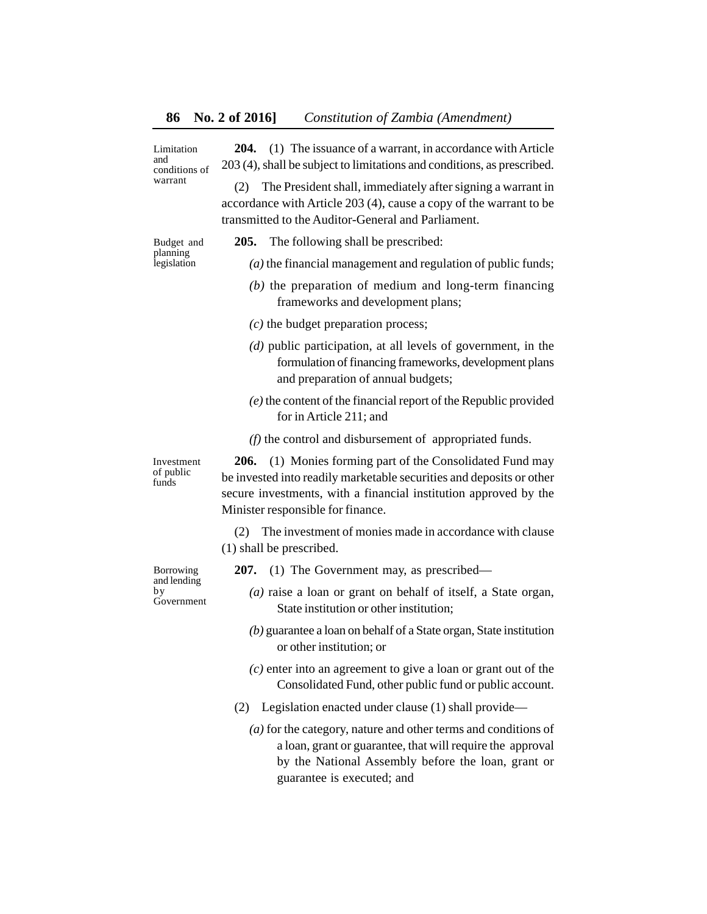Limitation and conditions of warrant

**204.** (1) The issuance of a warrant, in accordance with Article 203 (4), shall be subject to limitations and conditions, as prescribed.

(2) The President shall, immediately after signing a warrant in accordance with Article 203 (4), cause a copy of the warrant to be transmitted to the Auditor-General and Parliament.

Budget and planning legislation

- **205.** The following shall be prescribed:
	- *(a)* the financial management and regulation of public funds;
	- *(b)* the preparation of medium and long-term financing frameworks and development plans;
	- *(c)* the budget preparation process;
	- *(d)* public participation, at all levels of government, in the formulation of financing frameworks, development plans and preparation of annual budgets;
	- *(e)* the content of the financial report of the Republic provided for in Article 211; and
	- *(f)* the control and disbursement of appropriated funds.

**206.** (1) Monies forming part of the Consolidated Fund may be invested into readily marketable securities and deposits or other secure investments, with a financial institution approved by the Minister responsible for finance.

(2) The investment of monies made in accordance with clause (1) shall be prescribed.

Borrowing and lending by Government

Investment of public funds

- **207.** (1) The Government may, as prescribed—
	- *(a)* raise a loan or grant on behalf of itself, a State organ, State institution or other institution;
	- *(b)* guarantee a loan on behalf of a State organ, State institution or other institution; or
	- *(c)* enter into an agreement to give a loan or grant out of the Consolidated Fund, other public fund or public account.
- (2) Legislation enacted under clause (1) shall provide—
	- *(a)* for the category, nature and other terms and conditions of a loan, grant or guarantee, that will require the approval by the National Assembly before the loan, grant or guarantee is executed; and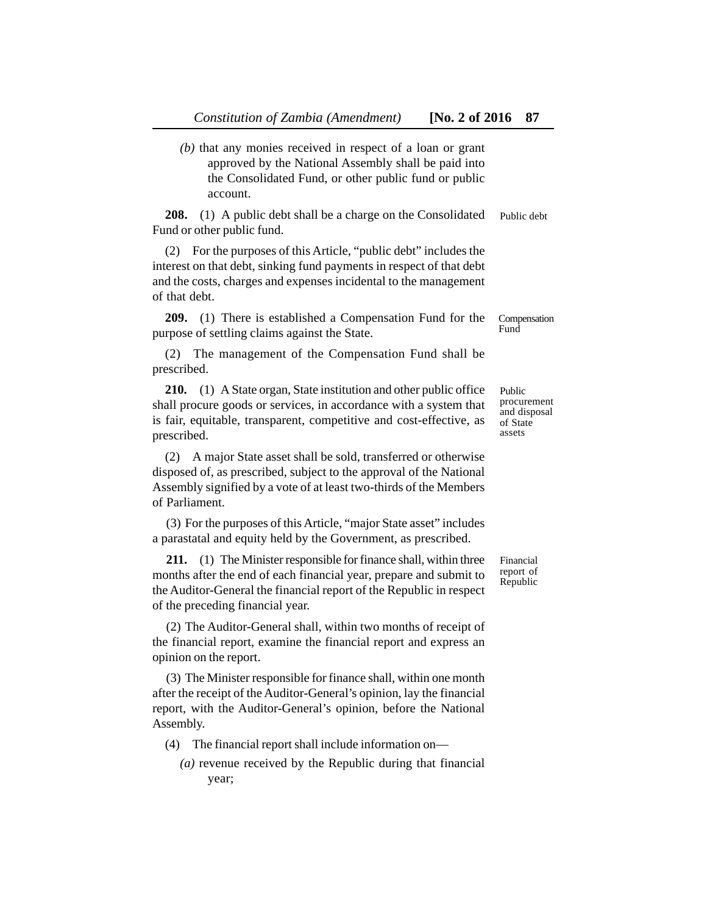*(b)* that any monies received in respect of a loan or grant approved by the National Assembly shall be paid into the Consolidated Fund, or other public fund or public account.

**208.** (1) A public debt shall be a charge on the Consolidated Fund or other public fund. Public debt

(2) For the purposes of this Article, "public debt" includes the interest on that debt, sinking fund payments in respect of that debt and the costs, charges and expenses incidental to the management of that debt.

**209.** (1) There is established a Compensation Fund for the purpose of settling claims against the State.

(2) The management of the Compensation Fund shall be prescribed.

**210.** (1) A State organ, State institution and other public office shall procure goods or services, in accordance with a system that is fair, equitable, transparent, competitive and cost-effective, as prescribed.

(2) A major State asset shall be sold, transferred or otherwise disposed of, as prescribed, subject to the approval of the National Assembly signified by a vote of at least two-thirds of the Members of Parliament.

(3) For the purposes of this Article, "major State asset" includes a parastatal and equity held by the Government, as prescribed.

**211.** (1) The Minister responsible for finance shall, within three months after the end of each financial year, prepare and submit to the Auditor-General the financial report of the Republic in respect of the preceding financial year.

(2) The Auditor-General shall, within two months of receipt of the financial report, examine the financial report and express an opinion on the report.

(3) The Minister responsible for finance shall, within one month after the receipt of the Auditor-General's opinion, lay the financial report, with the Auditor-General's opinion, before the National Assembly.

- (4) The financial report shall include information on—
	- *(a)* revenue received by the Republic during that financial year;

Public procurement and disposal of State

assets

Compensation Fund

Financial report of Republic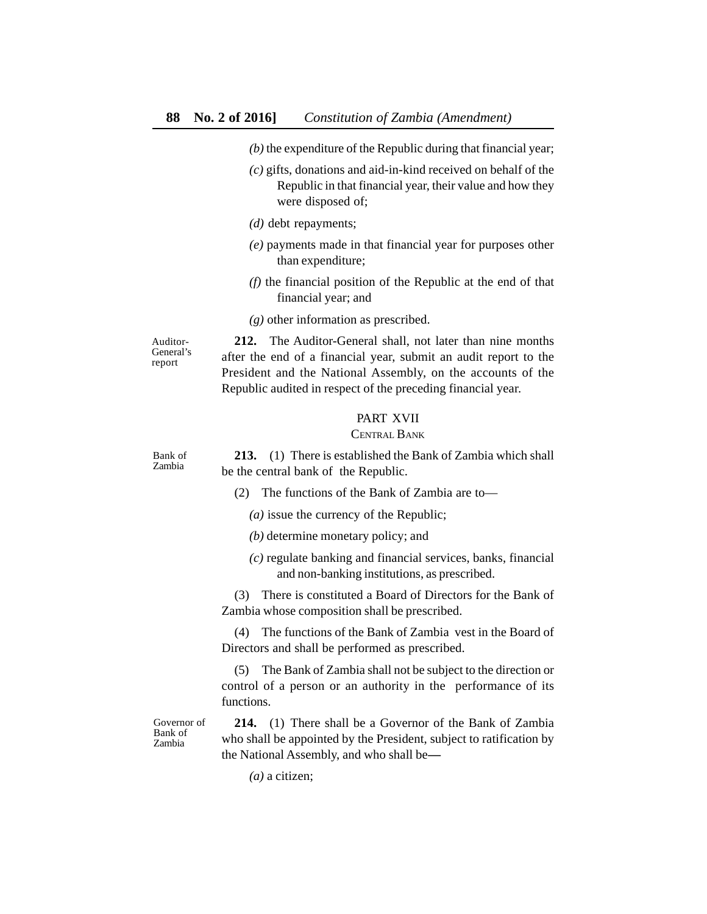- *(b)* the expenditure of the Republic during that financial year;
- *(c)* gifts, donations and aid-in-kind received on behalf of the Republic in that financial year, their value and how they were disposed of;
- *(d)* debt repayments;
- *(e)* payments made in that financial year for purposes other than expenditure;
- *(f)* the financial position of the Republic at the end of that financial year; and
- *(g)* other information as prescribed.

Auditor-General's report

**212.** The Auditor-General shall, not later than nine months after the end of a financial year, submit an audit report to the President and the National Assembly, on the accounts of the Republic audited in respect of the preceding financial year.

# PART XVII

# CENTRAL BANK

Bank of Zambia

**213.** (1) There is established the Bank of Zambia which shall be the central bank of the Republic.

- (2) The functions of the Bank of Zambia are to—
	- *(a)* issue the currency of the Republic;
	- *(b)* determine monetary policy; and
	- *(c)* regulate banking and financial services, banks, financial and non-banking institutions, as prescribed.

(3) There is constituted a Board of Directors for the Bank of Zambia whose composition shall be prescribed.

(4) The functions of the Bank of Zambia vest in the Board of Directors and shall be performed as prescribed.

(5) The Bank of Zambia shall not be subject to the direction or control of a person or an authority in the performance of its functions.

Governor of Bank of Zambia

**214.** (1) There shall be a Governor of the Bank of Zambia who shall be appointed by the President, subject to ratification by the National Assembly, and who shall be**—**

*(a)* a citizen;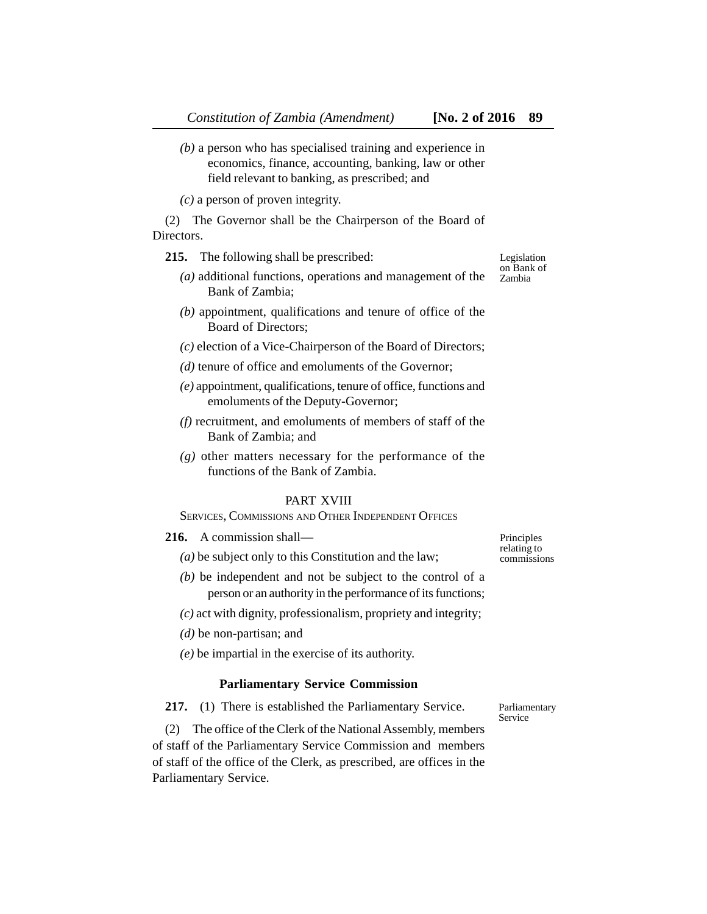*(b)* a person who has specialised training and experience in economics, finance, accounting, banking, law or other field relevant to banking, as prescribed; and

*(c)* a person of proven integrity.

(2) The Governor shall be the Chairperson of the Board of Directors.

**215.** The following shall be prescribed:

- *(a)* additional functions, operations and management of the Bank of Zambia;
- *(b)* appointment, qualifications and tenure of office of the Board of Directors;
- *(c)* election of a Vice-Chairperson of the Board of Directors;
- *(d)* tenure of office and emoluments of the Governor;
- *(e)* appointment, qualifications, tenure of office, functions and emoluments of the Deputy-Governor;
- *(f)* recruitment, and emoluments of members of staff of the Bank of Zambia; and
- *(g)* other matters necessary for the performance of the functions of the Bank of Zambia.

# PART XVIII

SERVICES, COMMISSIONS AND OTHER INDEPENDENT OFFICES

- **216.** A commission shall—
	- *(a)* be subject only to this Constitution and the law;
	- *(b)* be independent and not be subject to the control of a person or an authority in the performance of its functions;
	- *(c)* act with dignity, professionalism, propriety and integrity;
	- *(d)* be non-partisan; and
	- *(e)* be impartial in the exercise of its authority.

#### **Parliamentary Service Commission**

**217.** (1) There is established the Parliamentary Service.

(2) The office of the Clerk of the National Assembly, members of staff of the Parliamentary Service Commission and members of staff of the office of the Clerk, as prescribed, are offices in the Parliamentary Service.

Principles relating to commissions

Legislation on Bank of Zambia

Parliamentary Service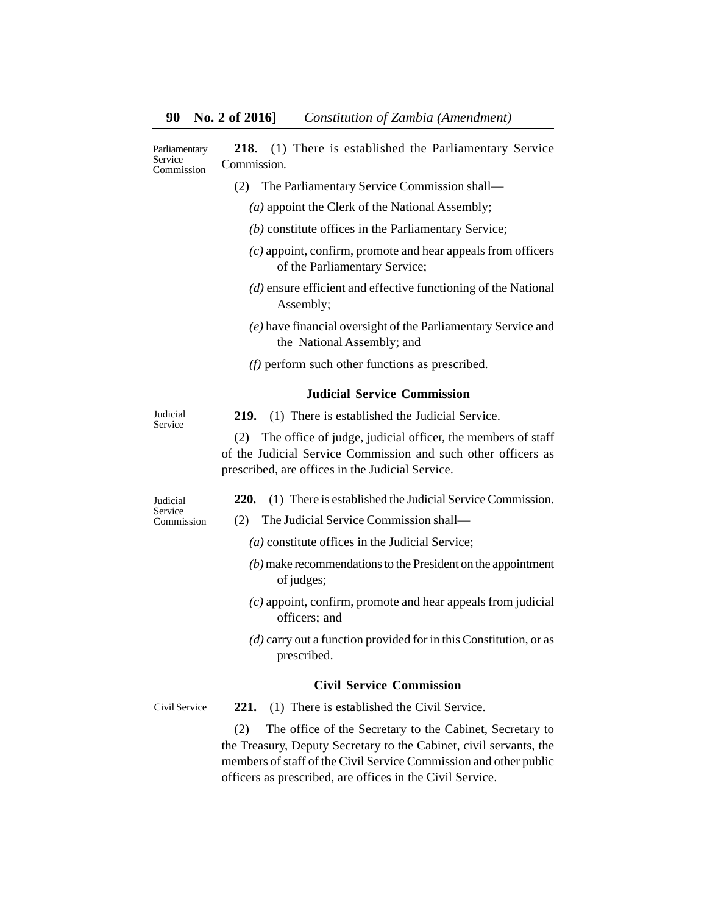| Parliamentary<br>Service<br>Commission | (1) There is established the Parliamentary Service<br>218.<br>Commission.                                                                                                               |
|----------------------------------------|-----------------------------------------------------------------------------------------------------------------------------------------------------------------------------------------|
|                                        | (2)<br>The Parliamentary Service Commission shall-                                                                                                                                      |
|                                        | $(a)$ appoint the Clerk of the National Assembly;                                                                                                                                       |
|                                        | (b) constitute offices in the Parliamentary Service;                                                                                                                                    |
|                                        | $(c)$ appoint, confirm, promote and hear appeals from officers<br>of the Parliamentary Service;                                                                                         |
|                                        | $(d)$ ensure efficient and effective functioning of the National<br>Assembly;                                                                                                           |
|                                        | (e) have financial oversight of the Parliamentary Service and<br>the National Assembly; and                                                                                             |
|                                        | $(f)$ perform such other functions as prescribed.                                                                                                                                       |
|                                        | <b>Judicial Service Commission</b>                                                                                                                                                      |
| Judicial<br>Service                    | (1) There is established the Judicial Service.<br>219.                                                                                                                                  |
|                                        | The office of judge, judicial officer, the members of staff<br>(2)<br>of the Judicial Service Commission and such other officers as<br>prescribed, are offices in the Judicial Service. |
| Judicial<br>Service<br>Commission      | 220.<br>(1) There is established the Judicial Service Commission.                                                                                                                       |
|                                        | The Judicial Service Commission shall-<br>(2)                                                                                                                                           |
|                                        | $(a)$ constitute offices in the Judicial Service;                                                                                                                                       |
|                                        | $(b)$ make recommendations to the President on the appointment<br>of judges;                                                                                                            |
|                                        | $(c)$ appoint, confirm, promote and hear appeals from judicial<br>officers; and                                                                                                         |
|                                        | $(d)$ carry out a function provided for in this Constitution, or as<br>prescribed.                                                                                                      |
|                                        | <b>Civil Service Commission</b>                                                                                                                                                         |
| Civil Service                          | 221.<br>(1) There is established the Civil Service.                                                                                                                                     |

(2) The office of the Secretary to the Cabinet, Secretary to the Treasury, Deputy Secretary to the Cabinet, civil servants, the members of staff of the Civil Service Commission and other public officers as prescribed, are offices in the Civil Service.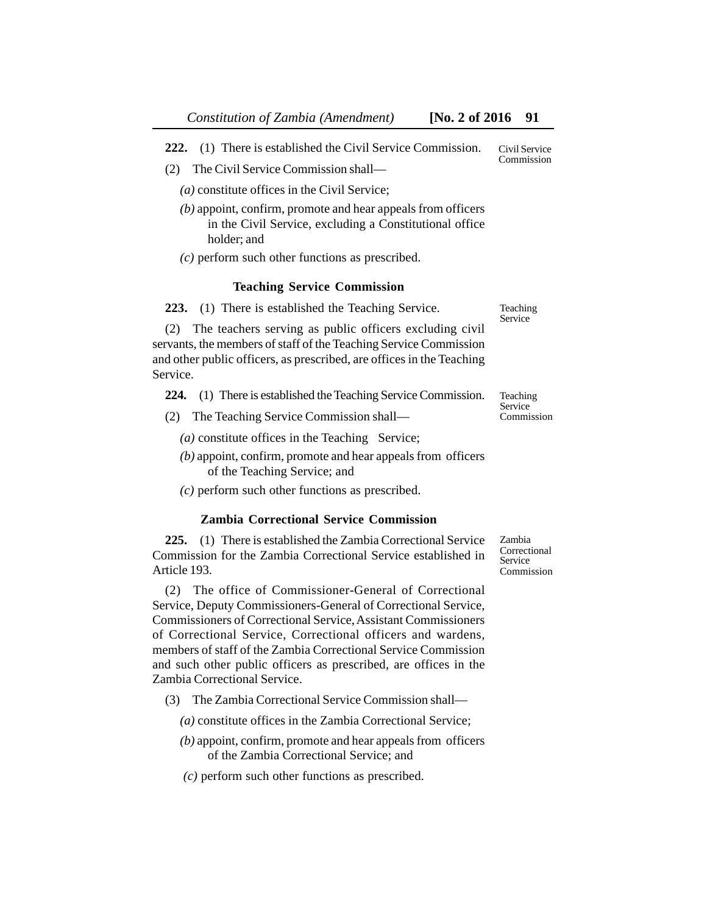**222.** (1) There is established the Civil Service Commission. Civil Service Commission

- (2) The Civil Service Commission shall—
	- *(a)* constitute offices in the Civil Service;
	- *(b)* appoint, confirm, promote and hear appeals from officers in the Civil Service, excluding a Constitutional office holder; and
	- *(c)* perform such other functions as prescribed.

#### **Teaching Service Commission**

**223.** (1) There is established the Teaching Service.

(2) The teachers serving as public officers excluding civil servants, the members of staff of the Teaching Service Commission and other public officers, as prescribed, are offices in the Teaching Service.

**224.** (1) There is established the Teaching Service Commission.

- (2) The Teaching Service Commission shall—
	- $(a)$  constitute offices in the Teaching Service;
	- *(b)* appoint, confirm, promote and hear appeals from officers of the Teaching Service; and
	- *(c)* perform such other functions as prescribed.

#### **Zambia Correctional Service Commission**

**225.** (1) There is established the Zambia Correctional Service Commission for the Zambia Correctional Service established in Article 193.

(2) The office of Commissioner-General of Correctional Service, Deputy Commissioners-General of Correctional Service, Commissioners of Correctional Service, Assistant Commissioners of Correctional Service, Correctional officers and wardens, members of staff of the Zambia Correctional Service Commission and such other public officers as prescribed, are offices in the Zambia Correctional Service.

(3) The Zambia Correctional Service Commission shall—

*(a)* constitute offices in the Zambia Correctional Service;

- *(b)* appoint, confirm, promote and hear appeals from officers of the Zambia Correctional Service; and
- *(c)* perform such other functions as prescribed.

Zambia Correctional Service Commission

Teaching Service

Teaching Service Commission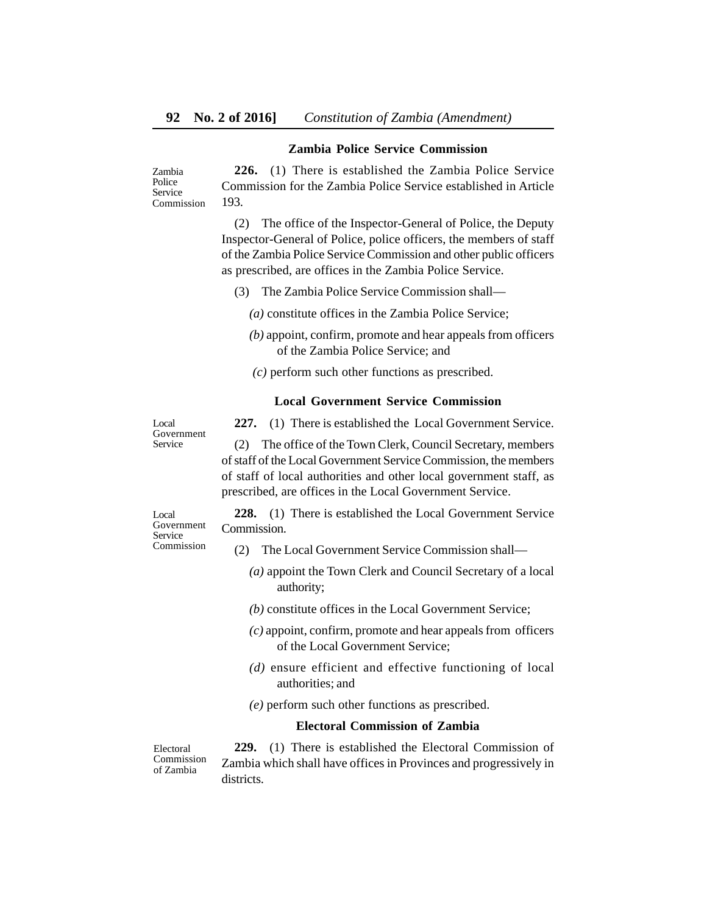## **Zambia Police Service Commission**

**226.** (1) There is established the Zambia Police Service Commission for the Zambia Police Service established in Article 193. Zambia Police Service Commission

> (2) The office of the Inspector-General of Police, the Deputy Inspector-General of Police, police officers, the members of staff of the Zambia Police Service Commission and other public officers as prescribed, are offices in the Zambia Police Service.

- (3) The Zambia Police Service Commission shall—
	- *(a)* constitute offices in the Zambia Police Service;
	- *(b)* appoint, confirm, promote and hear appeals from officers of the Zambia Police Service; and
	- *(c)* perform such other functions as prescribed.

## **Local Government Service Commission**

Local Government Service

**227.** (1) There is established the Local Government Service.

(2) The office of the Town Clerk, Council Secretary, members of staff of the Local Government Service Commission, the members of staff of local authorities and other local government staff, as prescribed, are offices in the Local Government Service.

Local Government Service Commission

**228.** (1) There is established the Local Government Service Commission.

- (2) The Local Government Service Commission shall—
	- *(a)* appoint the Town Clerk and Council Secretary of a local authority;
	- *(b)* constitute offices in the Local Government Service;
	- *(c)* appoint, confirm, promote and hear appeals from officers of the Local Government Service;
	- *(d)* ensure efficient and effective functioning of local authorities; and
	- *(e)* perform such other functions as prescribed.

# **Electoral Commission of Zambia**

Electoral Commission of Zambia

**229.** (1) There is established the Electoral Commission of Zambia which shall have offices in Provinces and progressively in districts.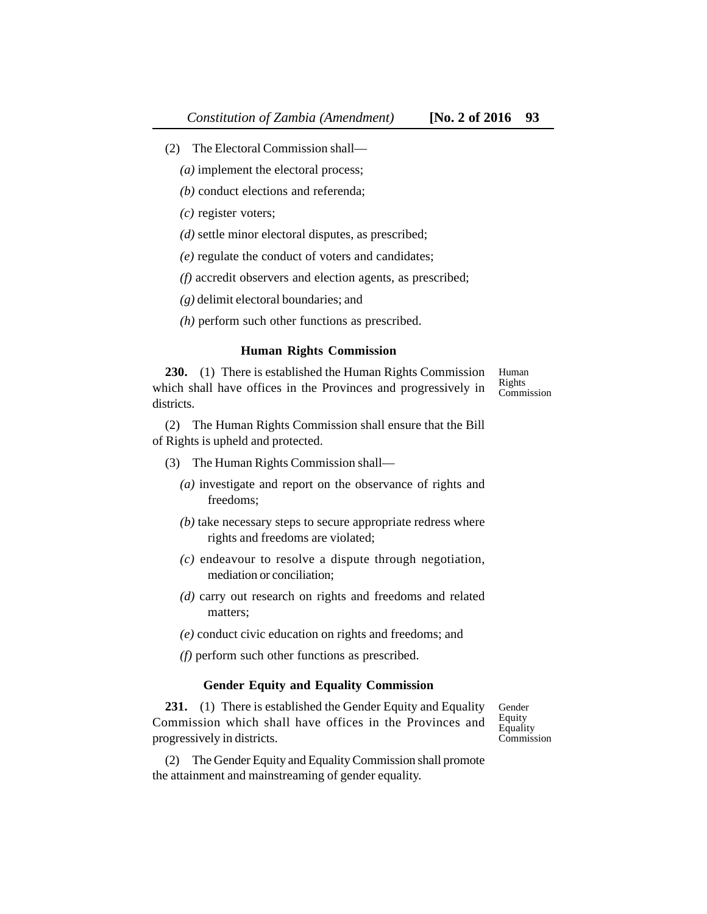- (2) The Electoral Commission shall—
	- *(a)* implement the electoral process;
	- *(b)* conduct elections and referenda;
	- *(c)* register voters;
	- *(d)* settle minor electoral disputes, as prescribed;
	- *(e)* regulate the conduct of voters and candidates;
	- *(f)* accredit observers and election agents, as prescribed;
	- *(g)* delimit electoral boundaries; and
	- *(h)* perform such other functions as prescribed.

#### **Human Rights Commission**

**230.** (1) There is established the Human Rights Commission which shall have offices in the Provinces and progressively in districts. Human Rights Commission

(2) The Human Rights Commission shall ensure that the Bill of Rights is upheld and protected.

- (3) The Human Rights Commission shall—
	- *(a)* investigate and report on the observance of rights and freedoms;
	- *(b)* take necessary steps to secure appropriate redress where rights and freedoms are violated;
	- *(c)* endeavour to resolve a dispute through negotiation, mediation or conciliation;
	- *(d)* carry out research on rights and freedoms and related matters;
	- *(e)* conduct civic education on rights and freedoms; and
	- *(f)* perform such other functions as prescribed.

# **Gender Equity and Equality Commission**

231. (1) There is established the Gender Equity and Equality Commission which shall have offices in the Provinces and progressively in districts.

(2) The Gender Equity and Equality Commission shall promote the attainment and mainstreaming of gender equality.

Gender Equity Equality **Commission**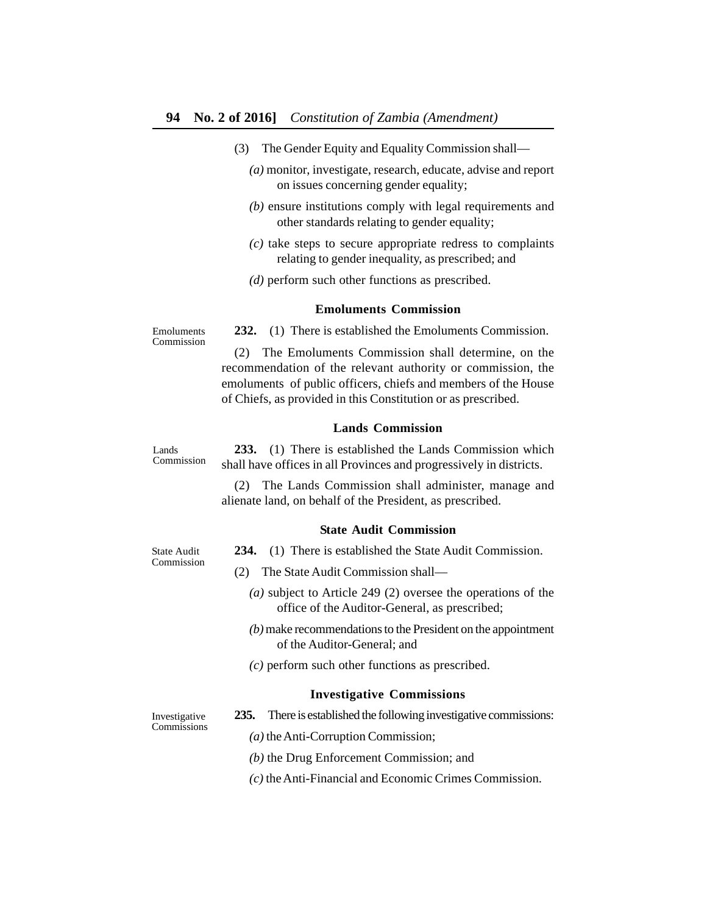- (3) The Gender Equity and Equality Commission shall—
	- *(a)* monitor, investigate, research, educate, advise and report on issues concerning gender equality;
	- *(b)* ensure institutions comply with legal requirements and other standards relating to gender equality;
	- *(c)* take steps to secure appropriate redress to complaints relating to gender inequality, as prescribed; and
	- *(d)* perform such other functions as prescribed.

## **Emoluments Commission**

**232.** (1) There is established the Emoluments Commission.

(2) The Emoluments Commission shall determine, on the recommendation of the relevant authority or commission, the emoluments of public officers, chiefs and members of the House of Chiefs, as provided in this Constitution or as prescribed.

# **Lands Commission**

**233.** (1) There is established the Lands Commission which shall have offices in all Provinces and progressively in districts. Commission

> (2) The Lands Commission shall administer, manage and alienate land, on behalf of the President, as prescribed.

#### **State Audit Commission**

**234.** (1) There is established the State Audit Commission.

- (2) The State Audit Commission shall—
	- *(a)* subject to Article 249 (2) oversee the operations of the office of the Auditor-General, as prescribed;
	- *(b)* make recommendations to the President on the appointment of the Auditor-General; and
	- *(c)* perform such other functions as prescribed.

#### **Investigative Commissions**

Investigative Commissions

- **235.** There is established the following investigative commissions:
	- *(a)* the Anti-Corruption Commission;
	- *(b)* the Drug Enforcement Commission; and
	- *(c)* the Anti-Financial and Economic Crimes Commission.

Emoluments Commission

Lands

State Audit Commission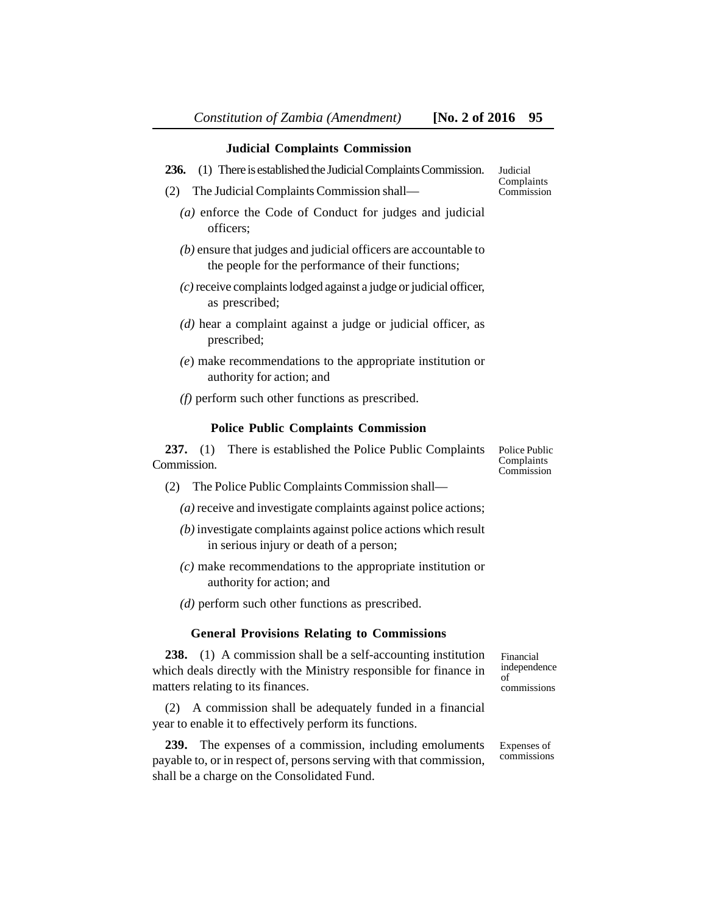#### **Judicial Complaints Commission**

- **236.** (1) There is established the Judicial Complaints Commission.
- (2) The Judicial Complaints Commission shall—
	- *(a)* enforce the Code of Conduct for judges and judicial officers;
	- *(b)* ensure that judges and judicial officers are accountable to the people for the performance of their functions;
	- *(c)* receive complaints lodged against a judge or judicial officer, as prescribed;
	- *(d)* hear a complaint against a judge or judicial officer, as prescribed;
	- *(e*) make recommendations to the appropriate institution or authority for action; and
	- *(f)* perform such other functions as prescribed.

#### **Police Public Complaints Commission**

**237.** (1) There is established the Police Public Complaints Commission.

- (2) The Police Public Complaints Commission shall—
	- *(a)* receive and investigate complaints against police actions;
	- *(b)* investigate complaints against police actions which result in serious injury or death of a person;
	- *(c)* make recommendations to the appropriate institution or authority for action; and
	- *(d)* perform such other functions as prescribed.

#### **General Provisions Relating to Commissions**

**238.** (1) A commission shall be a self-accounting institution which deals directly with the Ministry responsible for finance in matters relating to its finances.

(2) A commission shall be adequately funded in a financial year to enable it to effectively perform its functions.

**239.** The expenses of a commission, including emoluments payable to, or in respect of, persons serving with that commission, shall be a charge on the Consolidated Fund.

Financial independence of commissions

Expenses of commissions

Police Public Complaints Commission

**Judicial** Complaints Commission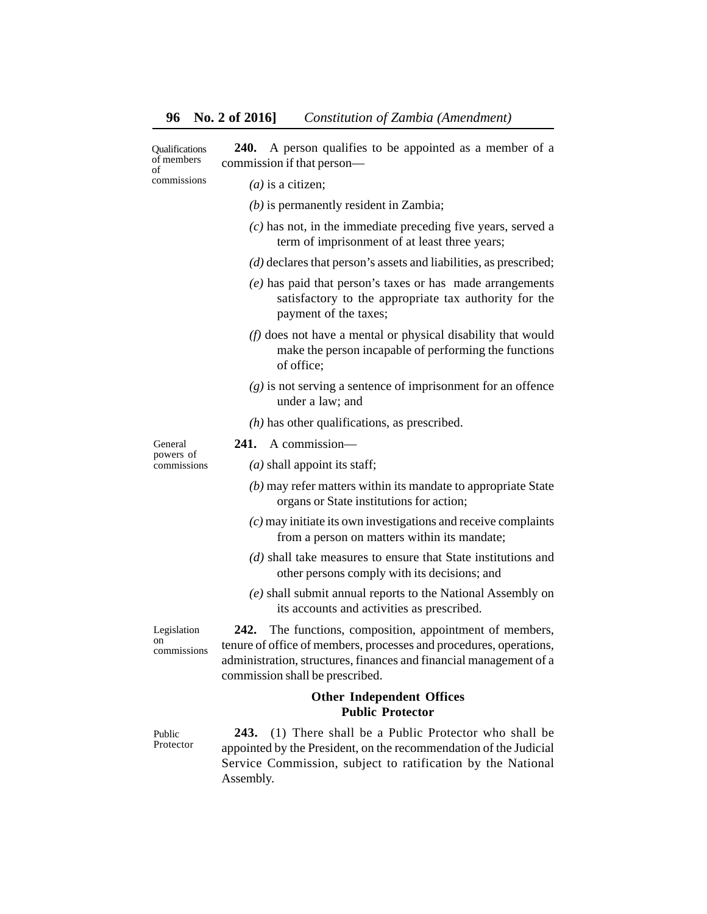**240.** A person qualifies to be appointed as a member of a commission if that person— **Oualifications** of members

of commissions

*(a)* is a citizen;

- *(b)* is permanently resident in Zambia;
- *(c)* has not, in the immediate preceding five years, served a term of imprisonment of at least three years;
- *(d)* declares that person's assets and liabilities, as prescribed;
- *(e)* has paid that person's taxes or has made arrangements satisfactory to the appropriate tax authority for the payment of the taxes;
- *(f)* does not have a mental or physical disability that would make the person incapable of performing the functions of office;
- *(g)* is not serving a sentence of imprisonment for an offence under a law; and
- *(h)* has other qualifications, as prescribed.

General powers of commissions **241.** A commission—

*(a)* shall appoint its staff;

*(b)* may refer matters within its mandate to appropriate State organs or State institutions for action;

- *(c)* may initiate its own investigations and receive complaints from a person on matters within its mandate;
- *(d)* shall take measures to ensure that State institutions and other persons comply with its decisions; and
- *(e)* shall submit annual reports to the National Assembly on its accounts and activities as prescribed.

Legislation on commissions

**242.** The functions, composition, appointment of members, tenure of office of members, processes and procedures, operations, administration, structures, finances and financial management of a commission shall be prescribed.

# **Other Independent Offices Public Protector**

Public Protector

**243.** (1) There shall be a Public Protector who shall be appointed by the President, on the recommendation of the Judicial Service Commission, subject to ratification by the National Assembly.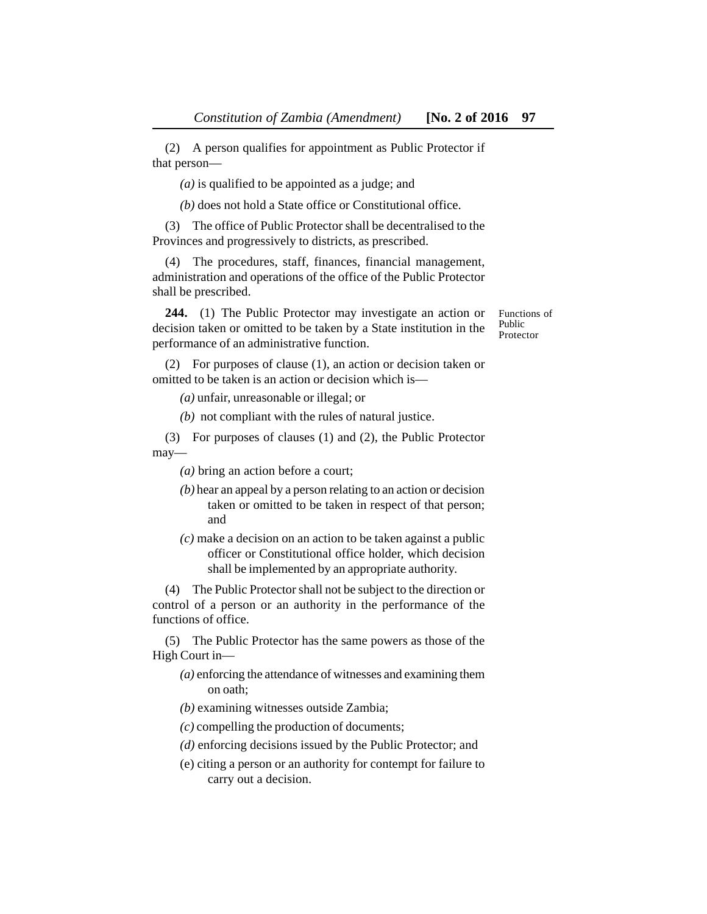(2) A person qualifies for appointment as Public Protector if that person—

*(a)* is qualified to be appointed as a judge; and

*(b)* does not hold a State office or Constitutional office.

(3) The office of Public Protector shall be decentralised to the Provinces and progressively to districts, as prescribed.

(4) The procedures, staff, finances, financial management, administration and operations of the office of the Public Protector shall be prescribed.

**244.** (1) The Public Protector may investigate an action or decision taken or omitted to be taken by a State institution in the performance of an administrative function.

Functions of Public Protector

(2) For purposes of clause (1), an action or decision taken or omitted to be taken is an action or decision which is—

*(a)* unfair, unreasonable or illegal; or

*(b)* not compliant with the rules of natural justice.

(3) For purposes of clauses (1) and (2), the Public Protector may—

*(a)* bring an action before a court;

- *(b)* hear an appeal by a person relating to an action or decision taken or omitted to be taken in respect of that person; and
- *(c)* make a decision on an action to be taken against a public officer or Constitutional office holder, which decision shall be implemented by an appropriate authority.

(4) The Public Protector shall not be subject to the direction or control of a person or an authority in the performance of the functions of office.

(5) The Public Protector has the same powers as those of the High Court in—

- *(a)* enforcing the attendance of witnesses and examining them on oath;
- *(b)* examining witnesses outside Zambia;
- *(c)* compelling the production of documents;
- *(d)* enforcing decisions issued by the Public Protector; and
- (e) citing a person or an authority for contempt for failure to carry out a decision.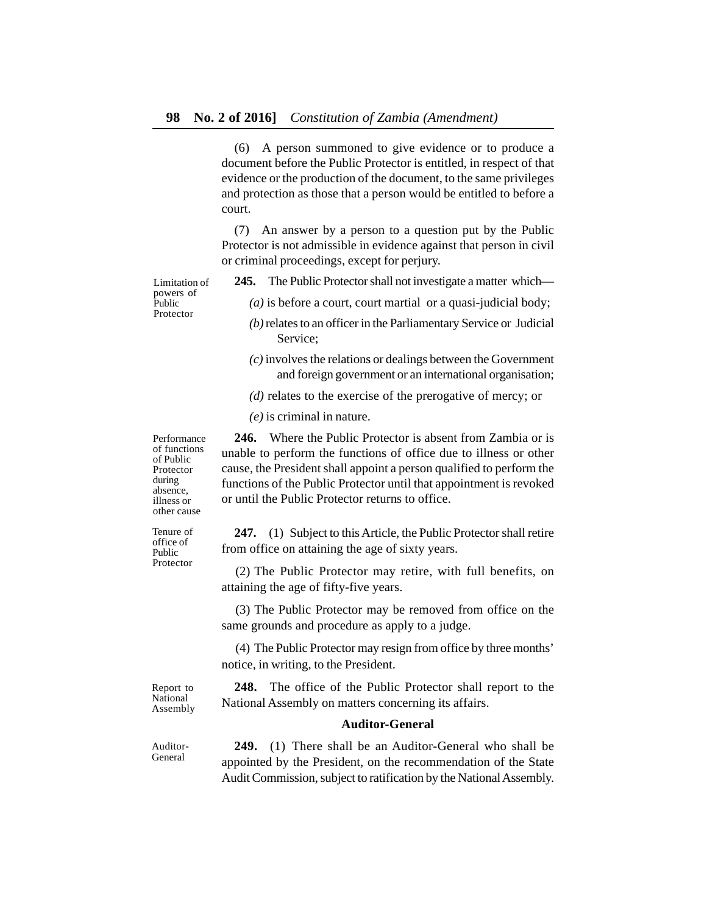(6) A person summoned to give evidence or to produce a document before the Public Protector is entitled, in respect of that evidence or the production of the document, to the same privileges and protection as those that a person would be entitled to before a court.

(7) An answer by a person to a question put by the Public Protector is not admissible in evidence against that person in civil or criminal proceedings, except for perjury.

Limitation of powers of Public Protector

**245.** The Public Protector shall not investigate a matter which—

*(a)* is before a court, court martial or a quasi-judicial body;

- *(b)* relates to an officer in the Parliamentary Service or Judicial Service;
- *(c)* involves the relations or dealings between the Government and foreign government or an international organisation;

*(d)* relates to the exercise of the prerogative of mercy; or

*(e)* is criminal in nature.

**246.** Where the Public Protector is absent from Zambia or is unable to perform the functions of office due to illness or other cause, the President shall appoint a person qualified to perform the functions of the Public Protector until that appointment is revoked or until the Public Protector returns to office.

**247.** (1) Subject to this Article, the Public Protector shall retire from office on attaining the age of sixty years.

(2) The Public Protector may retire, with full benefits, on attaining the age of fifty-five years.

(3) The Public Protector may be removed from office on the same grounds and procedure as apply to a judge.

(4) The Public Protector may resign from office by three months' notice, in writing, to the President.

Report to National Assembly

**248.** The office of the Public Protector shall report to the National Assembly on matters concerning its affairs.

### **Auditor-General**

**249.** (1) There shall be an Auditor-General who shall be appointed by the President, on the recommendation of the State Audit Commission, subject to ratification by the National Assembly.

Performance of functions of Public Protector during absence, illness or other cause

Tenure of office of Public Protector

Auditor-General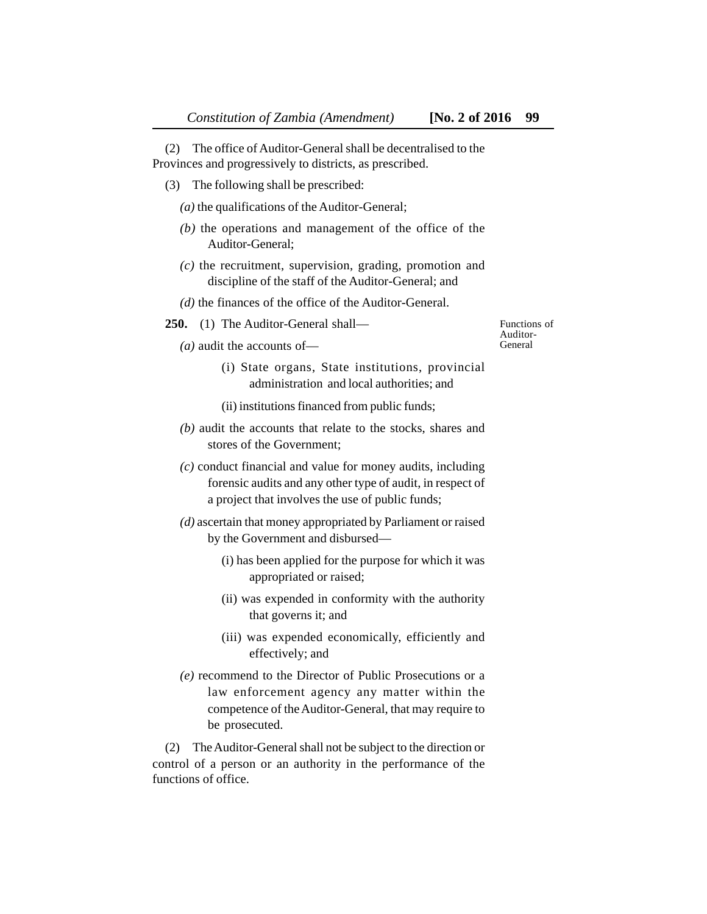(2) The office of Auditor-General shall be decentralised to the Provinces and progressively to districts, as prescribed.

(3) The following shall be prescribed:

*(a)* the qualifications of the Auditor-General;

- *(b)* the operations and management of the office of the Auditor-General;
- *(c)* the recruitment, supervision, grading, promotion and discipline of the staff of the Auditor-General; and
- *(d)* the finances of the office of the Auditor-General.
- **250.** (1) The Auditor-General shall—

*(a)* audit the accounts of—

Functions of Auditor-General

- (i) State organs, State institutions, provincial administration and local authorities; and
- (ii) institutions financed from public funds;
- *(b)* audit the accounts that relate to the stocks, shares and stores of the Government;
- *(c)* conduct financial and value for money audits, including forensic audits and any other type of audit, in respect of a project that involves the use of public funds;
- *(d)* ascertain that money appropriated by Parliament or raised by the Government and disbursed—
	- (i) has been applied for the purpose for which it was appropriated or raised;
	- (ii) was expended in conformity with the authority that governs it; and
	- (iii) was expended economically, efficiently and effectively; and
- *(e)* recommend to the Director of Public Prosecutions or a law enforcement agency any matter within the competence of the Auditor-General, that may require to be prosecuted.

(2) The Auditor-General shall not be subject to the direction or control of a person or an authority in the performance of the functions of office.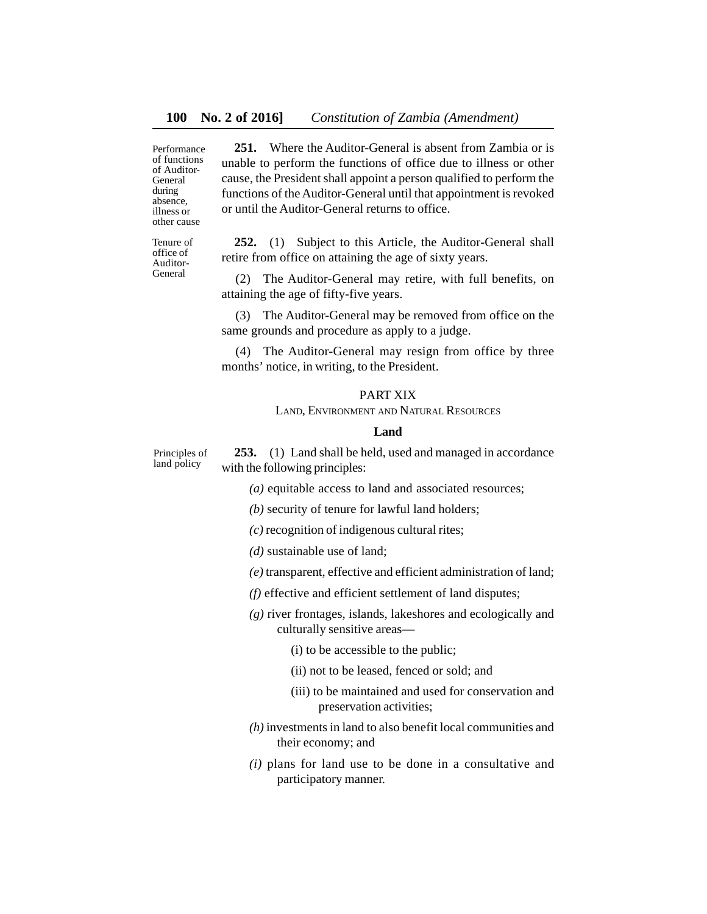Performance of functions of Auditor-General during absence, illness or other cause

**251.** Where the Auditor-General is absent from Zambia or is unable to perform the functions of office due to illness or other cause, the President shall appoint a person qualified to perform the functions of the Auditor-General until that appointment is revoked or until the Auditor-General returns to office.

Tenure of office of Auditor-General

**252.** (1) Subject to this Article, the Auditor-General shall retire from office on attaining the age of sixty years.

(2) The Auditor-General may retire, with full benefits, on attaining the age of fifty-five years.

(3) The Auditor-General may be removed from office on the same grounds and procedure as apply to a judge.

(4) The Auditor-General may resign from office by three months' notice, in writing, to the President.

# PART XIX

LAND, ENVIRONMENT AND NATURAL RESOURCES

## **Land**

**253.** (1) Land shall be held, used and managed in accordance with the following principles: Principles of land policy

*(a)* equitable access to land and associated resources;

*(b)* security of tenure for lawful land holders;

*(c)* recognition of indigenous cultural rites;

*(d)* sustainable use of land;

*(e)* transparent, effective and efficient administration of land;

*(f)* effective and efficient settlement of land disputes;

*(g)* river frontages, islands, lakeshores and ecologically and culturally sensitive areas—

(i) to be accessible to the public;

- (ii) not to be leased, fenced or sold; and
- (iii) to be maintained and used for conservation and preservation activities;
- *(h)* investments in land to also benefit local communities and their economy; and
- *(i)* plans for land use to be done in a consultative and participatory manner.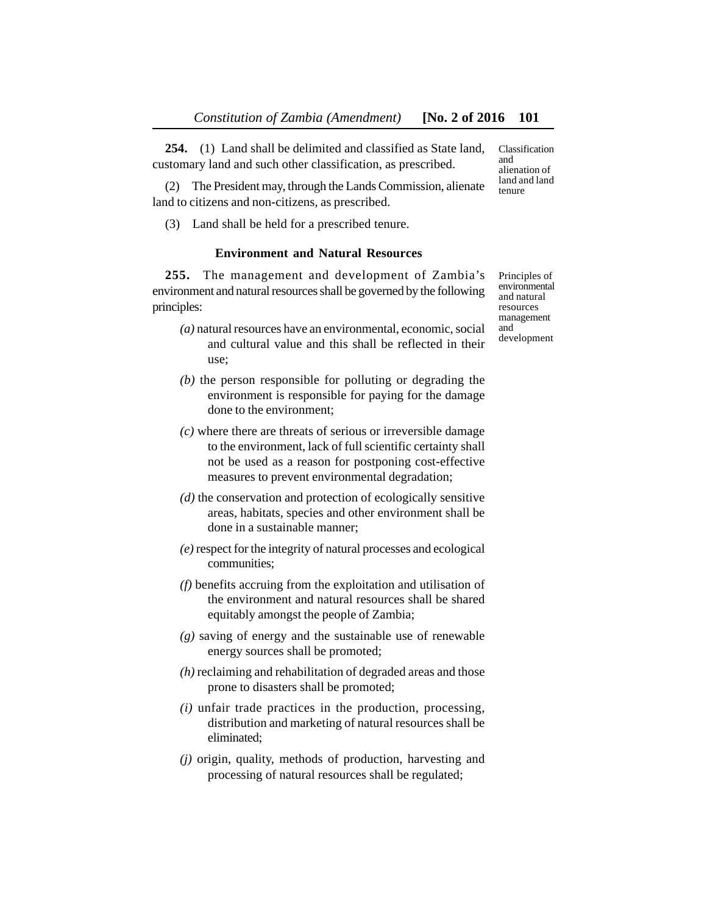**254.** (1) Land shall be delimited and classified as State land, customary land and such other classification, as prescribed.

(2) The President may, through the Lands Commission, alienate land to citizens and non-citizens, as prescribed.

(3) Land shall be held for a prescribed tenure.

# **Environment and Natural Resources**

**255.** The management and development of Zambia's environment and natural resources shall be governed by the following principles:

- *(a)* natural resources have an environmental, economic, social and cultural value and this shall be reflected in their use;
- *(b)* the person responsible for polluting or degrading the environment is responsible for paying for the damage done to the environment;
- *(c)* where there are threats of serious or irreversible damage to the environment, lack of full scientific certainty shall not be used as a reason for postponing cost-effective measures to prevent environmental degradation;
- *(d)* the conservation and protection of ecologically sensitive areas, habitats, species and other environment shall be done in a sustainable manner;
- *(e)* respect for the integrity of natural processes and ecological communities;
- *(f)* benefits accruing from the exploitation and utilisation of the environment and natural resources shall be shared equitably amongst the people of Zambia;
- *(g)* saving of energy and the sustainable use of renewable energy sources shall be promoted;
- *(h)* reclaiming and rehabilitation of degraded areas and those prone to disasters shall be promoted;
- *(i)* unfair trade practices in the production, processing, distribution and marketing of natural resources shall be eliminated;
- *(j)* origin, quality, methods of production, harvesting and processing of natural resources shall be regulated;

land and land tenure

Classification and alienation of

Principles of environmental and natural resources management and development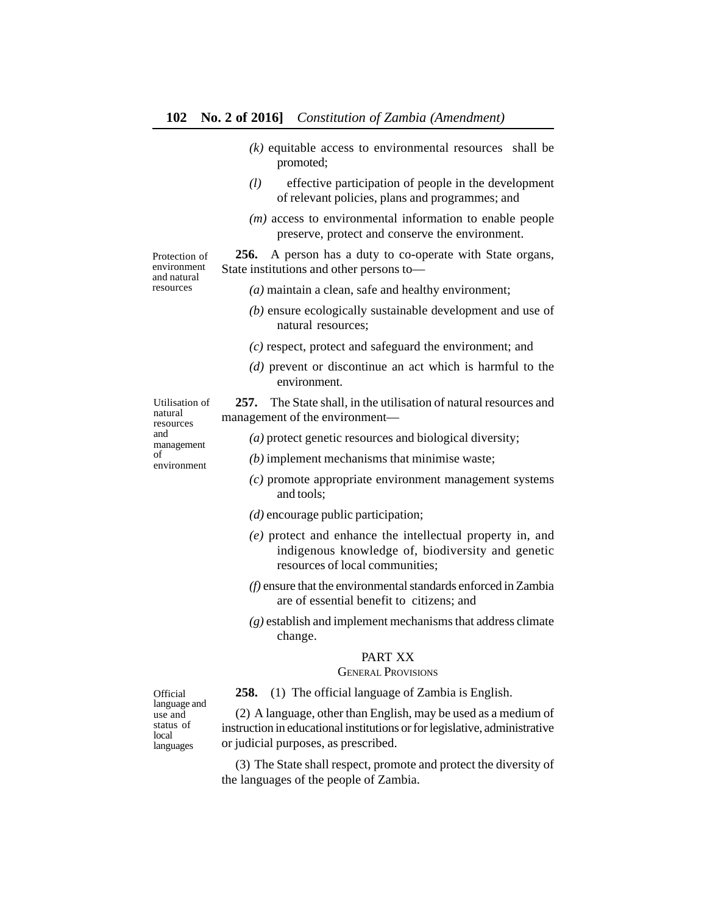- *(k)* equitable access to environmental resources shall be promoted;
- *(l)* effective participation of people in the development of relevant policies, plans and programmes; and
- *(m)* access to environmental information to enable people preserve, protect and conserve the environment.

**256.** A person has a duty to co-operate with State organs, State institutions and other persons to—

- *(a)* maintain a clean, safe and healthy environment;
- *(b)* ensure ecologically sustainable development and use of natural resources;
- *(c)* respect, protect and safeguard the environment; and
- *(d)* prevent or discontinue an act which is harmful to the environment.

**257.** The State shall, in the utilisation of natural resources and management of the environment—

Utilisation of natural resources and management of environment

Protection of environment and natural resources

- *(a)* protect genetic resources and biological diversity;
- *(b)* implement mechanisms that minimise waste;
- *(c)* promote appropriate environment management systems and tools;
- *(d)* encourage public participation;
- *(e)* protect and enhance the intellectual property in, and indigenous knowledge of, biodiversity and genetic resources of local communities;
- *(f)* ensure that the environmental standards enforced in Zambia are of essential benefit to citizens; and
- *(g)* establish and implement mechanisms that address climate change.

## PART XX

# GENERAL PROVISIONS

**258.** (1) The official language of Zambia is English.

(2) A language, other than English, may be used as a medium of instruction in educational institutions or for legislative, administrative or judicial purposes, as prescribed.

(3) The State shall respect, promote and protect the diversity of the languages of the people of Zambia.

**Official** language and use and status of local languages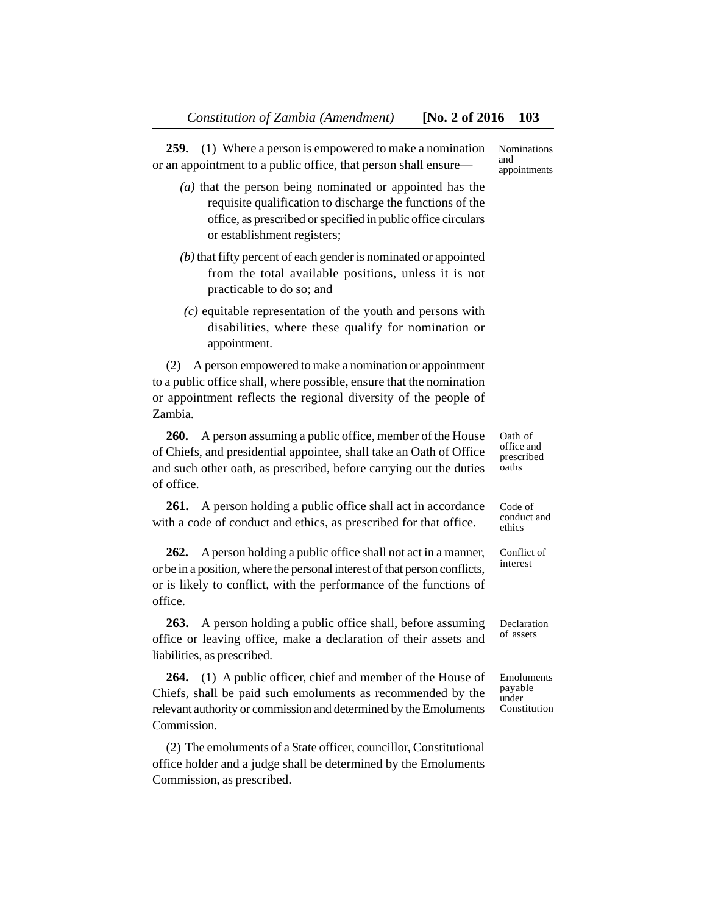**259.** (1) Where a person is empowered to make a nomination or an appointment to a public office, that person shall ensure—

- *(a)* that the person being nominated or appointed has the requisite qualification to discharge the functions of the office, as prescribed or specified in public office circulars or establishment registers;
- *(b)* that fifty percent of each gender is nominated or appointed from the total available positions, unless it is not practicable to do so; and
- *(c)* equitable representation of the youth and persons with disabilities, where these qualify for nomination or appointment.

(2) A person empowered to make a nomination or appointment to a public office shall, where possible, ensure that the nomination or appointment reflects the regional diversity of the people of Zambia.

**260.** A person assuming a public office, member of the House of Chiefs, and presidential appointee, shall take an Oath of Office and such other oath, as prescribed, before carrying out the duties of office.

**261.** A person holding a public office shall act in accordance with a code of conduct and ethics, as prescribed for that office.

**262.** A person holding a public office shall not act in a manner, or be in a position, where the personal interest of that person conflicts, or is likely to conflict, with the performance of the functions of office.

**263.** A person holding a public office shall, before assuming office or leaving office, make a declaration of their assets and liabilities, as prescribed.

**264.** (1) A public officer, chief and member of the House of Chiefs, shall be paid such emoluments as recommended by the relevant authority or commission and determined by the Emoluments Commission.

(2) The emoluments of a State officer, councillor, Constitutional office holder and a judge shall be determined by the Emoluments Commission, as prescribed.

Nominations and appointments

Oath of office and prescribed oaths

Code of conduct and ethics

Conflict of interest

Declaration of assets

Emoluments payable under Constitution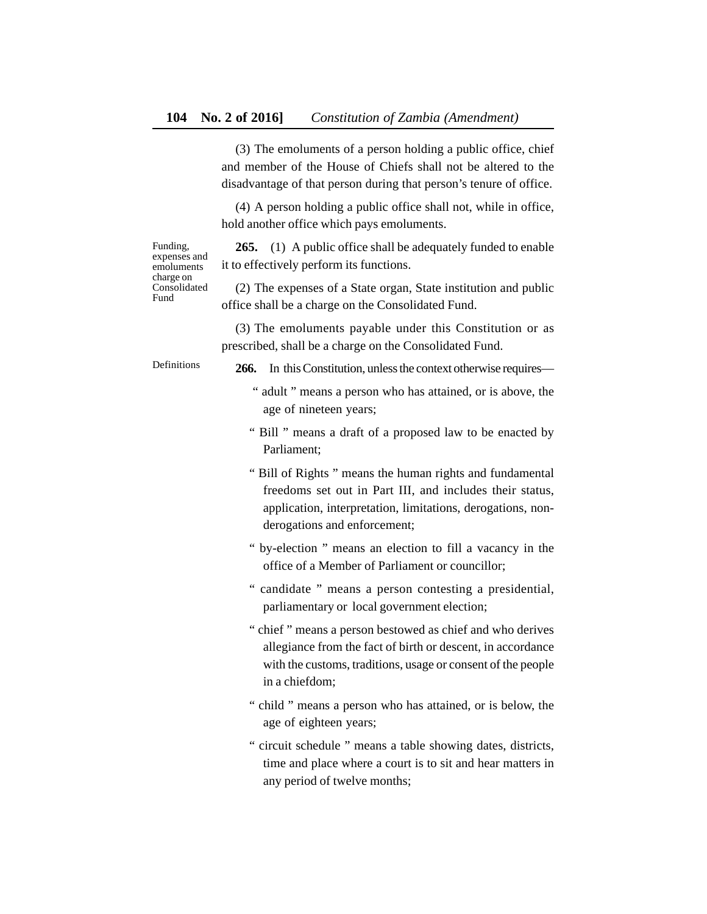(3) The emoluments of a person holding a public office, chief and member of the House of Chiefs shall not be altered to the disadvantage of that person during that person's tenure of office.

(4) A person holding a public office shall not, while in office, hold another office which pays emoluments.

Funding, expenses and emoluments charge on Consolidated Fund

**265.** (1) A public office shall be adequately funded to enable it to effectively perform its functions.

(2) The expenses of a State organ, State institution and public office shall be a charge on the Consolidated Fund.

(3) The emoluments payable under this Constitution or as prescribed, shall be a charge on the Consolidated Fund.

Definitions

- **266.** In this Constitution, unless the context otherwise requires—
	- " adult " means a person who has attained, or is above, the age of nineteen years;
	- " Bill " means a draft of a proposed law to be enacted by Parliament;
	- " Bill of Rights " means the human rights and fundamental freedoms set out in Part III, and includes their status, application, interpretation, limitations, derogations, nonderogations and enforcement;
	- " by-election " means an election to fill a vacancy in the office of a Member of Parliament or councillor;
	- " candidate " means a person contesting a presidential, parliamentary or local government election;
	- " chief " means a person bestowed as chief and who derives allegiance from the fact of birth or descent, in accordance with the customs, traditions, usage or consent of the people in a chiefdom;
	- " child " means a person who has attained, or is below, the age of eighteen years;
	- " circuit schedule " means a table showing dates, districts, time and place where a court is to sit and hear matters in any period of twelve months;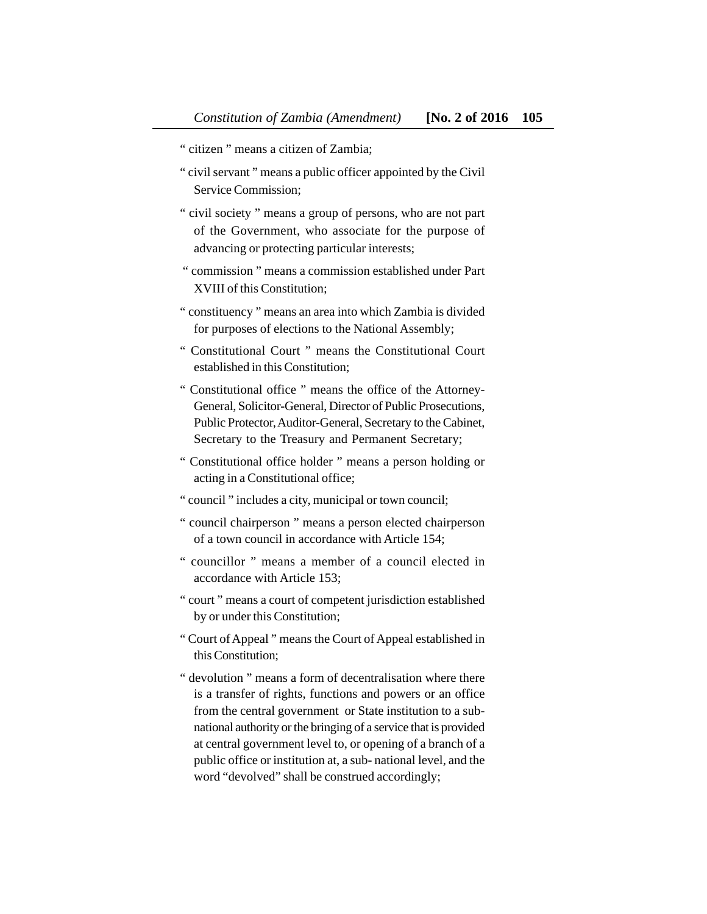- " citizen " means a citizen of Zambia;
- " civil servant " means a public officer appointed by the Civil Service Commission;
- " civil society " means a group of persons, who are not part of the Government, who associate for the purpose of advancing or protecting particular interests;
- " commission " means a commission established under Part XVIII of this Constitution;
- " constituency " means an area into which Zambia is divided for purposes of elections to the National Assembly;
- " Constitutional Court " means the Constitutional Court established in this Constitution;
- " Constitutional office " means the office of the Attorney-General, Solicitor-General, Director of Public Prosecutions, Public Protector, Auditor-General, Secretary to the Cabinet, Secretary to the Treasury and Permanent Secretary;
- " Constitutional office holder " means a person holding or acting in a Constitutional office;
- " council " includes a city, municipal or town council;
- " council chairperson " means a person elected chairperson of a town council in accordance with Article 154;
- " councillor " means a member of a council elected in accordance with Article 153;
- " court " means a court of competent jurisdiction established by or under this Constitution;
- " Court of Appeal " means the Court of Appeal established in this Constitution;
- " devolution " means a form of decentralisation where there is a transfer of rights, functions and powers or an office from the central government or State institution to a subnational authority or the bringing of a service that is provided at central government level to, or opening of a branch of a public office or institution at, a sub- national level, and the word "devolved" shall be construed accordingly;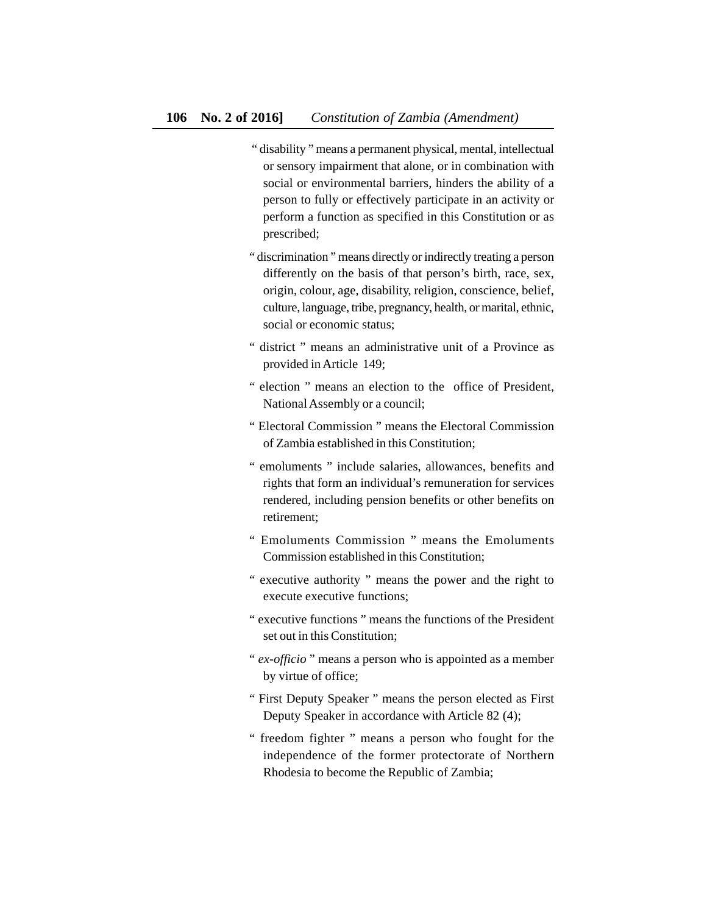- " disability " means a permanent physical, mental, intellectual or sensory impairment that alone, or in combination with social or environmental barriers, hinders the ability of a person to fully or effectively participate in an activity or perform a function as specified in this Constitution or as prescribed;
- " discrimination " means directly or indirectly treating a person differently on the basis of that person's birth, race, sex, origin, colour, age, disability, religion, conscience, belief, culture, language, tribe, pregnancy, health, or marital, ethnic, social or economic status;
- " district " means an administrative unit of a Province as provided in Article 149;
- " election " means an election to the office of President, National Assembly or a council;
- " Electoral Commission " means the Electoral Commission of Zambia established in this Constitution;
- " emoluments " include salaries, allowances, benefits and rights that form an individual's remuneration for services rendered, including pension benefits or other benefits on retirement;
- " Emoluments Commission " means the Emoluments Commission established in this Constitution;
- " executive authority " means the power and the right to execute executive functions;
- " executive functions " means the functions of the President set out in this Constitution;
- " *ex-officio* " means a person who is appointed as a member by virtue of office;
- " First Deputy Speaker " means the person elected as First Deputy Speaker in accordance with Article 82 (4);
- " freedom fighter " means a person who fought for the independence of the former protectorate of Northern Rhodesia to become the Republic of Zambia;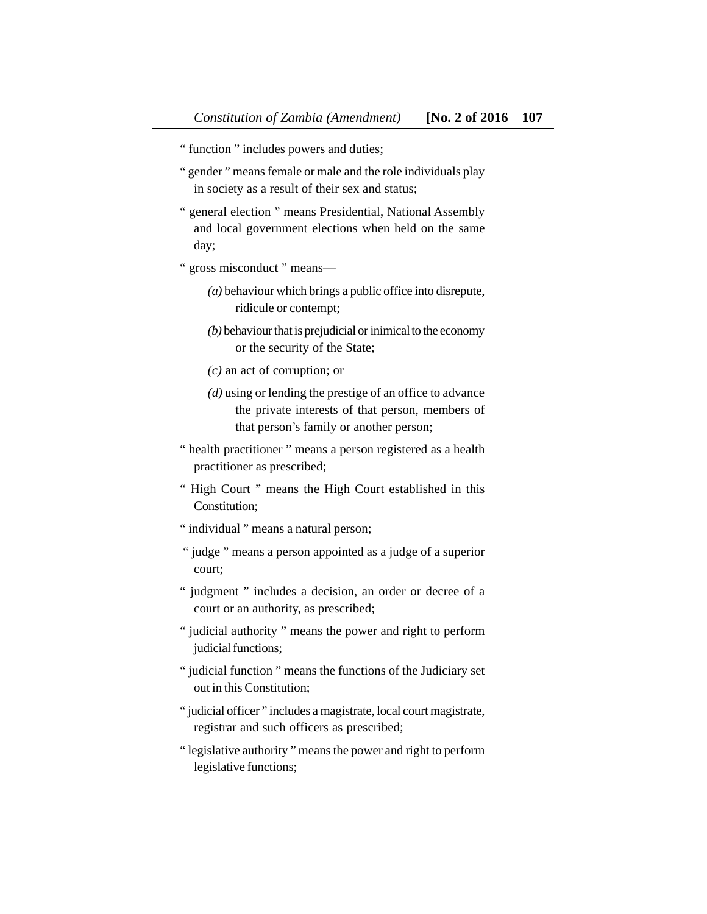- " function " includes powers and duties;
- " gender " means female or male and the role individuals play in society as a result of their sex and status;
- " general election " means Presidential, National Assembly and local government elections when held on the same day;
- " gross misconduct " means—
	- *(a)* behaviour which brings a public office into disrepute, ridicule or contempt;
	- *(b)* behaviour that is prejudicial or inimical to the economy or the security of the State;
	- *(c)* an act of corruption; or
	- *(d)* using or lending the prestige of an office to advance the private interests of that person, members of that person's family or another person;
- " health practitioner " means a person registered as a health practitioner as prescribed;
- " High Court " means the High Court established in this Constitution;
- " individual " means a natural person;
- " judge " means a person appointed as a judge of a superior court;
- " judgment " includes a decision, an order or decree of a court or an authority, as prescribed;
- " judicial authority " means the power and right to perform judicial functions;
- " judicial function " means the functions of the Judiciary set out in this Constitution;
- " judicial officer" includes a magistrate, local court magistrate, registrar and such officers as prescribed;
- " legislative authority " means the power and right to perform legislative functions;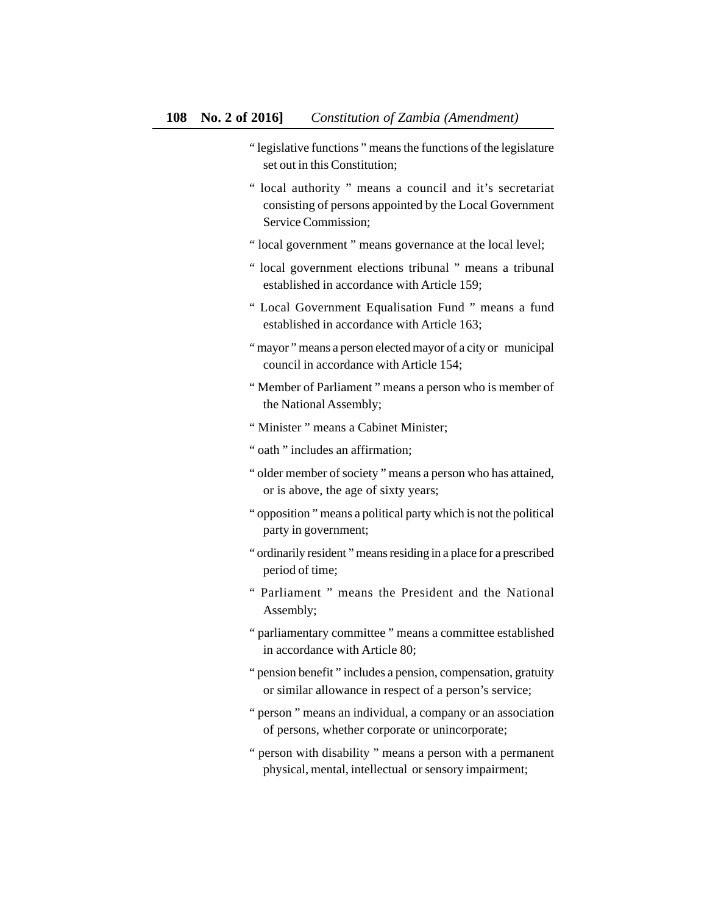- " legislative functions " means the functions of the legislature set out in this Constitution;
- " local authority " means a council and it's secretariat consisting of persons appointed by the Local Government Service Commission;
- " local government " means governance at the local level;
- " local government elections tribunal " means a tribunal established in accordance with Article 159;
- " Local Government Equalisation Fund " means a fund established in accordance with Article 163;
- " mayor" means a person elected mayor of a city or municipal council in accordance with Article 154;
- " Member of Parliament " means a person who is member of the National Assembly;
- " Minister " means a Cabinet Minister;
- " oath " includes an affirmation;
- " older member of society " means a person who has attained, or is above, the age of sixty years;
- " opposition " means a political party which is not the political party in government;
- " ordinarily resident " means residing in a place for a prescribed period of time;
- " Parliament " means the President and the National Assembly;
- " parliamentary committee " means a committee established in accordance with Article 80;
- " pension benefit " includes a pension, compensation, gratuity or similar allowance in respect of a person's service;
- " person " means an individual, a company or an association of persons, whether corporate or unincorporate;
- " person with disability " means a person with a permanent physical, mental, intellectual or sensory impairment;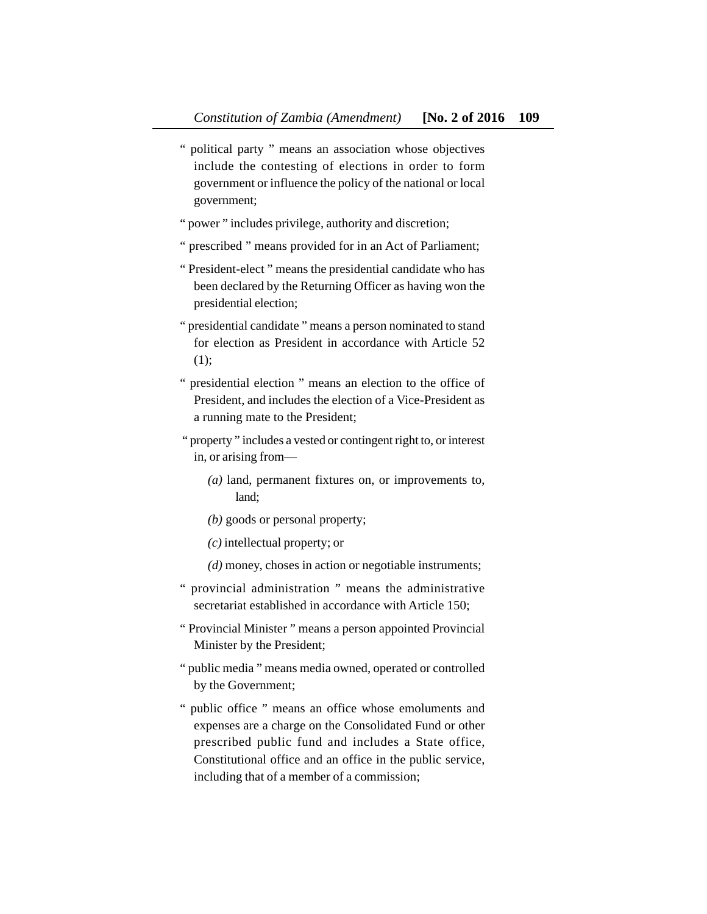- " political party " means an association whose objectives include the contesting of elections in order to form government or influence the policy of the national or local government;
- " power " includes privilege, authority and discretion;
- " prescribed " means provided for in an Act of Parliament;
- " President-elect " means the presidential candidate who has been declared by the Returning Officer as having won the presidential election;
- " presidential candidate " means a person nominated to stand for election as President in accordance with Article 52 (1);
- " presidential election " means an election to the office of President, and includes the election of a Vice-President as a running mate to the President;
- " property " includes a vested or contingent right to, or interest in, or arising from—
	- *(a)* land, permanent fixtures on, or improvements to, land;
	- *(b)* goods or personal property;
	- *(c)* intellectual property; or
	- *(d)* money, choses in action or negotiable instruments;
- " provincial administration " means the administrative secretariat established in accordance with Article 150;
- " Provincial Minister " means a person appointed Provincial Minister by the President;
- " public media " means media owned, operated or controlled by the Government;
- " public office " means an office whose emoluments and expenses are a charge on the Consolidated Fund or other prescribed public fund and includes a State office, Constitutional office and an office in the public service, including that of a member of a commission;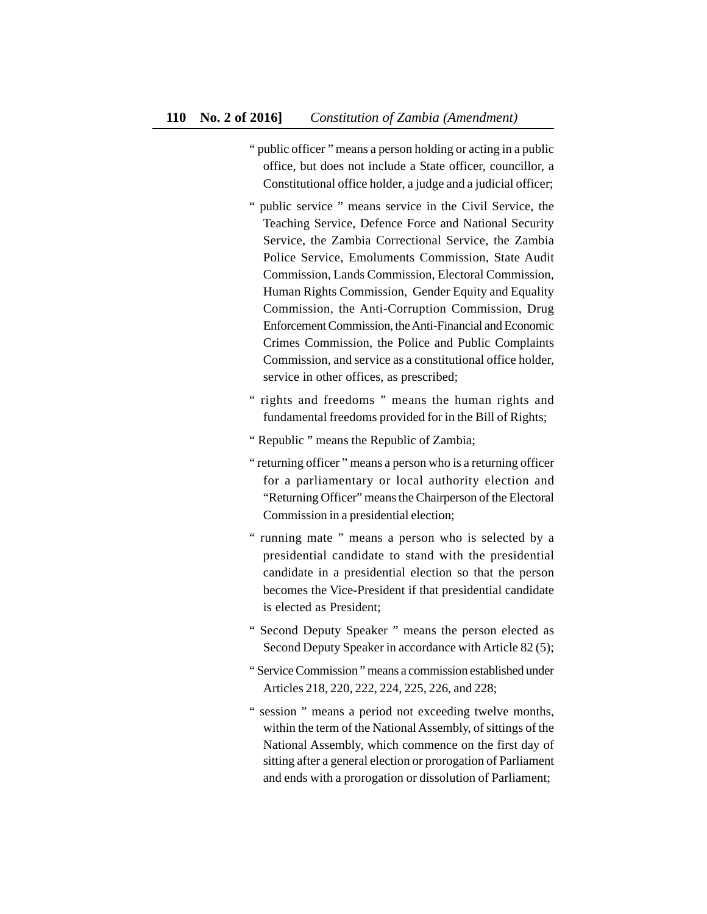- " public officer " means a person holding or acting in a public office, but does not include a State officer, councillor, a Constitutional office holder, a judge and a judicial officer;
- " public service " means service in the Civil Service, the Teaching Service, Defence Force and National Security Service, the Zambia Correctional Service, the Zambia Police Service, Emoluments Commission, State Audit Commission, Lands Commission, Electoral Commission, Human Rights Commission, Gender Equity and Equality Commission, the Anti-Corruption Commission, Drug EnforcementCommission, the Anti-Financial and Economic Crimes Commission, the Police and Public Complaints Commission, and service as a constitutional office holder, service in other offices, as prescribed;
- " rights and freedoms " means the human rights and fundamental freedoms provided for in the Bill of Rights;
- " Republic " means the Republic of Zambia;
- " returning officer " means a person who is a returning officer for a parliamentary or local authority election and "Returning Officer" means the Chairperson of the Electoral Commission in a presidential election;
- " running mate " means a person who is selected by a presidential candidate to stand with the presidential candidate in a presidential election so that the person becomes the Vice-President if that presidential candidate is elected as President;
- " Second Deputy Speaker " means the person elected as Second Deputy Speaker in accordance with Article 82 (5);
- " Service Commission " means a commission established under Articles 218, 220, 222, 224, 225, 226, and 228;
- " session " means a period not exceeding twelve months, within the term of the National Assembly, of sittings of the National Assembly, which commence on the first day of sitting after a general election or prorogation of Parliament and ends with a prorogation or dissolution of Parliament;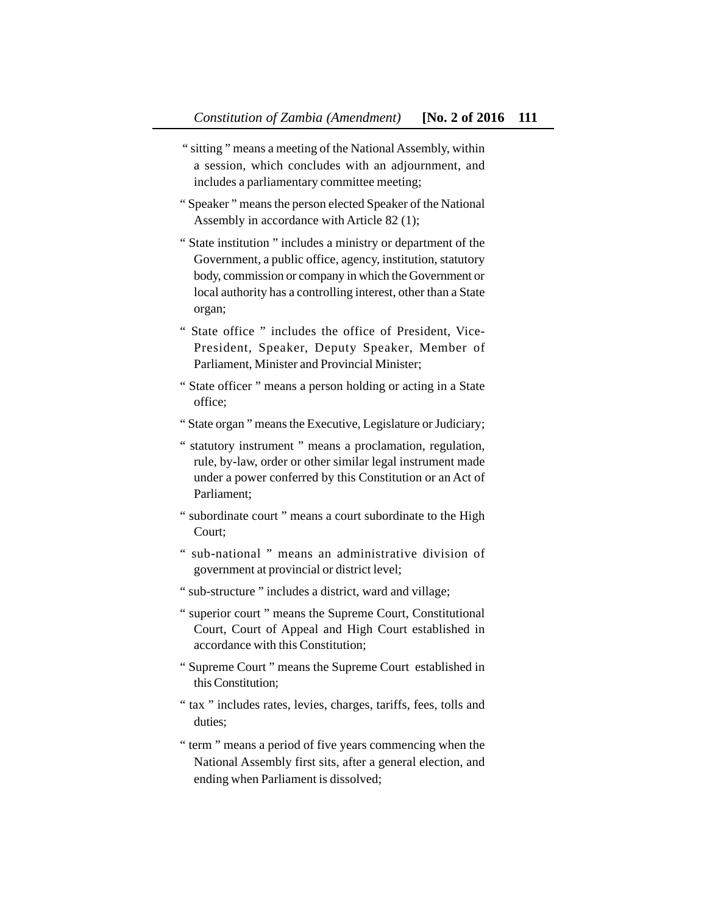- " sitting " means a meeting of the National Assembly, within a session, which concludes with an adjournment, and includes a parliamentary committee meeting;
- " Speaker " means the person elected Speaker of the National Assembly in accordance with Article 82 (1);
- " State institution " includes a ministry or department of the Government, a public office, agency, institution, statutory body, commission or company in which the Government or local authority has a controlling interest, other than a State organ;
- " State office " includes the office of President, Vice-President, Speaker, Deputy Speaker, Member of Parliament, Minister and Provincial Minister;
- " State officer " means a person holding or acting in a State office;
- " State organ " means the Executive, Legislature or Judiciary;
- " statutory instrument " means a proclamation, regulation, rule, by-law, order or other similar legal instrument made under a power conferred by this Constitution or an Act of Parliament;
- " subordinate court " means a court subordinate to the High Court;
- " sub-national " means an administrative division of government at provincial or district level;
- " sub-structure " includes a district, ward and village;
- " superior court " means the Supreme Court, Constitutional Court, Court of Appeal and High Court established in accordance with this Constitution;
- " Supreme Court " means the Supreme Court established in this Constitution;
- " tax " includes rates, levies, charges, tariffs, fees, tolls and duties;
- " term " means a period of five years commencing when the National Assembly first sits, after a general election, and ending when Parliament is dissolved;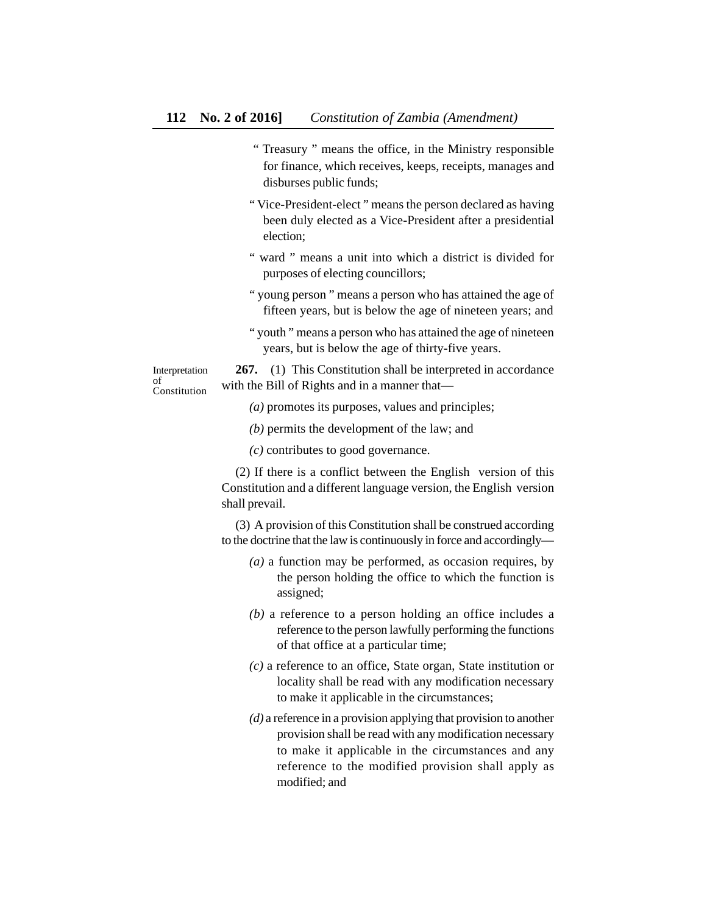- " Treasury " means the office, in the Ministry responsible for finance, which receives, keeps, receipts, manages and disburses public funds;
- " Vice-President-elect " means the person declared as having been duly elected as a Vice-President after a presidential election;
- " ward " means a unit into which a district is divided for purposes of electing councillors;
- " young person " means a person who has attained the age of fifteen years, but is below the age of nineteen years; and
- " youth " means a person who has attained the age of nineteen years, but is below the age of thirty-five years.

Interpretation of Constitution

**267.** (1) This Constitution shall be interpreted in accordance with the Bill of Rights and in a manner that—

*(a)* promotes its purposes, values and principles;

- *(b)* permits the development of the law; and
- *(c)* contributes to good governance.

(2) If there is a conflict between the English version of this Constitution and a different language version, the English version shall prevail.

(3) A provision of this Constitution shall be construed according to the doctrine that the law is continuously in force and accordingly—

- *(a)* a function may be performed, as occasion requires, by the person holding the office to which the function is assigned;
- *(b)* a reference to a person holding an office includes a reference to the person lawfully performing the functions of that office at a particular time;
- *(c)* a reference to an office, State organ, State institution or locality shall be read with any modification necessary to make it applicable in the circumstances;
- *(d)* a reference in a provision applying that provision to another provision shall be read with any modification necessary to make it applicable in the circumstances and any reference to the modified provision shall apply as modified; and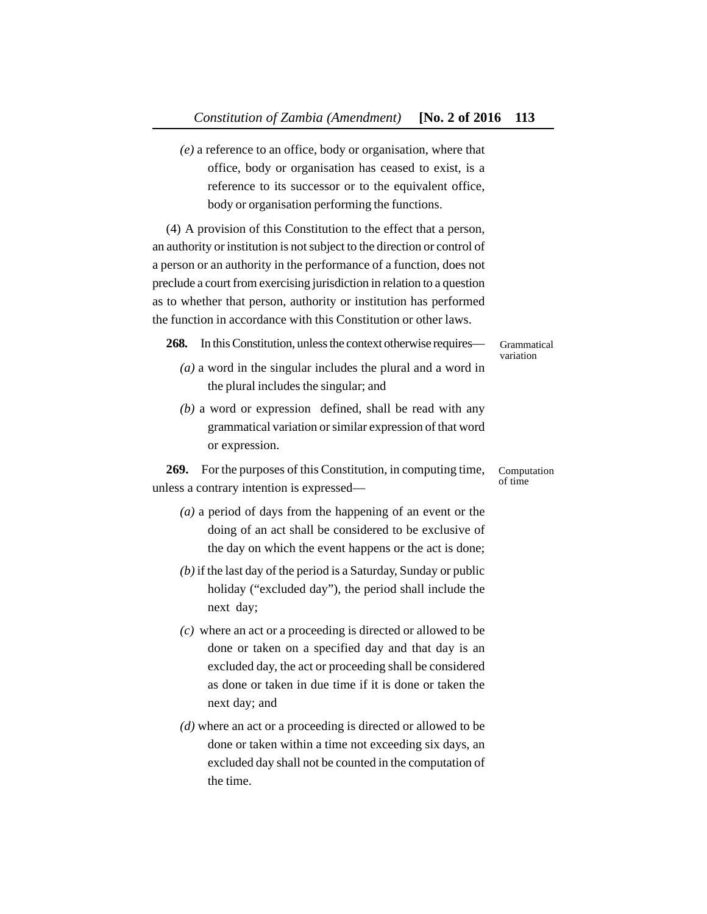*(e)* a reference to an office, body or organisation, where that office, body or organisation has ceased to exist, is a reference to its successor or to the equivalent office, body or organisation performing the functions.

(4) A provision of this Constitution to the effect that a person, an authority or institution is not subject to the direction or control of a person or an authority in the performance of a function, does not preclude a court from exercising jurisdiction in relation to a question as to whether that person, authority or institution has performed the function in accordance with this Constitution or other laws.

**268.** In this Constitution, unless the context otherwise requires—

Grammatical variation

- *(a)* a word in the singular includes the plural and a word in the plural includes the singular; and
- *(b)* a word or expression defined, shall be read with any grammatical variation or similar expression of that word or expression.

**269.** For the purposes of this Constitution, in computing time, unless a contrary intention is expressed— Computation of time

- *(a)* a period of days from the happening of an event or the doing of an act shall be considered to be exclusive of the day on which the event happens or the act is done;
- *(b)* if the last day of the period is a Saturday, Sunday or public holiday ("excluded day"), the period shall include the next day;
- *(c)* where an act or a proceeding is directed or allowed to be done or taken on a specified day and that day is an excluded day, the act or proceeding shall be considered as done or taken in due time if it is done or taken the next day; and
- *(d)* where an act or a proceeding is directed or allowed to be done or taken within a time not exceeding six days, an excluded day shall not be counted in the computation of the time.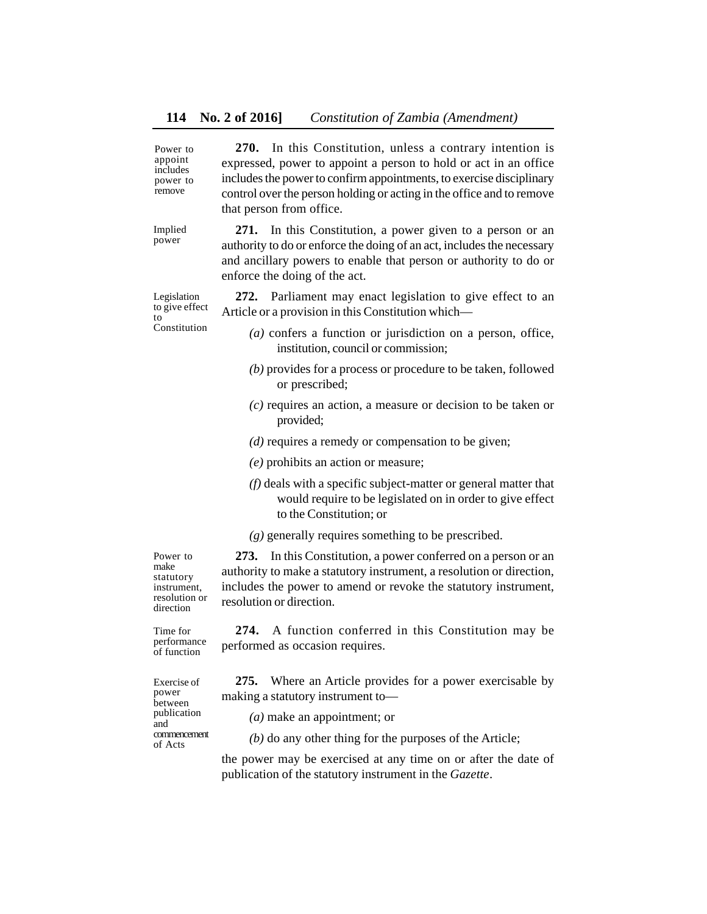| Power to<br>appoint<br>includes<br>power to<br>remove                            | 270. In this Constitution, unless a contrary intention is<br>expressed, power to appoint a person to hold or act in an office<br>includes the power to confirm appointments, to exercise disciplinary<br>control over the person holding or acting in the office and to remove<br>that person from office. |
|----------------------------------------------------------------------------------|------------------------------------------------------------------------------------------------------------------------------------------------------------------------------------------------------------------------------------------------------------------------------------------------------------|
| Implied<br>power                                                                 | In this Constitution, a power given to a person or an<br>271.<br>authority to do or enforce the doing of an act, includes the necessary<br>and ancillary powers to enable that person or authority to do or<br>enforce the doing of the act.                                                               |
| Legislation<br>to give effect<br>to<br>Constitution                              | 272. Parliament may enact legislation to give effect to an<br>Article or a provision in this Constitution which-                                                                                                                                                                                           |
|                                                                                  | $(a)$ confers a function or jurisdiction on a person, office,<br>institution, council or commission;                                                                                                                                                                                                       |
|                                                                                  | $(b)$ provides for a process or procedure to be taken, followed<br>or prescribed;                                                                                                                                                                                                                          |
|                                                                                  | $(c)$ requires an action, a measure or decision to be taken or<br>provided;                                                                                                                                                                                                                                |
|                                                                                  | $(d)$ requires a remedy or compensation to be given;                                                                                                                                                                                                                                                       |
|                                                                                  | $(e)$ prohibits an action or measure;                                                                                                                                                                                                                                                                      |
|                                                                                  | $(f)$ deals with a specific subject-matter or general matter that<br>would require to be legislated on in order to give effect<br>to the Constitution; or                                                                                                                                                  |
|                                                                                  | $(g)$ generally requires something to be prescribed.                                                                                                                                                                                                                                                       |
| Power to<br>make<br>statutory<br>instrument,<br>resolution or<br>direction       | 273. In this Constitution, a power conferred on a person or an<br>authority to make a statutory instrument, a resolution or direction,<br>includes the power to amend or revoke the statutory instrument,<br>resolution or direction.                                                                      |
| Time for<br>performance<br>of function                                           | A function conferred in this Constitution may be<br>274.<br>performed as occasion requires.                                                                                                                                                                                                                |
| Exercise of<br>power<br>between<br>publication<br>and<br>commencement<br>of Acts | Where an Article provides for a power exercisable by<br>275.<br>making a statutory instrument to-                                                                                                                                                                                                          |
|                                                                                  | $(a)$ make an appointment; or                                                                                                                                                                                                                                                                              |
|                                                                                  | $(b)$ do any other thing for the purposes of the Article;                                                                                                                                                                                                                                                  |
|                                                                                  | the power may be exercised at any time on or after the date of<br>publication of the statutory instrument in the Gazette.                                                                                                                                                                                  |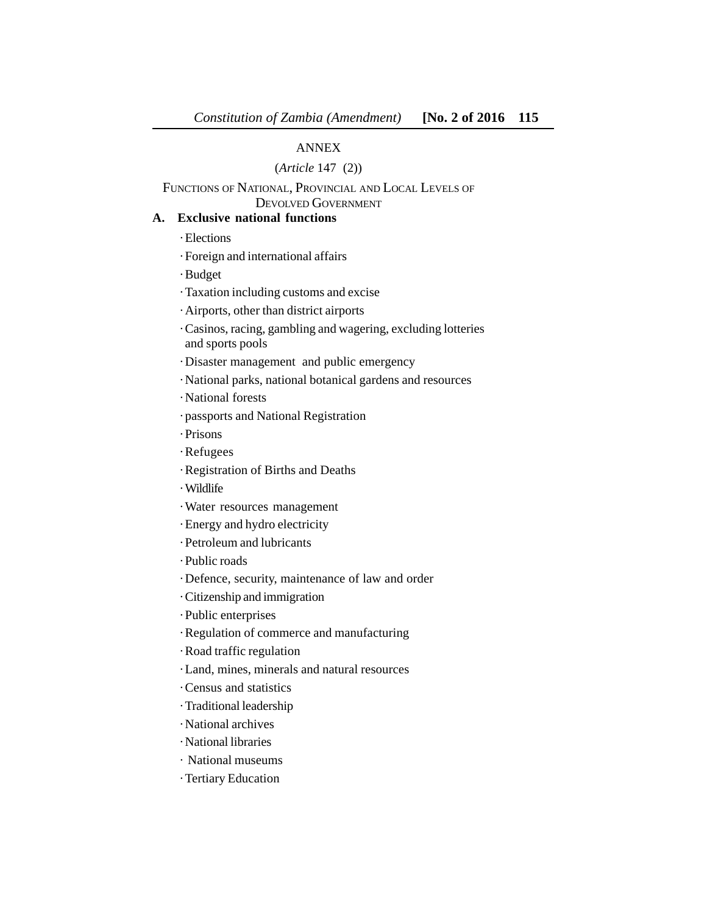# ANNEX

# (*Article* 147 (2))

FUNCTIONS OF NATIONAL, PROVINCIAL AND LOCAL LEVELS OF DEVOLVED GOVERNMENT

# **A. Exclusive national functions**

· Elections

· Foreign and international affairs

· Budget

· Taxation including customs and excise

· Airports, other than district airports

· Casinos, racing, gambling and wagering, excluding lotteries and sports pools

· Disaster management and public emergency

· National parks, national botanical gardens and resources

· National forests

· passports and National Registration

· Prisons

· Refugees

· Registration of Births and Deaths

· Wildlife

· Water resources management

· Energy and hydro electricity

· Petroleum and lubricants

· Public roads

· Defence, security, maintenance of law and order

· Citizenship and immigration

· Public enterprises

· Regulation of commerce and manufacturing

· Road traffic regulation

· Land, mines, minerals and natural resources

· Census and statistics

· Traditional leadership

· National archives

· National libraries

· National museums

· Tertiary Education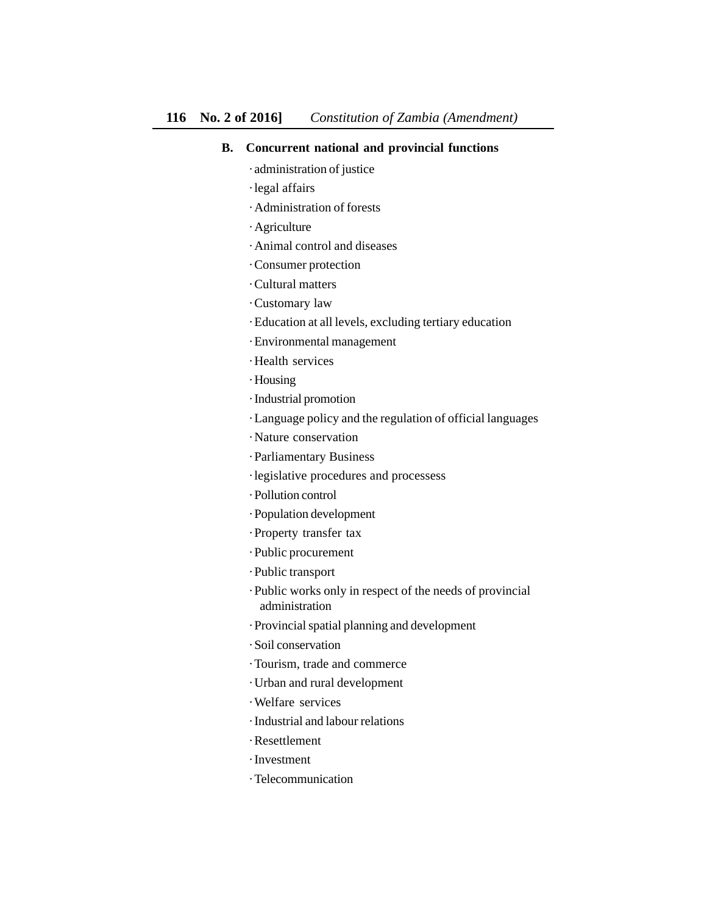# **B. Concurrent national and provincial functions**

- · administration of justice
- · legal affairs
- · Administration of forests
- · Agriculture
- · Animal control and diseases
- · Consumer protection
- · Cultural matters
- · Customary law
- · Education at all levels, excluding tertiary education
- · Environmental management
- · Health services
- · Housing
- · Industrial promotion
- · Language policy and the regulation of official languages
- · Nature conservation
- · Parliamentary Business
- · legislative procedures and processess
- · Pollution control
- · Population development
- · Property transfer tax
- · Public procurement
- · Public transport
- · Public works only in respect of the needs of provincial administration
- · Provincial spatial planning and development
- · Soil conservation
- · Tourism, trade and commerce
- · Urban and rural development
- · Welfare services
- · Industrial and labour relations
- · Resettlement
- · Investment
- · Telecommunication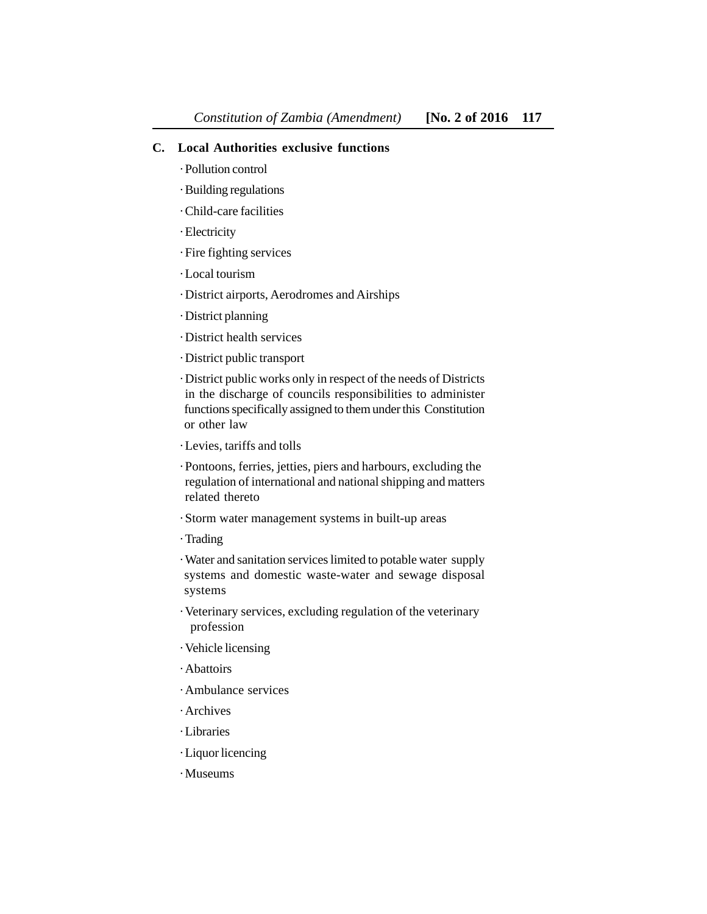## **C. Local Authorities exclusive functions**

- · Pollution control
- · Building regulations
- · Child-care facilities
- · Electricity
- · Fire fighting services
- · Local tourism
- · District airports, Aerodromes and Airships
- · District planning
- · District health services
- · District public transport

· District public works only in respect of the needs of Districts in the discharge of councils responsibilities to administer functions specifically assigned to them under this Constitution or other law

- · Levies, tariffs and tolls
- · Pontoons, ferries, jetties, piers and harbours, excluding the regulation of international and national shipping and matters related thereto
- · Storm water management systems in built-up areas
- · Trading

· Water and sanitation services limited to potable water supply systems and domestic waste-water and sewage disposal systems

- · Veterinary services, excluding regulation of the veterinary profession
- · Vehicle licensing
- · Abattoirs
- · Ambulance services
- · Archives
- · Libraries
- · Liquor licencing
- · Museums